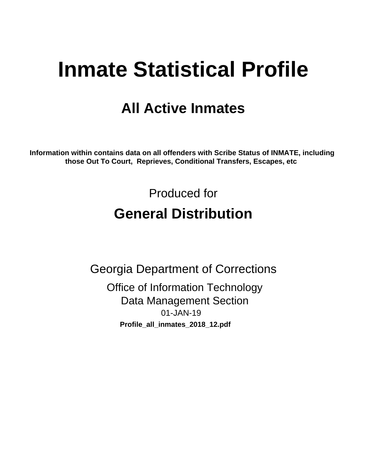# **Inmate Statistical Profile**

## **All Active Inmates**

Information within contains data on all offenders with Scribe Status of INMATE, including those Out To Court, Reprieves, Conditional Transfers, Escapes, etc

> Produced for **General Distribution**

**Georgia Department of Corrections Office of Information Technology Data Management Section** 01-JAN-19 Profile\_all\_inmates\_2018\_12.pdf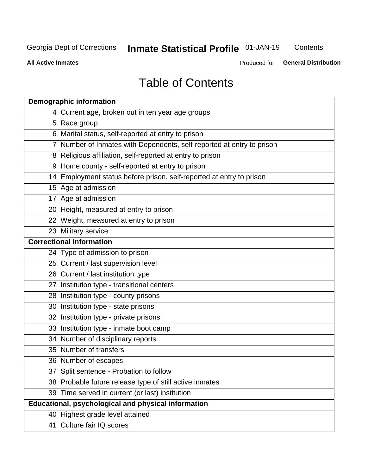## **Inmate Statistical Profile 01-JAN-19**

Contents

**All Active Inmates** 

Produced for General Distribution

## **Table of Contents**

| <b>Demographic information</b>                                        |
|-----------------------------------------------------------------------|
| 4 Current age, broken out in ten year age groups                      |
| 5 Race group                                                          |
| 6 Marital status, self-reported at entry to prison                    |
| 7 Number of Inmates with Dependents, self-reported at entry to prison |
| 8 Religious affiliation, self-reported at entry to prison             |
| 9 Home county - self-reported at entry to prison                      |
| 14 Employment status before prison, self-reported at entry to prison  |
| 15 Age at admission                                                   |
| 17 Age at admission                                                   |
| 20 Height, measured at entry to prison                                |
| 22 Weight, measured at entry to prison                                |
| 23 Military service                                                   |
| <b>Correctional information</b>                                       |
| 24 Type of admission to prison                                        |
| 25 Current / last supervision level                                   |
| 26 Current / last institution type                                    |
| 27 Institution type - transitional centers                            |
| 28 Institution type - county prisons                                  |
| 30 Institution type - state prisons                                   |
| 32 Institution type - private prisons                                 |
| 33 Institution type - inmate boot camp                                |
| 34 Number of disciplinary reports                                     |
| 35 Number of transfers                                                |
| 36 Number of escapes                                                  |
| 37 Split sentence - Probation to follow                               |
| 38 Probable future release type of still active inmates               |
| 39 Time served in current (or last) institution                       |
| <b>Educational, psychological and physical information</b>            |
| 40 Highest grade level attained                                       |
| 41 Culture fair IQ scores                                             |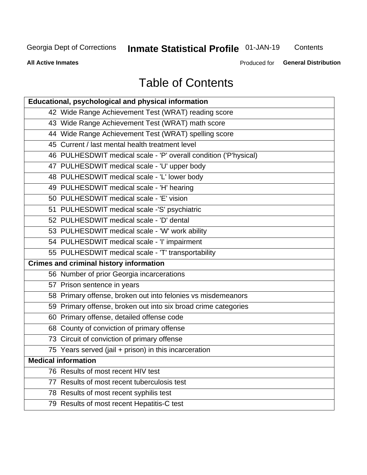## **Inmate Statistical Profile 01-JAN-19**

Contents

**All Active Inmates** 

Produced for General Distribution

## **Table of Contents**

| Educational, psychological and physical information              |
|------------------------------------------------------------------|
| 42 Wide Range Achievement Test (WRAT) reading score              |
| 43 Wide Range Achievement Test (WRAT) math score                 |
| 44 Wide Range Achievement Test (WRAT) spelling score             |
| 45 Current / last mental health treatment level                  |
| 46 PULHESDWIT medical scale - 'P' overall condition ('P'hysical) |
| 47 PULHESDWIT medical scale - 'U' upper body                     |
| 48 PULHESDWIT medical scale - 'L' lower body                     |
| 49 PULHESDWIT medical scale - 'H' hearing                        |
| 50 PULHESDWIT medical scale - 'E' vision                         |
| 51 PULHESDWIT medical scale -'S' psychiatric                     |
| 52 PULHESDWIT medical scale - 'D' dental                         |
| 53 PULHESDWIT medical scale - 'W' work ability                   |
| 54 PULHESDWIT medical scale - 'I' impairment                     |
| 55 PULHESDWIT medical scale - 'T' transportability               |
| <b>Crimes and criminal history information</b>                   |
| 56 Number of prior Georgia incarcerations                        |
| 57 Prison sentence in years                                      |
| 58 Primary offense, broken out into felonies vs misdemeanors     |
| 59 Primary offense, broken out into six broad crime categories   |
| 60 Primary offense, detailed offense code                        |
| 68 County of conviction of primary offense                       |
| 73 Circuit of conviction of primary offense                      |
| 75 Years served (jail + prison) in this incarceration            |
| <b>Medical information</b>                                       |
| 76 Results of most recent HIV test                               |
| 77 Results of most recent tuberculosis test                      |
| 78 Results of most recent syphilis test                          |
| 79 Results of most recent Hepatitis-C test                       |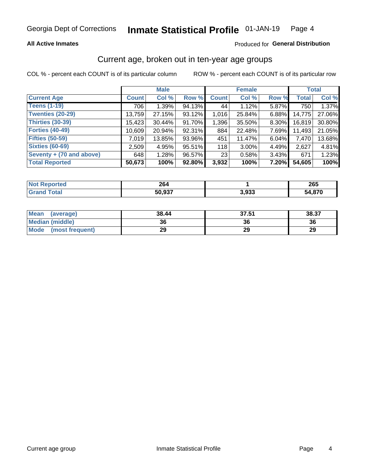#### **All Active Inmates**

#### Produced for General Distribution

### Current age, broken out in ten-year age groups

COL % - percent each COUNT is of its particular column

|                          | <b>Male</b>  |        |        | <b>Female</b> |          |          | <b>Total</b> |        |
|--------------------------|--------------|--------|--------|---------------|----------|----------|--------------|--------|
| <b>Current Age</b>       | <b>Count</b> | Col %  | Row %  | <b>Count</b>  | Col %    | Row %    | <b>Total</b> | Col %  |
| <b>Teens (1-19)</b>      | 706          | 1.39%  | 94.13% | 44            | 1.12%    | 5.87%    | 750          | 1.37%  |
| <b>Twenties (20-29)</b>  | 13,759       | 27.15% | 93.12% | 1,016         | 25.84%   | $6.88\%$ | 14,775       | 27.06% |
| Thirties (30-39)         | 15,423       | 30.44% | 91.70% | 1,396         | 35.50%   | 8.30%    | 16,819       | 30.80% |
| <b>Forties (40-49)</b>   | 10,609       | 20.94% | 92.31% | 884           | 22.48%   | 7.69%    | 11,493       | 21.05% |
| <b>Fifties (50-59)</b>   | 7,019        | 13.85% | 93.96% | 451           | 11.47%   | 6.04%    | 7,470        | 13.68% |
| <b>Sixties (60-69)</b>   | 2,509        | 4.95%  | 95.51% | 118           | $3.00\%$ | 4.49%    | 2,627        | 4.81%  |
| Seventy + (70 and above) | 648          | 1.28%  | 96.57% | 23            | 0.58%    | 3.43%    | 671          | 1.23%  |
| <b>Total Reported</b>    | 50,673       | 100%   | 92.80% | 3,932         | 100%     | 7.20%    | 54,605       | 100%   |

| <b>Not Reported</b> | 264    |       | $\sim$ r<br>∠งว |
|---------------------|--------|-------|-----------------|
|                     | 50,937 | 3,933 | 54,870          |

| <b>Mean</b><br>(average)       | 38.44 | 37.51 | 38.37 |
|--------------------------------|-------|-------|-------|
| Median (middle)                | 36    | 36    | 36    |
| <b>Mode</b><br>(most frequent) | 29    | 29    | 29    |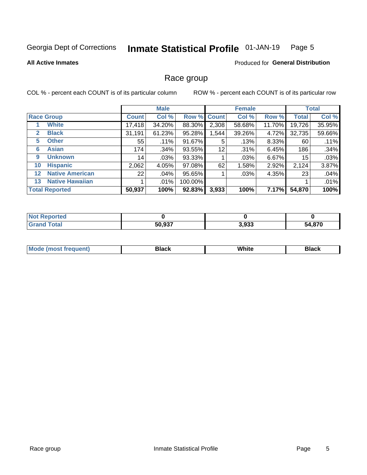#### Inmate Statistical Profile 01-JAN-19 Page 5

#### **All Active Inmates**

#### **Produced for General Distribution**

#### Race group

COL % - percent each COUNT is of its particular column

|                  |                        |              | <b>Male</b> |           |             | <b>Female</b> |        |              | <b>Total</b> |  |
|------------------|------------------------|--------------|-------------|-----------|-------------|---------------|--------|--------------|--------------|--|
|                  | <b>Race Group</b>      | <b>Count</b> | Col %       |           | Row % Count | Col %         | Row %  | <b>Total</b> | Col %        |  |
|                  | <b>White</b>           | 17,418       | 34.20%      | 88.30%    | 2,308       | 58.68%        | 11.70% | 19,726       | 35.95%       |  |
| $\mathbf{2}$     | <b>Black</b>           | 31,191       | 61.23%      | 95.28%    | 1,544       | 39.26%        | 4.72%  | 32,735       | 59.66%       |  |
| 5.               | <b>Other</b>           | 55           | .11%        | 91.67%    | 5           | .13%          | 8.33%  | 60           | .11%         |  |
| 6                | <b>Asian</b>           | 174          | .34%        | 93.55%    | 12          | .31%          | 6.45%  | 186          | .34%         |  |
| 9                | <b>Unknown</b>         | 14           | .03%        | 93.33%    |             | $.03\%$       | 6.67%  | 15           | .03%         |  |
| 10               | <b>Hispanic</b>        | 2,062        | 4.05%       | 97.08%    | 62          | 1.58%         | 2.92%  | 2,124        | 3.87%        |  |
| 12 <sup>12</sup> | <b>Native American</b> | 22           | $.04\%$     | 95.65%    |             | .03%          | 4.35%  | 23           | .04%         |  |
| 13               | <b>Native Hawaiian</b> |              | .01%        | 100.00%   |             |               |        |              | .01%         |  |
|                  | <b>Total Reported</b>  | 50,937       | 100%        | $92.83\%$ | 3,933       | 100%          | 7.17%  | 54,870       | 100%         |  |

| <b>Not Reported</b>            |        |       |        |
|--------------------------------|--------|-------|--------|
| <b>' Total</b><br><b>Grand</b> | 50,937 | 3,933 | 54,870 |

| <b>Mode</b><br>---<br>most frequent) | Black | White | <b>Black</b> |
|--------------------------------------|-------|-------|--------------|
|                                      |       |       |              |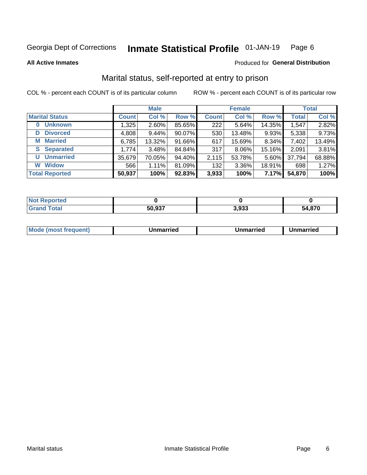#### Inmate Statistical Profile 01-JAN-19 Page 6

**All Active Inmates** 

#### Produced for General Distribution

### Marital status, self-reported at entry to prison

COL % - percent each COUNT is of its particular column

|                            | <b>Male</b>  |          |        |              | <b>Female</b> | <b>Total</b> |              |        |
|----------------------------|--------------|----------|--------|--------------|---------------|--------------|--------------|--------|
| <b>Marital Status</b>      | <b>Count</b> | Col %    | Row %  | <b>Count</b> | Col %         | Row %        | <b>Total</b> | Col %  |
| <b>Unknown</b><br>$\bf{0}$ | 1,325        | $2.60\%$ | 85.65% | 222          | 5.64%         | 14.35%       | 1,547        | 2.82%  |
| <b>Divorced</b><br>D       | 4,808        | $9.44\%$ | 90.07% | 530          | 13.48%        | 9.93%        | 5,338        | 9.73%  |
| <b>Married</b><br>М        | 6,785        | 13.32%   | 91.66% | 617          | 15.69%        | 8.34%        | 7,402        | 13.49% |
| <b>S</b> Separated         | 1,774        | 3.48%    | 84.84% | 317          | 8.06%         | 15.16%       | 2,091        | 3.81%  |
| <b>Unmarried</b><br>U      | 35,679       | 70.05%   | 94.40% | 2,115        | 53.78%        | 5.60%        | 37,794       | 68.88% |
| <b>Widow</b><br>W          | 566          | 1.11%    | 81.09% | 132          | 3.36%         | 18.91%       | 698          | 1.27%  |
| <b>Total Reported</b>      | 50,937       | 100%     | 92.83% | 3,933        | 100%          | 7.17%        | 54,870       | 100%   |

| N <sub>of</sub><br>ాorted |                |       |        |
|---------------------------|----------------|-------|--------|
| Гоtal                     | こへ ヘクフ<br>، 33 | 3.933 | 54.870 |

|--|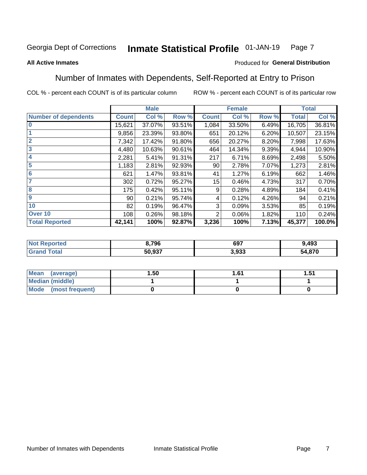#### Inmate Statistical Profile 01-JAN-19 Page 7

#### **All Active Inmates**

#### Produced for General Distribution

### Number of Inmates with Dependents, Self-Reported at Entry to Prison

COL % - percent each COUNT is of its particular column

|                             |              | <b>Male</b> |        | <b>Female</b>  |        |       | <b>Total</b> |        |
|-----------------------------|--------------|-------------|--------|----------------|--------|-------|--------------|--------|
| <b>Number of dependents</b> | <b>Count</b> | Col %       | Row %  | <b>Count</b>   | Col %  | Row % | <b>Total</b> | Col %  |
| l 0                         | 15,621       | 37.07%      | 93.51% | 1,084          | 33.50% | 6.49% | 16,705       | 36.81% |
|                             | 9,856        | 23.39%      | 93.80% | 651            | 20.12% | 6.20% | 10,507       | 23.15% |
| $\overline{2}$              | 7,342        | 17.42%      | 91.80% | 656            | 20.27% | 8.20% | 7,998        | 17.63% |
| $\overline{3}$              | 4,480        | 10.63%      | 90.61% | 464            | 14.34% | 9.39% | 4,944        | 10.90% |
| 4                           | 2,281        | 5.41%       | 91.31% | 217            | 6.71%  | 8.69% | 2,498        | 5.50%  |
| 5                           | 1,183        | 2.81%       | 92.93% | 90             | 2.78%  | 7.07% | 1,273        | 2.81%  |
| 6                           | 621          | 1.47%       | 93.81% | 41             | 1.27%  | 6.19% | 662          | 1.46%  |
| 7                           | 302          | 0.72%       | 95.27% | 15             | 0.46%  | 4.73% | 317          | 0.70%  |
| 8                           | 175          | 0.42%       | 95.11% | 9              | 0.28%  | 4.89% | 184          | 0.41%  |
| 9                           | 90           | 0.21%       | 95.74% | 4              | 0.12%  | 4.26% | 94           | 0.21%  |
| 10                          | 82           | 0.19%       | 96.47% | 3              | 0.09%  | 3.53% | 85           | 0.19%  |
| Over 10                     | 108          | 0.26%       | 98.18% | $\overline{2}$ | 0.06%  | 1.82% | 110          | 0.24%  |
| <b>Total Reported</b>       | 42,141       | 100%        | 92.87% | 3,236          | 100%   | 7.13% | 45,377       | 100.0% |

| 8,796  | 697   | 9,493  |
|--------|-------|--------|
| 50.037 | ດາາ   | 4.870ذ |
| JU.JJI | 3.933 | בר     |

| Mean (average)         | 1.50 | 1.61 | 51.، |
|------------------------|------|------|------|
| <b>Median (middle)</b> |      |      |      |
| Mode (most frequent)   |      |      |      |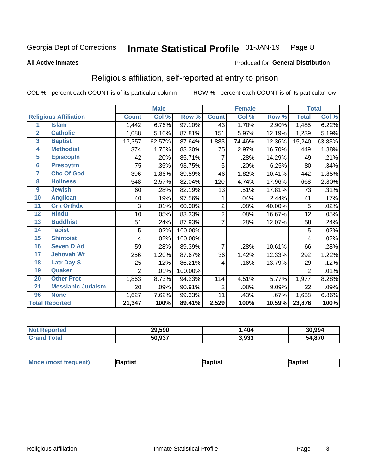#### Inmate Statistical Profile 01-JAN-19 Page 8

#### **All Active Inmates**

#### Produced for General Distribution

### Religious affiliation, self-reported at entry to prison

COL % - percent each COUNT is of its particular column

|                |                              |                | <b>Male</b> |         |                | <b>Female</b> |        |                     | <b>Total</b> |
|----------------|------------------------------|----------------|-------------|---------|----------------|---------------|--------|---------------------|--------------|
|                | <b>Religious Affiliation</b> | <b>Count</b>   | Col %       | Row %   | <b>Count</b>   | Col %         | Row %  | <b>Total</b>        | Col %        |
| 1              | <b>Islam</b>                 | 1,442          | 6.76%       | 97.10%  | 43             | 1.70%         | 2.90%  | 1,485               | 6.22%        |
| $\overline{2}$ | <b>Catholic</b>              | 1,088          | 5.10%       | 87.81%  | 151            | 5.97%         | 12.19% | 1,239               | 5.19%        |
| 3              | <b>Baptist</b>               | 13,357         | 62.57%      | 87.64%  | 1,883          | 74.46%        | 12.36% | 15,240              | 63.83%       |
| 4              | <b>Methodist</b>             | 374            | 1.75%       | 83.30%  | 75             | 2.97%         | 16.70% | 449                 | 1.88%        |
| 5              | <b>EpiscopIn</b>             | 42             | .20%        | 85.71%  | 7              | .28%          | 14.29% | 49                  | .21%         |
| $6\phantom{a}$ | <b>Presbytrn</b>             | 75             | .35%        | 93.75%  | 5              | .20%          | 6.25%  | 80                  | .34%         |
| 7              | <b>Chc Of God</b>            | 396            | 1.86%       | 89.59%  | 46             | 1.82%         | 10.41% | 442                 | 1.85%        |
| 8              | <b>Holiness</b>              | 548            | 2.57%       | 82.04%  | 120            | 4.74%         | 17.96% | 668                 | 2.80%        |
| 9              | <b>Jewish</b>                | 60             | .28%        | 82.19%  | 13             | .51%          | 17.81% | 73                  | .31%         |
| 10             | <b>Anglican</b>              | 40             | .19%        | 97.56%  | 1              | .04%          | 2.44%  | 41                  | .17%         |
| 11             | <b>Grk Orthdx</b>            | 3              | .01%        | 60.00%  | $\overline{2}$ | .08%          | 40.00% | 5                   | .02%         |
| 12             | <b>Hindu</b>                 | 10             | .05%        | 83.33%  | $\overline{2}$ | .08%          | 16.67% | 12                  | .05%         |
| 13             | <b>Buddhist</b>              | 51             | .24%        | 87.93%  | 7              | .28%          | 12.07% | 58                  | .24%         |
| 14             | <b>Taoist</b>                | 5              | .02%        | 100.00% |                |               |        | 5                   | .02%         |
| 15             | <b>Shintoist</b>             | 4              | .02%        | 100.00% |                |               |        | 4                   | .02%         |
| 16             | <b>Seven D Ad</b>            | 59             | .28%        | 89.39%  | $\overline{7}$ | .28%          | 10.61% | 66                  | .28%         |
| 17             | <b>Jehovah Wt</b>            | 256            | 1.20%       | 87.67%  | 36             | 1.42%         | 12.33% | 292                 | 1.22%        |
| 18             | <b>Latr Day S</b>            | 25             | .12%        | 86.21%  | 4              | .16%          | 13.79% | 29                  | .12%         |
| 19             | Quaker                       | $\overline{2}$ | .01%        | 100.00% |                |               |        | $\overline{2}$      | .01%         |
| 20             | <b>Other Prot</b>            | 1,863          | 8.73%       | 94.23%  | 114            | 4.51%         | 5.77%  | 1,977               | 8.28%        |
| 21             | <b>Messianic Judaism</b>     | 20             | .09%        | 90.91%  | 2              | .08%          | 9.09%  | 22                  | .09%         |
| 96             | <b>None</b>                  | 1,627          | 7.62%       | 99.33%  | 11             | .43%          | .67%   | 1,638               | 6.86%        |
|                | <b>Total Reported</b>        | 21,347         | 100%        | 89.41%  | 2,529          | 100%          | 10.59% | $\overline{23,876}$ | 100%         |

| ortec<br>NI. | 29,590 | 404   | 30.994      |
|--------------|--------|-------|-------------|
| <b>ota</b>   | 50,937 | 3,933 | 4,870<br>54 |

| <b>Mode (most frequent)</b> | <b>Japtist</b> | Baptist | Baptist |
|-----------------------------|----------------|---------|---------|
|-----------------------------|----------------|---------|---------|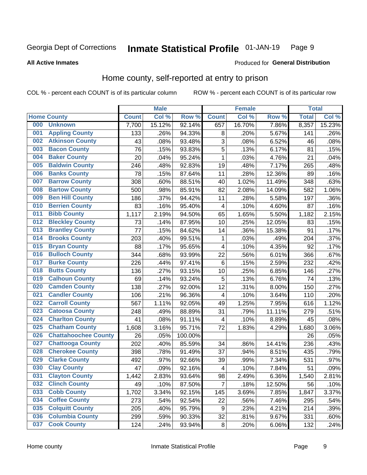#### Inmate Statistical Profile 01-JAN-19 Page 9

**All Active Inmates** 

#### **Produced for General Distribution**

### Home county, self-reported at entry to prison

COL % - percent each COUNT is of its particular column

|     |                             |              | <b>Male</b> |         |                  | <b>Female</b> |        | <b>Total</b> |        |
|-----|-----------------------------|--------------|-------------|---------|------------------|---------------|--------|--------------|--------|
|     | <b>Home County</b>          | <b>Count</b> | Col %       | Row %   | <b>Count</b>     | Col %         | Row %  | <b>Total</b> | Col %  |
| 000 | <b>Unknown</b>              | 7,700        | 15.12%      | 92.14%  | 657              | 16.70%        | 7.86%  | 8,357        | 15.23% |
| 001 | <b>Appling County</b>       | 133          | .26%        | 94.33%  | 8                | .20%          | 5.67%  | 141          | .26%   |
| 002 | <b>Atkinson County</b>      | 43           | .08%        | 93.48%  | 3                | .08%          | 6.52%  | 46           | .08%   |
| 003 | <b>Bacon County</b>         | 76           | .15%        | 93.83%  | 5                | .13%          | 6.17%  | 81           | .15%   |
| 004 | <b>Baker County</b>         | 20           | .04%        | 95.24%  | $\mathbf 1$      | .03%          | 4.76%  | 21           | .04%   |
| 005 | <b>Baldwin County</b>       | 246          | .48%        | 92.83%  | 19               | .48%          | 7.17%  | 265          | .48%   |
| 006 | <b>Banks County</b>         | 78           | .15%        | 87.64%  | 11               | .28%          | 12.36% | 89           | .16%   |
| 007 | <b>Barrow County</b>        | 308          | .60%        | 88.51%  | 40               | 1.02%         | 11.49% | 348          | .63%   |
| 008 | <b>Bartow County</b>        | 500          | .98%        | 85.91%  | 82               | 2.08%         | 14.09% | 582          | 1.06%  |
| 009 | <b>Ben Hill County</b>      | 186          | .37%        | 94.42%  | 11               | .28%          | 5.58%  | 197          | .36%   |
| 010 | <b>Berrien County</b>       | 83           | .16%        | 95.40%  | 4                | .10%          | 4.60%  | 87           | .16%   |
| 011 | <b>Bibb County</b>          | 1,117        | 2.19%       | 94.50%  | 65               | 1.65%         | 5.50%  | 1,182        | 2.15%  |
| 012 | <b>Bleckley County</b>      | 73           | .14%        | 87.95%  | 10               | .25%          | 12.05% | 83           | .15%   |
| 013 | <b>Brantley County</b>      | 77           | .15%        | 84.62%  | 14               | .36%          | 15.38% | 91           | .17%   |
| 014 | <b>Brooks County</b>        | 203          | .40%        | 99.51%  | 1                | .03%          | .49%   | 204          | .37%   |
| 015 | <b>Bryan County</b>         | 88           | .17%        | 95.65%  | 4                | .10%          | 4.35%  | 92           | .17%   |
| 016 | <b>Bulloch County</b>       | 344          | .68%        | 93.99%  | 22               | .56%          | 6.01%  | 366          | .67%   |
| 017 | <b>Burke County</b>         | 226          | .44%        | 97.41%  | 6                | .15%          | 2.59%  | 232          | .42%   |
| 018 | <b>Butts County</b>         | 136          | .27%        | 93.15%  | 10               | .25%          | 6.85%  | 146          | .27%   |
| 019 | <b>Calhoun County</b>       | 69           | .14%        | 93.24%  | 5                | .13%          | 6.76%  | 74           | .13%   |
| 020 | <b>Camden County</b>        | 138          | .27%        | 92.00%  | 12               | .31%          | 8.00%  | 150          | .27%   |
| 021 | <b>Candler County</b>       | 106          | .21%        | 96.36%  | 4                | .10%          | 3.64%  | 110          | .20%   |
| 022 | <b>Carroll County</b>       | 567          | 1.11%       | 92.05%  | 49               | 1.25%         | 7.95%  | 616          | 1.12%  |
| 023 | <b>Catoosa County</b>       | 248          | .49%        | 88.89%  | 31               | .79%          | 11.11% | 279          | .51%   |
| 024 | <b>Charlton County</b>      | 41           | .08%        | 91.11%  | 4                | .10%          | 8.89%  | 45           | .08%   |
| 025 | <b>Chatham County</b>       | 1,608        | 3.16%       | 95.71%  | 72               | 1.83%         | 4.29%  | 1,680        | 3.06%  |
| 026 | <b>Chattahoochee County</b> | 26           | .05%        | 100.00% |                  |               |        | 26           | .05%   |
| 027 | <b>Chattooga County</b>     | 202          | .40%        | 85.59%  | 34               | .86%          | 14.41% | 236          | .43%   |
| 028 | <b>Cherokee County</b>      | 398          | .78%        | 91.49%  | 37               | .94%          | 8.51%  | 435          | .79%   |
| 029 | <b>Clarke County</b>        | 492          | .97%        | 92.66%  | 39               | .99%          | 7.34%  | 531          | .97%   |
| 030 | <b>Clay County</b>          | 47           | .09%        | 92.16%  | 4                | .10%          | 7.84%  | 51           | .09%   |
| 031 | <b>Clayton County</b>       | 1,442        | 2.83%       | 93.64%  | 98               | 2.49%         | 6.36%  | 1,540        | 2.81%  |
| 032 | <b>Clinch County</b>        | 49           | .10%        | 87.50%  | $\overline{7}$   | .18%          | 12.50% | 56           | .10%   |
| 033 | <b>Cobb County</b>          | 1,702        | 3.34%       | 92.15%  | 145              | 3.69%         | 7.85%  | 1,847        | 3.37%  |
| 034 | <b>Coffee County</b>        | 273          | .54%        | 92.54%  | 22               | .56%          | 7.46%  | 295          | .54%   |
| 035 | <b>Colquitt County</b>      | 205          | .40%        | 95.79%  | $\boldsymbol{9}$ | .23%          | 4.21%  | 214          | .39%   |
| 036 | <b>Columbia County</b>      | 299          | .59%        | 90.33%  | 32               | .81%          | 9.67%  | 331          | .60%   |
| 037 | <b>Cook County</b>          | 124          | .24%        | 93.94%  | $\bf 8$          | .20%          | 6.06%  | 132          | .24%   |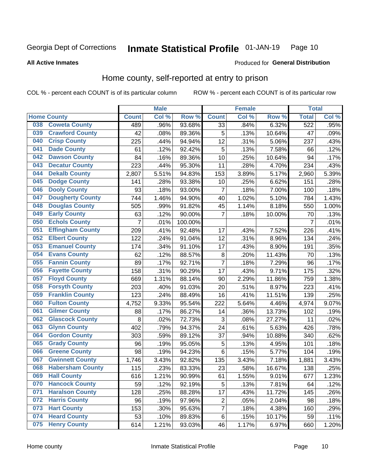#### Inmate Statistical Profile 01-JAN-19 Page 10

#### **All Active Inmates**

### Produced for General Distribution

### Home county, self-reported at entry to prison

COL % - percent each COUNT is of its particular column

|     |                         |                    | <b>Male</b> |         |                 | <b>Female</b> |        | <b>Total</b>     |       |
|-----|-------------------------|--------------------|-------------|---------|-----------------|---------------|--------|------------------|-------|
|     | <b>Home County</b>      | <b>Count</b>       | Col %       | Row %   | <b>Count</b>    | Col %         | Row %  | <b>Total</b>     | Col % |
| 038 | <b>Coweta County</b>    | 489                | .96%        | 93.68%  | $\overline{33}$ | .84%          | 6.32%  | $\overline{522}$ | .95%  |
| 039 | <b>Crawford County</b>  | 42                 | .08%        | 89.36%  | 5               | .13%          | 10.64% | 47               | .09%  |
| 040 | <b>Crisp County</b>     | 225                | .44%        | 94.94%  | 12              | .31%          | 5.06%  | 237              | .43%  |
| 041 | <b>Dade County</b>      | 61                 | .12%        | 92.42%  | 5               | .13%          | 7.58%  | 66               | .12%  |
| 042 | <b>Dawson County</b>    | 84                 | .16%        | 89.36%  | 10              | .25%          | 10.64% | 94               | .17%  |
| 043 | <b>Decatur County</b>   | 223                | .44%        | 95.30%  | 11              | .28%          | 4.70%  | 234              | .43%  |
| 044 | <b>Dekalb County</b>    | 2,807              | 5.51%       | 94.83%  | 153             | 3.89%         | 5.17%  | 2,960            | 5.39% |
| 045 | <b>Dodge County</b>     | 141                | .28%        | 93.38%  | 10              | .25%          | 6.62%  | 151              | .28%  |
| 046 | <b>Dooly County</b>     | 93                 | .18%        | 93.00%  | 7               | .18%          | 7.00%  | 100              | .18%  |
| 047 | <b>Dougherty County</b> | 744                | 1.46%       | 94.90%  | 40              | 1.02%         | 5.10%  | 784              | 1.43% |
| 048 | <b>Douglas County</b>   | 505                | .99%        | 91.82%  | 45              | 1.14%         | 8.18%  | 550              | 1.00% |
| 049 | <b>Early County</b>     | 63                 | .12%        | 90.00%  | $\overline{7}$  | .18%          | 10.00% | 70               | .13%  |
| 050 | <b>Echols County</b>    | $\overline{7}$     | .01%        | 100.00% |                 |               |        | $\overline{7}$   | .01%  |
| 051 | <b>Effingham County</b> | 209                | .41%        | 92.48%  | 17              | .43%          | 7.52%  | 226              | .41%  |
| 052 | <b>Elbert County</b>    | 122                | .24%        | 91.04%  | 12              | .31%          | 8.96%  | 134              | .24%  |
| 053 | <b>Emanuel County</b>   | 174                | .34%        | 91.10%  | 17              | .43%          | 8.90%  | 191              | .35%  |
| 054 | <b>Evans County</b>     | 62                 | .12%        | 88.57%  | 8               | .20%          | 11.43% | 70               | .13%  |
| 055 | <b>Fannin County</b>    | 89                 | .17%        | 92.71%  | 7               | .18%          | 7.29%  | 96               | .17%  |
| 056 | <b>Fayette County</b>   | 158                | .31%        | 90.29%  | 17              | .43%          | 9.71%  | 175              | .32%  |
| 057 | <b>Floyd County</b>     | 669                | 1.31%       | 88.14%  | 90              | 2.29%         | 11.86% | 759              | 1.38% |
| 058 | <b>Forsyth County</b>   | 203                | .40%        | 91.03%  | 20              | .51%          | 8.97%  | 223              | .41%  |
| 059 | <b>Franklin County</b>  | 123                | .24%        | 88.49%  | 16              | .41%          | 11.51% | 139              | .25%  |
| 060 | <b>Fulton County</b>    | 4,752              | 9.33%       | 95.54%  | 222             | 5.64%         | 4.46%  | 4,974            | 9.07% |
| 061 | <b>Gilmer County</b>    | 88                 | .17%        | 86.27%  | 14              | .36%          | 13.73% | 102              | .19%  |
| 062 | <b>Glascock County</b>  | 8                  | .02%        | 72.73%  | 3               | .08%          | 27.27% | 11               | .02%  |
| 063 | <b>Glynn County</b>     | 402                | .79%        | 94.37%  | 24              | .61%          | 5.63%  | 426              | .78%  |
| 064 | <b>Gordon County</b>    | 303                | .59%        | 89.12%  | $\overline{37}$ | .94%          | 10.88% | 340              | .62%  |
| 065 | <b>Grady County</b>     | 96                 | .19%        | 95.05%  | 5               | .13%          | 4.95%  | 101              | .18%  |
| 066 | <b>Greene County</b>    | 98                 | .19%        | 94.23%  | 6               | .15%          | 5.77%  | 104              | .19%  |
| 067 | <b>Gwinnett County</b>  | $\overline{1,746}$ | 3.43%       | 92.82%  | 135             | 3.43%         | 7.18%  | 1,881            | 3.43% |
| 068 | <b>Habersham County</b> | 115                | .23%        | 83.33%  | 23              | .58%          | 16.67% | 138              | .25%  |
| 069 | <b>Hall County</b>      | 616                | 1.21%       | 90.99%  | 61              | 1.55%         | 9.01%  | 677              | 1.23% |
| 070 | <b>Hancock County</b>   | 59                 | .12%        | 92.19%  | 5               | .13%          | 7.81%  | 64               | .12%  |
| 071 | <b>Haralson County</b>  | 128                | .25%        | 88.28%  | 17              | .43%          | 11.72% | 145              | .26%  |
| 072 | <b>Harris County</b>    | 96                 | .19%        | 97.96%  | $\mathbf 2$     | .05%          | 2.04%  | 98               | .18%  |
| 073 | <b>Hart County</b>      | 153                | .30%        | 95.63%  | 7               | .18%          | 4.38%  | 160              | .29%  |
| 074 | <b>Heard County</b>     | 53                 | .10%        | 89.83%  | 6               | .15%          | 10.17% | 59               | .11%  |
| 075 | <b>Henry County</b>     | 614                | 1.21%       | 93.03%  | 46              | 1.17%         | 6.97%  | 660              | 1.20% |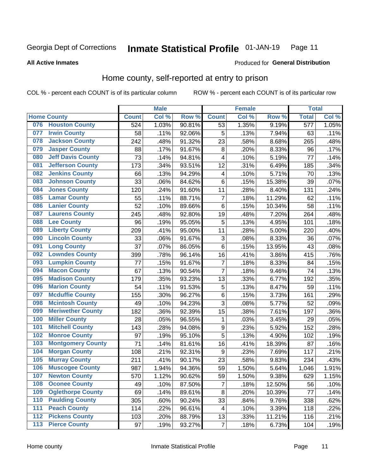#### Inmate Statistical Profile 01-JAN-19 Page 11

#### **All Active Inmates**

#### Produced for General Distribution

### Home county, self-reported at entry to prison

COL % - percent each COUNT is of its particular column

|                  |                          |              | <b>Male</b> |        |                         | <b>Female</b> |                  | <b>Total</b> |       |
|------------------|--------------------------|--------------|-------------|--------|-------------------------|---------------|------------------|--------------|-------|
|                  | <b>Home County</b>       | <b>Count</b> | Col %       | Row %  | <b>Count</b>            | Col %         | Row <sup>%</sup> | <b>Total</b> | Col % |
| 076              | <b>Houston County</b>    | 524          | 1.03%       | 90.81% | 53                      | 1.35%         | 9.19%            | 577          | 1.05% |
| 077              | <b>Irwin County</b>      | 58           | .11%        | 92.06% | 5                       | .13%          | 7.94%            | 63           | .11%  |
| 078              | <b>Jackson County</b>    | 242          | .48%        | 91.32% | 23                      | .58%          | 8.68%            | 265          | .48%  |
| 079              | <b>Jasper County</b>     | 88           | .17%        | 91.67% | 8                       | .20%          | 8.33%            | 96           | .17%  |
| 080              | <b>Jeff Davis County</b> | 73           | .14%        | 94.81% | 4                       | .10%          | 5.19%            | 77           | .14%  |
| 081              | <b>Jefferson County</b>  | 173          | .34%        | 93.51% | 12                      | .31%          | 6.49%            | 185          | .34%  |
| 082              | <b>Jenkins County</b>    | 66           | .13%        | 94.29% | $\overline{\mathbf{4}}$ | .10%          | 5.71%            | 70           | .13%  |
| 083              | <b>Johnson County</b>    | 33           | .06%        | 84.62% | 6                       | .15%          | 15.38%           | 39           | .07%  |
| 084              | <b>Jones County</b>      | 120          | .24%        | 91.60% | 11                      | .28%          | 8.40%            | 131          | .24%  |
| 085              | <b>Lamar County</b>      | 55           | .11%        | 88.71% | $\overline{7}$          | .18%          | 11.29%           | 62           | .11%  |
| 086              | <b>Lanier County</b>     | 52           | .10%        | 89.66% | $\,6$                   | .15%          | 10.34%           | 58           | .11%  |
| 087              | <b>Laurens County</b>    | 245          | .48%        | 92.80% | 19                      | .48%          | 7.20%            | 264          | .48%  |
| 088              | <b>Lee County</b>        | 96           | .19%        | 95.05% | 5                       | .13%          | 4.95%            | 101          | .18%  |
| 089              | <b>Liberty County</b>    | 209          | .41%        | 95.00% | 11                      | .28%          | 5.00%            | 220          | .40%  |
| 090              | <b>Lincoln County</b>    | 33           | .06%        | 91.67% | 3                       | .08%          | 8.33%            | 36           | .07%  |
| 091              | <b>Long County</b>       | 37           | .07%        | 86.05% | 6                       | .15%          | 13.95%           | 43           | .08%  |
| 092              | <b>Lowndes County</b>    | 399          | .78%        | 96.14% | 16                      | .41%          | 3.86%            | 415          | .76%  |
| 093              | <b>Lumpkin County</b>    | 77           | .15%        | 91.67% | $\overline{7}$          | .18%          | 8.33%            | 84           | .15%  |
| 094              | <b>Macon County</b>      | 67           | .13%        | 90.54% | $\overline{7}$          | .18%          | 9.46%            | 74           | .13%  |
| 095              | <b>Madison County</b>    | 179          | .35%        | 93.23% | 13                      | .33%          | 6.77%            | 192          | .35%  |
| 096              | <b>Marion County</b>     | 54           | .11%        | 91.53% | 5                       | .13%          | 8.47%            | 59           | .11%  |
| 097              | <b>Mcduffie County</b>   | 155          | .30%        | 96.27% | $\,6$                   | .15%          | 3.73%            | 161          | .29%  |
| 098              | <b>Mcintosh County</b>   | 49           | .10%        | 94.23% | $\overline{3}$          | .08%          | 5.77%            | 52           | .09%  |
| 099              | <b>Meriwether County</b> | 182          | .36%        | 92.39% | 15                      | .38%          | 7.61%            | 197          | .36%  |
| 100              | <b>Miller County</b>     | 28           | .05%        | 96.55% | $\mathbf{1}$            | .03%          | 3.45%            | 29           | .05%  |
| 101              | <b>Mitchell County</b>   | 143          | .28%        | 94.08% | $\boldsymbol{9}$        | .23%          | 5.92%            | 152          | .28%  |
| 102              | <b>Monroe County</b>     | 97           | .19%        | 95.10% | $\overline{5}$          | .13%          | 4.90%            | 102          | .19%  |
| 103              | <b>Montgomery County</b> | 71           | .14%        | 81.61% | 16                      | .41%          | 18.39%           | 87           | .16%  |
| 104              | <b>Morgan County</b>     | 108          | .21%        | 92.31% | 9                       | .23%          | 7.69%            | 117          | .21%  |
| 105              | <b>Murray County</b>     | 211          | .41%        | 90.17% | 23                      | .58%          | 9.83%            | 234          | .43%  |
| 106              | <b>Muscogee County</b>   | 987          | 1.94%       | 94.36% | 59                      | 1.50%         | 5.64%            | 1,046        | 1.91% |
| 107              | <b>Newton County</b>     | 570          | 1.12%       | 90.62% | 59                      | 1.50%         | 9.38%            | 629          | 1.15% |
| 108              | <b>Oconee County</b>     | 49           | .10%        | 87.50% | 7                       | .18%          | 12.50%           | 56           | .10%  |
| 109              | <b>Oglethorpe County</b> | 69           | .14%        | 89.61% | 8                       | .20%          | 10.39%           | 77           | .14%  |
| 110              | <b>Paulding County</b>   | 305          | .60%        | 90.24% | 33                      | .84%          | 9.76%            | 338          | .62%  |
| 111              | <b>Peach County</b>      | 114          | .22%        | 96.61% | 4                       | .10%          | 3.39%            | 118          | .22%  |
| $\overline{112}$ | <b>Pickens County</b>    | 103          | .20%        | 88.79% | 13                      | .33%          | 11.21%           | 116          | .21%  |
| 113              | <b>Pierce County</b>     | 97           | .19%        | 93.27% | $\overline{7}$          | .18%          | 6.73%            | 104          | .19%  |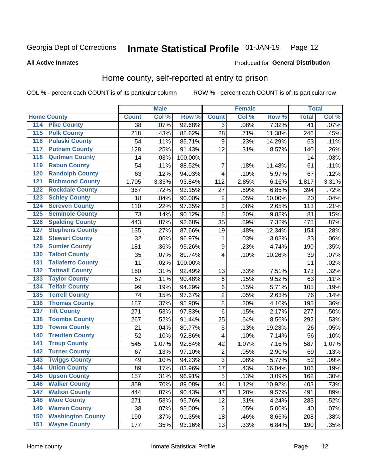#### Inmate Statistical Profile 01-JAN-19 Page 12

**All Active Inmates** 

#### Produced for General Distribution

### Home county, self-reported at entry to prison

COL % - percent each COUNT is of its particular column

|                  |                          |              | <b>Male</b> |         |                         | <b>Female</b> |        | <b>Total</b> |       |
|------------------|--------------------------|--------------|-------------|---------|-------------------------|---------------|--------|--------------|-------|
|                  | <b>Home County</b>       | <b>Count</b> | Col %       | Row %   | <b>Count</b>            | Col %         | Row %  | <b>Total</b> | Col % |
| 114              | <b>Pike County</b>       | 38           | .07%        | 92.68%  | $\overline{3}$          | .08%          | 7.32%  | 41           | .07%  |
| 115              | <b>Polk County</b>       | 218          | .43%        | 88.62%  | 28                      | .71%          | 11.38% | 246          | .45%  |
| 116              | <b>Pulaski County</b>    | 54           | .11%        | 85.71%  | $\boldsymbol{9}$        | .23%          | 14.29% | 63           | .11%  |
| 117              | <b>Putnam County</b>     | 128          | .25%        | 91.43%  | 12                      | .31%          | 8.57%  | 140          | .26%  |
| 118              | <b>Quitman County</b>    | 14           | .03%        | 100.00% |                         |               |        | 14           | .03%  |
| 119              | <b>Rabun County</b>      | 54           | .11%        | 88.52%  | 7                       | .18%          | 11.48% | 61           | .11%  |
| 120              | <b>Randolph County</b>   | 63           | .12%        | 94.03%  | $\overline{\mathbf{4}}$ | .10%          | 5.97%  | 67           | .12%  |
| 121              | <b>Richmond County</b>   | 1,705        | 3.35%       | 93.84%  | 112                     | 2.85%         | 6.16%  | 1,817        | 3.31% |
| 122              | <b>Rockdale County</b>   | 367          | .72%        | 93.15%  | 27                      | .69%          | 6.85%  | 394          | .72%  |
| 123              | <b>Schley County</b>     | 18           | .04%        | 90.00%  | $\overline{2}$          | .05%          | 10.00% | 20           | .04%  |
| 124              | <b>Screven County</b>    | 110          | .22%        | 97.35%  | $\overline{3}$          | .08%          | 2.65%  | 113          | .21%  |
| 125              | <b>Seminole County</b>   | 73           | .14%        | 90.12%  | 8                       | .20%          | 9.88%  | 81           | .15%  |
| 126              | <b>Spalding County</b>   | 443          | .87%        | 92.68%  | 35                      | .89%          | 7.32%  | 478          | .87%  |
| 127              | <b>Stephens County</b>   | 135          | .27%        | 87.66%  | 19                      | .48%          | 12.34% | 154          | .28%  |
| 128              | <b>Stewart County</b>    | 32           | .06%        | 96.97%  | 1                       | .03%          | 3.03%  | 33           | .06%  |
| 129              | <b>Sumter County</b>     | 181          | .36%        | 95.26%  | $\boldsymbol{9}$        | .23%          | 4.74%  | 190          | .35%  |
| 130              | <b>Talbot County</b>     | 35           | .07%        | 89.74%  | $\overline{\mathbf{4}}$ | .10%          | 10.26% | 39           | .07%  |
| 131              | <b>Taliaferro County</b> | 11           | .02%        | 100.00% |                         |               |        | 11           | .02%  |
| 132              | <b>Tattnall County</b>   | 160          | .31%        | 92.49%  | 13                      | .33%          | 7.51%  | 173          | .32%  |
| 133              | <b>Taylor County</b>     | 57           | .11%        | 90.48%  | $\,6$                   | .15%          | 9.52%  | 63           | .11%  |
| 134              | <b>Telfair County</b>    | 99           | .19%        | 94.29%  | 6                       | .15%          | 5.71%  | 105          | .19%  |
| 135              | <b>Terrell County</b>    | 74           | .15%        | 97.37%  | $\overline{2}$          | .05%          | 2.63%  | 76           | .14%  |
| 136              | <b>Thomas County</b>     | 187          | .37%        | 95.90%  | $\overline{8}$          | .20%          | 4.10%  | 195          | .36%  |
| 137              | <b>Tift County</b>       | 271          | .53%        | 97.83%  | $\,6$                   | .15%          | 2.17%  | 277          | .50%  |
| 138              | <b>Toombs County</b>     | 267          | .52%        | 91.44%  | 25                      | .64%          | 8.56%  | 292          | .53%  |
| 139              | <b>Towns County</b>      | 21           | .04%        | 80.77%  | 5                       | .13%          | 19.23% | 26           | .05%  |
| 140              | <b>Treutlen County</b>   | 52           | .10%        | 92.86%  | $\overline{\mathbf{4}}$ | .10%          | 7.14%  | 56           | .10%  |
| 141              | <b>Troup County</b>      | 545          | 1.07%       | 92.84%  | 42                      | 1.07%         | 7.16%  | 587          | 1.07% |
| $\overline{142}$ | <b>Turner County</b>     | 67           | .13%        | 97.10%  | $\overline{2}$          | .05%          | 2.90%  | 69           | .13%  |
| 143              | <b>Twiggs County</b>     | 49           | .10%        | 94.23%  | $\overline{3}$          | .08%          | 5.77%  | 52           | .09%  |
| 144              | <b>Union County</b>      | 89           | .17%        | 83.96%  | 17                      | .43%          | 16.04% | 106          | .19%  |
| 145              | <b>Upson County</b>      | 157          | .31%        | 96.91%  | 5                       | .13%          | 3.09%  | 162          | .30%  |
| 146              | <b>Walker County</b>     | 359          | .70%        | 89.08%  | 44                      | 1.12%         | 10.92% | 403          | .73%  |
| 147              | <b>Walton County</b>     | 444          | .87%        | 90.43%  | 47                      | 1.20%         | 9.57%  | 491          | .89%  |
| 148              | <b>Ware County</b>       | 271          | .53%        | 95.76%  | 12                      | .31%          | 4.24%  | 283          | .52%  |
| 149              | <b>Warren County</b>     | 38           | .07%        | 95.00%  | $\overline{2}$          | .05%          | 5.00%  | 40           | .07%  |
| 150              | <b>Washington County</b> | 190          | .37%        | 91.35%  | 18                      | .46%          | 8.65%  | 208          | .38%  |
| 151              | <b>Wayne County</b>      | 177          | .35%        | 93.16%  | 13                      | .33%          | 6.84%  | 190          | .35%  |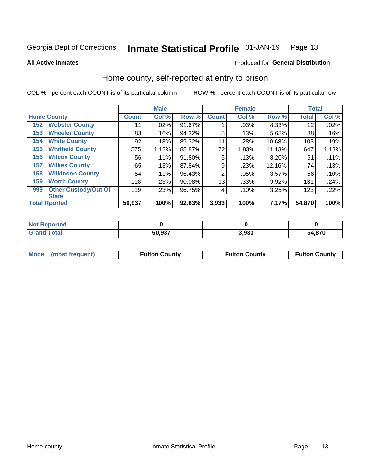#### Inmate Statistical Profile 01-JAN-19 Page 13

#### **All Active Inmates**

#### Produced for General Distribution

### Home county, self-reported at entry to prison

COL % - percent each COUNT is of its particular column

|     |                             |              | <b>Male</b> |        |                | <b>Female</b> |        | <b>Total</b> |       |
|-----|-----------------------------|--------------|-------------|--------|----------------|---------------|--------|--------------|-------|
|     | <b>Home County</b>          | <b>Count</b> | Col %       | Row %  | <b>Count</b>   | Col %         | Row %  | <b>Total</b> | Col % |
| 152 | <b>Webster County</b>       | 11           | .02%        | 91.67% |                | .03%          | 8.33%  | 12           | .02%  |
| 153 | <b>Wheeler County</b>       | 83           | .16%        | 94.32% | 5              | .13%          | 5.68%  | 88           | .16%  |
| 154 | <b>White County</b>         | 92           | .18%        | 89.32% | 11             | .28%          | 10.68% | 103          | .19%  |
| 155 | <b>Whitfield County</b>     | 575          | 1.13%       | 88.87% | 72             | 1.83%         | 11.13% | 647          | 1.18% |
| 156 | <b>Wilcox County</b>        | 56           | .11%        | 91.80% | 5              | .13%          | 8.20%  | 61           | .11%  |
| 157 | <b>Wilkes County</b>        | 65           | .13%        | 87.84% | 9              | .23%          | 12.16% | 74           | .13%  |
| 158 | <b>Wilkinson County</b>     | 54           | $.11\%$     | 96.43% | $\overline{2}$ | .05%          | 3.57%  | 56           | .10%  |
| 159 | <b>Worth County</b>         | 118          | .23%        | 90.08% | 13             | .33%          | 9.92%  | 131          | .24%  |
| 999 | <b>Other Custody/Out Of</b> | 119          | .23%        | 96.75% | 4              | .10%          | 3.25%  | 123          | .22%  |
|     | <b>State</b>                |              |             |        |                |               |        |              |       |
|     | <b>Total Rported</b>        | 50,937       | 100%        | 92.83% | 3,933          | 100%          | 7.17%  | 54,870       | 100%  |

| <b>Not</b><br>Reported |        |                |        |
|------------------------|--------|----------------|--------|
| <b>c</b> otal          | 50,937 | 3.033<br>ວ.ວວວ | 54,870 |

| Mode (most frequent) | <b>Fulton County</b> | <b>Fulton County</b> | <b>Fulton County</b> |
|----------------------|----------------------|----------------------|----------------------|
|                      |                      |                      |                      |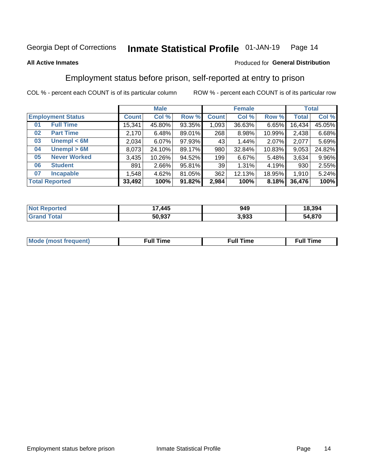#### Inmate Statistical Profile 01-JAN-19 Page 14

#### **All Active Inmates**

#### Produced for General Distribution

### Employment status before prison, self-reported at entry to prison

COL % - percent each COUNT is of its particular column

|                           | <b>Male</b>  |        |        | <b>Female</b>   |        |        | <b>Total</b> |        |
|---------------------------|--------------|--------|--------|-----------------|--------|--------|--------------|--------|
| <b>Employment Status</b>  | <b>Count</b> | Col %  | Row %  | <b>Count</b>    | Col %  | Row %  | <b>Total</b> | Col %  |
| <b>Full Time</b><br>01    | 15,341       | 45.80% | 93.35% | 1,093           | 36.63% | 6.65%  | 16,434       | 45.05% |
| <b>Part Time</b><br>02    | 2,170        | 6.48%  | 89.01% | 268             | 8.98%  | 10.99% | 2,438        | 6.68%  |
| Unempl $<$ 6M<br>03       | 2,034        | 6.07%  | 97.93% | 43 <sup>1</sup> | 1.44%  | 2.07%  | 2,077        | 5.69%  |
| Unempl > 6M<br>04         | 8,073        | 24.10% | 89.17% | 980             | 32.84% | 10.83% | 9,053        | 24.82% |
| <b>Never Worked</b><br>05 | 3,435        | 10.26% | 94.52% | 199             | 6.67%  | 5.48%  | 3,634        | 9.96%  |
| <b>Student</b><br>06      | 891          | 2.66%  | 95.81% | 39 <sub>1</sub> | 1.31%  | 4.19%  | 930          | 2.55%  |
| <b>Incapable</b><br>07    | ,548         | 4.62%  | 81.05% | 362             | 12.13% | 18.95% | 1,910        | 5.24%  |
| <b>Total Reported</b>     | 33,492       | 100%   | 91.82% | 2,984           | 100%   | 8.18%  | 36,476       | 100%   |

| orteo<br>NO                       | 17,445 | 949   | 18,394      |
|-----------------------------------|--------|-------|-------------|
| $T_{\text{total}}$<br><b>Grar</b> | 50.937 | 3,933 | . 87C<br>54 |

| Mc | ----<br>me<br>ш | nc<br>. |
|----|-----------------|---------|
|    |                 |         |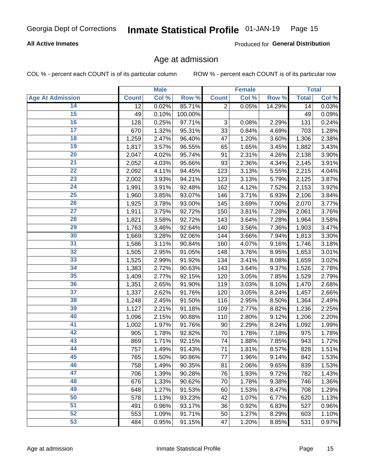#### **All Active Inmates**

Produced for General Distribution

### Age at admission

COL % - percent each COUNT is of its particular column

|                         |              | <b>Male</b> |         |                           | <b>Female</b> |        |              | <b>Total</b> |
|-------------------------|--------------|-------------|---------|---------------------------|---------------|--------|--------------|--------------|
| <b>Age At Admission</b> | <b>Count</b> | Col %       | Row %   | <b>Count</b>              | Col %         | Row %  | <b>Total</b> | Col %        |
| 14                      | 12           | 0.02%       | 85.71%  | $\overline{2}$            | 0.05%         | 14.29% | 14           | 0.03%        |
| $\overline{15}$         | 49           | 0.10%       | 100.00% |                           |               |        | 49           | 0.09%        |
| 16                      | 128          | 0.25%       | 97.71%  | $\ensuremath{\mathsf{3}}$ | 0.08%         | 2.29%  | 131          | 0.24%        |
| $\overline{17}$         | 670          | 1.32%       | 95.31%  | 33                        | 0.84%         | 4.69%  | 703          | 1.28%        |
| $\overline{18}$         | 1,259        | 2.47%       | 96.40%  | 47                        | 1.20%         | 3.60%  | 1,306        | 2.38%        |
| 19                      | 1,817        | 3.57%       | 96.55%  | 65                        | 1.65%         | 3.45%  | 1,882        | 3.43%        |
| 20                      | 2,047        | 4.02%       | 95.74%  | 91                        | 2.31%         | 4.26%  | 2,138        | 3.90%        |
| $\overline{21}$         | 2,052        | 4.03%       | 95.66%  | 93                        | 2.36%         | 4.34%  | 2,145        | 3.91%        |
| $\overline{22}$         | 2,092        | 4.11%       | 94.45%  | 123                       | 3.13%         | 5.55%  | 2,215        | 4.04%        |
| 23                      | 2,002        | 3.93%       | 94.21%  | 123                       | 3.13%         | 5.79%  | 2,125        | 3.87%        |
| 24                      | 1,991        | 3.91%       | 92.48%  | 162                       | 4.12%         | 7.52%  | 2,153        | 3.92%        |
| $\overline{25}$         | 1,960        | 3.85%       | 93.07%  | 146                       | 3.71%         | 6.93%  | 2,106        | 3.84%        |
| $\overline{26}$         | 1,925        | 3.78%       | 93.00%  | 145                       | 3.69%         | 7.00%  | 2,070        | 3.77%        |
| $\overline{27}$         | 1,911        | 3.75%       | 92.72%  | 150                       | 3.81%         | 7.28%  | 2,061        | 3.76%        |
| 28                      | 1,821        | 3.58%       | 92.72%  | 143                       | 3.64%         | 7.28%  | 1,964        | 3.58%        |
| 29                      | 1,763        | 3.46%       | 92.64%  | 140                       | 3.56%         | 7.36%  | 1,903        | 3.47%        |
| 30                      | 1,669        | 3.28%       | 92.06%  | 144                       | 3.66%         | 7.94%  | 1,813        | 3.30%        |
| 31                      | 1,586        | 3.11%       | 90.84%  | 160                       | 4.07%         | 9.16%  | 1,746        | 3.18%        |
| 32                      | 1,505        | 2.95%       | 91.05%  | 148                       | 3.76%         | 8.95%  | 1,653        | 3.01%        |
| 33                      | 1,525        | 2.99%       | 91.92%  | 134                       | 3.41%         | 8.08%  | 1,659        | 3.02%        |
| 34                      | 1,383        | 2.72%       | 90.63%  | 143                       | 3.64%         | 9.37%  | 1,526        | 2.78%        |
| 35                      | 1,409        | 2.77%       | 92.15%  | 120                       | 3.05%         | 7.85%  | 1,529        | 2.79%        |
| 36                      | 1,351        | 2.65%       | 91.90%  | 119                       | 3.03%         | 8.10%  | 1,470        | 2.68%        |
| $\overline{37}$         | 1,337        | 2.62%       | 91.76%  | 120                       | 3.05%         | 8.24%  | 1,457        | 2.66%        |
| 38                      | 1,248        | 2.45%       | 91.50%  | 116                       | 2.95%         | 8.50%  | 1,364        | 2.49%        |
| 39                      | 1,127        | 2.21%       | 91.18%  | 109                       | 2.77%         | 8.82%  | 1,236        | 2.25%        |
| 40                      | 1,096        | 2.15%       | 90.88%  | 110                       | 2.80%         | 9.12%  | 1,206        | 2.20%        |
| 41                      | 1,002        | 1.97%       | 91.76%  | 90                        | 2.29%         | 8.24%  | 1,092        | 1.99%        |
| 42                      | 905          | 1.78%       | 92.82%  | 70                        | 1.78%         | 7.18%  | 975          | 1.78%        |
| 43                      | 869          | 1.71%       | 92.15%  | 74                        | 1.88%         | 7.85%  | 943          | 1.72%        |
| 44                      | 757          | 1.49%       | 91.43%  | 71                        | 1.81%         | 8.57%  | 828          | 1.51%        |
| 45                      | 765          | 1.50%       | 90.86%  | 77                        | 1.96%         | 9.14%  | 842          | 1.53%        |
| 46                      | 758          | 1.49%       | 90.35%  | 81                        | 2.06%         | 9.65%  | 839          | 1.53%        |
| 47                      | 706          | 1.39%       | 90.28%  | 76                        | 1.93%         | 9.72%  | 782          | 1.43%        |
| 48                      | 676          | 1.33%       | 90.62%  | 70                        | 1.78%         | 9.38%  | 746          | 1.36%        |
| 49                      | 648          | 1.27%       | 91.53%  | 60                        | 1.53%         | 8.47%  | 708          | 1.29%        |
| 50                      | 578          | 1.13%       | 93.23%  | 42                        | 1.07%         | 6.77%  | 620          | 1.13%        |
| 51                      | 491          | 0.96%       | 93.17%  | 36                        | 0.92%         | 6.83%  | 527          | 0.96%        |
| 52                      | 553          | 1.09%       | 91.71%  | 50                        | 1.27%         | 8.29%  | 603          | 1.10%        |
| 53                      | 484          | 0.95%       | 91.15%  | 47                        | 1.20%         | 8.85%  | 531          | 0.97%        |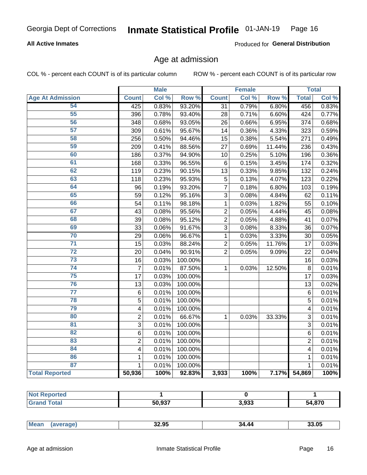#### **All Active Inmates**

Produced for General Distribution

### Age at admission

COL % - percent each COUNT is of its particular column

|                         |                         | <b>Male</b> |         |                 | <b>Female</b> |        |                | <b>Total</b> |
|-------------------------|-------------------------|-------------|---------|-----------------|---------------|--------|----------------|--------------|
| <b>Age At Admission</b> | <b>Count</b>            | Col %       | Row %   | <b>Count</b>    | Col %         | Row %  | <b>Total</b>   | Col %        |
| 54                      | 425                     | 0.83%       | 93.20%  | 31              | 0.79%         | 6.80%  | 456            | 0.83%        |
| $\overline{55}$         | 396                     | 0.78%       | 93.40%  | 28              | 0.71%         | 6.60%  | 424            | 0.77%        |
| 56                      | 348                     | 0.68%       | 93.05%  | 26              | 0.66%         | 6.95%  | 374            | 0.68%        |
| 57                      | 309                     | 0.61%       | 95.67%  | 14              | 0.36%         | 4.33%  | 323            | 0.59%        |
| 58                      | 256                     | 0.50%       | 94.46%  | 15              | 0.38%         | 5.54%  | 271            | 0.49%        |
| 59                      | 209                     | 0.41%       | 88.56%  | 27              | 0.69%         | 11.44% | 236            | 0.43%        |
| 60                      | 186                     | 0.37%       | 94.90%  | 10              | 0.25%         | 5.10%  | 196            | 0.36%        |
| 61                      | 168                     | 0.33%       | 96.55%  | 6               | 0.15%         | 3.45%  | 174            | 0.32%        |
| 62                      | 119                     | 0.23%       | 90.15%  | $\overline{13}$ | 0.33%         | 9.85%  | 132            | 0.24%        |
| 63                      | 118                     | 0.23%       | 95.93%  | 5               | 0.13%         | 4.07%  | 123            | 0.22%        |
| 64                      | 96                      | 0.19%       | 93.20%  | $\overline{7}$  | 0.18%         | 6.80%  | 103            | 0.19%        |
| 65                      | 59                      | 0.12%       | 95.16%  | 3               | 0.08%         | 4.84%  | 62             | 0.11%        |
| 66                      | 54                      | 0.11%       | 98.18%  | $\mathbf 1$     | 0.03%         | 1.82%  | 55             | 0.10%        |
| 67                      | 43                      | 0.08%       | 95.56%  | $\overline{2}$  | 0.05%         | 4.44%  | 45             | 0.08%        |
| 68                      | 39                      | 0.08%       | 95.12%  | $\overline{2}$  | 0.05%         | 4.88%  | 41             | 0.07%        |
| 69                      | 33                      | 0.06%       | 91.67%  | 3               | 0.08%         | 8.33%  | 36             | 0.07%        |
| 70                      | 29                      | 0.06%       | 96.67%  | $\mathbf{1}$    | 0.03%         | 3.33%  | 30             | 0.05%        |
| $\overline{71}$         | 15                      | 0.03%       | 88.24%  | $\overline{2}$  | 0.05%         | 11.76% | 17             | 0.03%        |
| $\overline{72}$         | 20                      | 0.04%       | 90.91%  | $\overline{2}$  | 0.05%         | 9.09%  | 22             | 0.04%        |
| 73                      | 16                      | 0.03%       | 100.00% |                 |               |        | 16             | 0.03%        |
| 74                      | $\overline{7}$          | 0.01%       | 87.50%  | $\mathbf{1}$    | 0.03%         | 12.50% | 8              | 0.01%        |
| 75                      | 17                      | 0.03%       | 100.00% |                 |               |        | 17             | 0.03%        |
| 76                      | 13                      | 0.03%       | 100.00% |                 |               |        | 13             | 0.02%        |
| $\overline{77}$         | $\,6\,$                 | 0.01%       | 100.00% |                 |               |        | $\,6$          | 0.01%        |
| 78                      | $\overline{5}$          | 0.01%       | 100.00% |                 |               |        | $\overline{5}$ | 0.01%        |
| 79                      | $\overline{4}$          | 0.01%       | 100.00% |                 |               |        | 4              | 0.01%        |
| 80                      | $\overline{2}$          | 0.01%       | 66.67%  | $\mathbf{1}$    | 0.03%         | 33.33% | $\overline{3}$ | 0.01%        |
| $\overline{81}$         | 3                       | 0.01%       | 100.00% |                 |               |        | 3              | 0.01%        |
| 82                      | 6                       | 0.01%       | 100.00% |                 |               |        | 6              | 0.01%        |
| 83                      | $\overline{2}$          | 0.01%       | 100.00% |                 |               |        | $\overline{2}$ | 0.01%        |
| 84                      | $\overline{\mathbf{4}}$ | 0.01%       | 100.00% |                 |               |        | 4              | 0.01%        |
| 86                      | $\mathbf{1}$            | 0.01%       | 100.00% |                 |               |        | 1              | 0.01%        |
| 87                      | $\mathbf{1}$            | 0.01%       | 100.00% |                 |               |        | $\mathbf{1}$   | 0.01%        |
| <b>Total Reported</b>   | 50,936                  | 100%        | 92.83%  | 3,933           | 100%          | 7.17%  | 54,869         | 100%         |

| $E^{\wedge}$ 007 | 3,933 | 1,870 |
|------------------|-------|-------|

| Me<br> | חה הה<br>JZ.JJ<br>____ | AC.<br>34 | --<br>a u<br>- - - - |
|--------|------------------------|-----------|----------------------|
|        |                        |           |                      |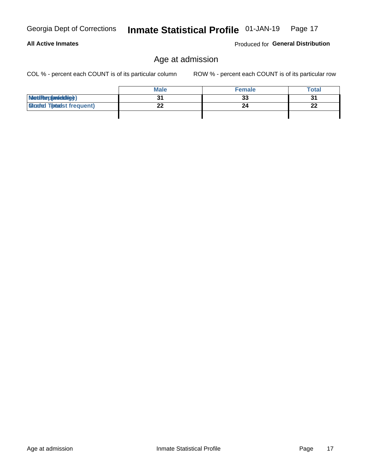### **All Active Inmates**

Produced for General Distribution

### Age at admission

COL % - percent each COUNT is of its particular column

|                                  | <b>Male</b> | <b>Female</b> | <b>Total</b> |
|----------------------------------|-------------|---------------|--------------|
| MetiRep(aniektlig)               |             | 33            | 31           |
| <b>Micaded Tomadst frequent)</b> | ົ           | 24            | າາ<br>ZZ     |
|                                  |             |               |              |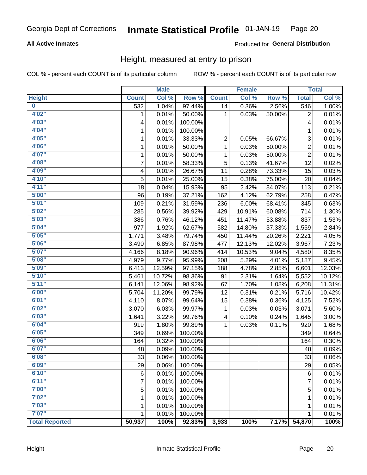#### **All Active Inmates**

#### **Produced for General Distribution**

### Height, measured at entry to prison

COL % - percent each COUNT is of its particular column

|                         |              | <b>Male</b> |         |              | <b>Female</b> |        |                           | <b>Total</b> |
|-------------------------|--------------|-------------|---------|--------------|---------------|--------|---------------------------|--------------|
| <b>Height</b>           | <b>Count</b> | Col %       | Row %   | <b>Count</b> | Col %         | Row %  | <b>Total</b>              | Col %        |
| $\overline{\mathbf{0}}$ | 532          | 1.04%       | 97.44%  | 14           | 0.36%         | 2.56%  | 546                       | 1.00%        |
| 4'02''                  | 1            | 0.01%       | 50.00%  | 1            | 0.03%         | 50.00% | $\overline{2}$            | 0.01%        |
| 4'03''                  | 4            | 0.01%       | 100.00% |              |               |        | 4                         | 0.01%        |
| 4'04"                   | 1            | 0.01%       | 100.00% |              |               |        | 1                         | 0.01%        |
| 4'05"                   | 1            | 0.01%       | 33.33%  | 2            | 0.05%         | 66.67% | $\ensuremath{\mathsf{3}}$ | 0.01%        |
| 4'06"                   | 1            | 0.01%       | 50.00%  | $\mathbf{1}$ | 0.03%         | 50.00% | $\overline{2}$            | 0.01%        |
| 4'07"                   | 1            | 0.01%       | 50.00%  | 1            | 0.03%         | 50.00% | $\overline{c}$            | 0.01%        |
| 4'08"                   | 7            | 0.01%       | 58.33%  | 5            | 0.13%         | 41.67% | 12                        | 0.02%        |
| 4'09"                   | 4            | 0.01%       | 26.67%  | 11           | 0.28%         | 73.33% | 15                        | 0.03%        |
| 4'10''                  | 5            | 0.01%       | 25.00%  | 15           | 0.38%         | 75.00% | 20                        | 0.04%        |
| 4'11''                  | 18           | 0.04%       | 15.93%  | 95           | 2.42%         | 84.07% | 113                       | 0.21%        |
| 5'00''                  | 96           | 0.19%       | 37.21%  | 162          | 4.12%         | 62.79% | 258                       | 0.47%        |
| 5'01"                   | 109          | 0.21%       | 31.59%  | 236          | 6.00%         | 68.41% | 345                       | 0.63%        |
| 5'02"                   | 285          | 0.56%       | 39.92%  | 429          | 10.91%        | 60.08% | 714                       | 1.30%        |
| 5'03''                  | 386          | 0.76%       | 46.12%  | 451          | 11.47%        | 53.88% | 837                       | 1.53%        |
| 5'04"                   | 977          | 1.92%       | 62.67%  | 582          | 14.80%        | 37.33% | 1,559                     | 2.84%        |
| 5'05"                   | 1,771        | 3.48%       | 79.74%  | 450          | 11.44%        | 20.26% | 2,221                     | 4.05%        |
| 5'06''                  | 3,490        | 6.85%       | 87.98%  | 477          | 12.13%        | 12.02% | 3,967                     | 7.23%        |
| 5'07"                   | 4,166        | 8.18%       | 90.96%  | 414          | 10.53%        | 9.04%  | 4,580                     | 8.35%        |
| 5'08''                  | 4,979        | 9.77%       | 95.99%  | 208          | 5.29%         | 4.01%  | 5,187                     | 9.45%        |
| 5'09''                  | 6,413        | 12.59%      | 97.15%  | 188          | 4.78%         | 2.85%  | 6,601                     | 12.03%       |
| 5'10''                  | 5,461        | 10.72%      | 98.36%  | 91           | 2.31%         | 1.64%  | 5,552                     | 10.12%       |
| 5'11''                  | 6,141        | 12.06%      | 98.92%  | 67           | 1.70%         | 1.08%  | 6,208                     | 11.31%       |
| 6'00''                  | 5,704        | 11.20%      | 99.79%  | 12           | 0.31%         | 0.21%  | 5,716                     | 10.42%       |
| 6'01''                  | 4,110        | 8.07%       | 99.64%  | 15           | 0.38%         | 0.36%  | 4,125                     | 7.52%        |
| 6'02"                   | 3,070        | 6.03%       | 99.97%  | 1            | 0.03%         | 0.03%  | 3,071                     | 5.60%        |
| 6'03''                  | 1,641        | 3.22%       | 99.76%  | 4            | 0.10%         | 0.24%  | 1,645                     | 3.00%        |
| 6'04"                   | 919          | 1.80%       | 99.89%  | 1            | 0.03%         | 0.11%  | 920                       | 1.68%        |
| 6'05"                   | 349          | 0.69%       | 100.00% |              |               |        | 349                       | 0.64%        |
| 6'06''                  | 164          | 0.32%       | 100.00% |              |               |        | 164                       | 0.30%        |
| 6'07''                  | 48           | 0.09%       | 100.00% |              |               |        | 48                        | 0.09%        |
| 6'08''                  | 33           | 0.06%       | 100.00% |              |               |        | 33                        | 0.06%        |
| 6'09''                  | 29           | 0.06%       | 100.00% |              |               |        | 29                        | 0.05%        |
| 6'10''                  | 6            | 0.01%       | 100.00% |              |               |        | 6                         | 0.01%        |
| 6'11''                  | 7            | 0.01%       | 100.00% |              |               |        | $\overline{7}$            | 0.01%        |
| 7'00"                   | 5            | 0.01%       | 100.00% |              |               |        | $\mathbf 5$               | 0.01%        |
| 7'02"                   | 1            | 0.01%       | 100.00% |              |               |        | 1                         | 0.01%        |
| 7'03''                  | 1            | 0.01%       | 100.00% |              |               |        | 1                         | 0.01%        |
| 7'07''                  | 1            | 0.01%       | 100.00% |              |               |        | 1                         | 0.01%        |
| <b>Total Reported</b>   | 50,937       | 100%        | 92.83%  | 3,933        | 100%          | 7.17%  | 54,870                    | 100%         |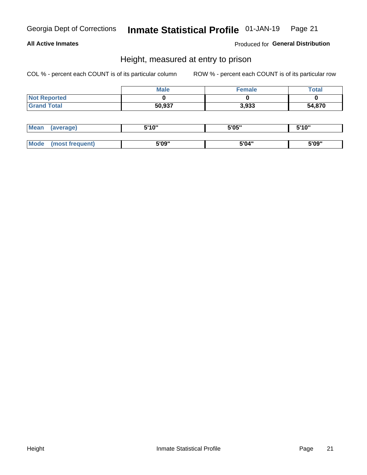#### **All Active Inmates**

Produced for General Distribution

### Height, measured at entry to prison

COL % - percent each COUNT is of its particular column

|                     | <b>Male</b> | Female | Total  |
|---------------------|-------------|--------|--------|
| <b>Not Reported</b> |             |        |        |
| <b>Grand Total</b>  | 50,937      | 3,933  | 54,870 |

| <b>Mean</b> | erage) | 5'10" | 5'05" | <b>CIA AIL</b><br>. . |
|-------------|--------|-------|-------|-----------------------|
|             |        |       |       |                       |
| <b>Mode</b> |        | 5'09" | 5'04" | 5'09"                 |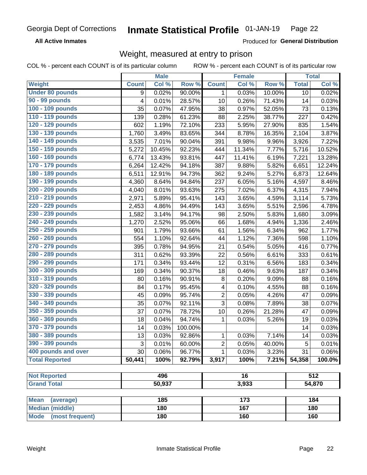**All Active Inmates** 

Produced for General Distribution

### Weight, measured at entry to prison

COL % - percent each COUNT is of its particular column ROW % - percent each COUNT is of its particular row

|                                |              | <b>Male</b> |         |                         | <b>Female</b>   |                  |                  | <b>Total</b> |
|--------------------------------|--------------|-------------|---------|-------------------------|-----------------|------------------|------------------|--------------|
| <b>Weight</b>                  | <b>Count</b> | Col %       | Row %   | <b>Count</b>            | Col %           | Row <sup>%</sup> | <b>Total</b>     | Col %        |
| <b>Under 80 pounds</b>         | 9            | 0.02%       | 90.00%  | 1.                      | 0.03%           | 10.00%           | 10               | 0.02%        |
| 90 - 99 pounds                 | 4            | 0.01%       | 28.57%  | 10                      | 0.26%           | 71.43%           | 14               | 0.03%        |
| 100 - 109 pounds               | 35           | 0.07%       | 47.95%  | 38                      | 0.97%           | 52.05%           | 73               | 0.13%        |
| 110 - 119 pounds               | 139          | 0.28%       | 61.23%  | 88                      | 2.25%           | 38.77%           | 227              | 0.42%        |
| 120 - 129 pounds               | 602          | 1.19%       | 72.10%  | 233                     | 5.95%           | 27.90%           | 835              | 1.54%        |
| 130 - 139 pounds               | 1,760        | 3.49%       | 83.65%  | 344                     | 8.78%           | 16.35%           | 2,104            | 3.87%        |
| 140 - 149 pounds               | 3,535        | 7.01%       | 90.04%  | 391                     | 9.98%           | 9.96%            | 3,926            | 7.22%        |
| 150 - 159 pounds               | 5,272        | 10.45%      | 92.23%  | 444                     | 11.34%          | 7.77%            | 5,716            | 10.52%       |
| 160 - 169 pounds               | 6,774        | 13.43%      | 93.81%  | 447                     | 11.41%          | 6.19%            | 7,221            | 13.28%       |
| 170 - 179 pounds               | 6,264        | 12.42%      | 94.18%  | 387                     | 9.88%           | 5.82%            | 6,651            | 12.24%       |
| 180 - 189 pounds               | 6,511        | 12.91%      | 94.73%  | 362                     | 9.24%           | 5.27%            | 6,873            | 12.64%       |
| 190 - 199 pounds               | 4,360        | 8.64%       | 94.84%  | 237                     | 6.05%           | 5.16%            | 4,597            | 8.46%        |
| 200 - 209 pounds               | 4,040        | 8.01%       | 93.63%  | 275                     | 7.02%           | 6.37%            | 4,315            | 7.94%        |
| 210 - 219 pounds               | 2,971        | 5.89%       | 95.41%  | 143                     | 3.65%           | 4.59%            | 3,114            | 5.73%        |
| 220 - 229 pounds               | 2,453        | 4.86%       | 94.49%  | 143                     | 3.65%           | 5.51%            | 2,596            | 4.78%        |
| 230 - 239 pounds               | 1,582        | 3.14%       | 94.17%  | 98                      | 2.50%           | 5.83%            | 1,680            | 3.09%        |
| 240 - 249 pounds               | 1,270        | 2.52%       | 95.06%  | 66                      | 1.68%           | 4.94%            | 1,336            | 2.46%        |
| 250 - 259 pounds               | 901          | 1.79%       | 93.66%  | 61                      | 1.56%           | 6.34%            | 962              | 1.77%        |
| 260 - 269 pounds               | 554          | 1.10%       | 92.64%  | 44                      | 1.12%           | 7.36%            | 598              | 1.10%        |
| 270 - 279 pounds               | 395          | 0.78%       | 94.95%  | 21                      | 0.54%           | 5.05%            | 416              | 0.77%        |
| 280 - 289 pounds               | 311          | 0.62%       | 93.39%  | 22                      | 0.56%           | 6.61%            | 333              | 0.61%        |
| 290 - 299 pounds               | 171          | 0.34%       | 93.44%  | 12                      | 0.31%           | 6.56%            | 183              | 0.34%        |
| 300 - 309 pounds               | 169          | 0.34%       | 90.37%  | 18                      | 0.46%           | 9.63%            | 187              | 0.34%        |
| 310 - 319 pounds               | 80           | 0.16%       | 90.91%  | 8                       | 0.20%           | 9.09%            | 88               | 0.16%        |
| 320 - 329 pounds               | 84           | 0.17%       | 95.45%  | $\overline{\mathbf{4}}$ | 0.10%           | 4.55%            | 88               | 0.16%        |
| 330 - 339 pounds               | 45           | 0.09%       | 95.74%  | $\overline{2}$          | 0.05%           | 4.26%            | 47               | 0.09%        |
| 340 - 349 pounds               | 35           | 0.07%       | 92.11%  | 3                       | 0.08%           | 7.89%            | 38               | 0.07%        |
| 350 - 359 pounds               | 37           | 0.07%       | 78.72%  | 10                      | 0.26%           | 21.28%           | 47               | 0.09%        |
| 360 - 369 pounds               | 18           | 0.04%       | 94.74%  | 1                       | 0.03%           | 5.26%            | 19               | 0.03%        |
| 370 - 379 pounds               | 14           | 0.03%       | 100.00% |                         |                 |                  | 14               | 0.03%        |
| 380 - 389 pounds               | 13           | 0.03%       | 92.86%  | 1                       | 0.03%           | 7.14%            | 14               | 0.03%        |
| 390 - 399 pounds               | 3            | 0.01%       | 60.00%  | $\overline{2}$          | 0.05%           | 40.00%           | 5                | 0.01%        |
| 400 pounds and over            | 30           | 0.06%       | 96.77%  | $\mathbf 1$             | 0.03%           | 3.23%            | 31               | 0.06%        |
| <b>Total Reported</b>          | 50,441       | 100%        | 92.79%  | 3,917                   | 100%            | 7.21%            | 54,358           | 100.0%       |
|                                |              |             |         |                         |                 |                  |                  |              |
| <b>Not Reported</b>            |              | 496         |         |                         | $\overline{16}$ |                  | $\overline{512}$ |              |
| <b>Grand Total</b>             |              | 50,937      |         |                         | 3,933           |                  | 54,870           |              |
| <b>Mean</b><br>(average)       |              | 185         |         |                         | 173             |                  |                  | 184          |
| <b>Median (middle)</b>         |              | 180         |         |                         | 167             |                  |                  | 180          |
| <b>Mode</b><br>(most frequent) |              | 180         |         |                         | 160             |                  |                  | 160          |
|                                |              |             |         |                         |                 |                  |                  |              |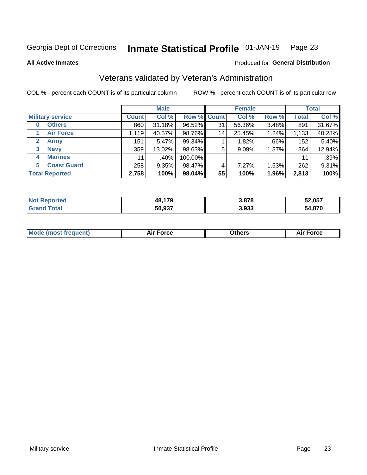#### Inmate Statistical Profile 01-JAN-19 Page 23

**All Active Inmates** 

#### Produced for General Distribution

### Veterans validated by Veteran's Administration

COL % - percent each COUNT is of its particular column

|                             |              | <b>Male</b> |             |    | <b>Female</b> |          |              | <b>Total</b> |
|-----------------------------|--------------|-------------|-------------|----|---------------|----------|--------------|--------------|
| <b>Military service</b>     | <b>Count</b> | Col %       | Row % Count |    | Col %         | Row %    | <b>Total</b> | Col %        |
| <b>Others</b><br>0          | 860          | 31.18%      | 96.52%      | 31 | 56.36%        | 3.48%    | 891          | 31.67%       |
| <b>Air Force</b>            | 1,119        | 40.57%      | 98.76%      | 14 | 25.45%        | 1.24%    | 1,133        | 40.28%       |
| <b>Army</b><br>$\mathbf{2}$ | 151          | 5.47%       | 99.34%      |    | 1.82%         | .66%     | 152          | 5.40%        |
| <b>Navy</b><br>3            | 359          | 13.02%      | 98.63%      | 5  | 9.09%         | 1.37%    | 364          | 12.94%       |
| <b>Marines</b><br>4         | 11           | $.40\%$     | 100.00%     |    |               |          | 11           | .39%         |
| <b>Coast Guard</b><br>5.    | 258          | 9.35%       | 98.47%      | 4  | 7.27%         | $1.53\%$ | 262          | 9.31%        |
| <b>Total Reported</b>       | 2,758        | 100%        | 98.04%      | 55 | 100%          | 1.96%    | 2,813        | 100%         |

| orted<br>N. | ,179<br>48. | 3,878 | 52,057      |
|-------------|-------------|-------|-------------|
| <b>otal</b> | 50,937      | 3,933 | 4,870<br>54 |

|  |  | <b>Mode (most frequent)</b> | <b>Force</b><br>Aır | วthers | orce |
|--|--|-----------------------------|---------------------|--------|------|
|--|--|-----------------------------|---------------------|--------|------|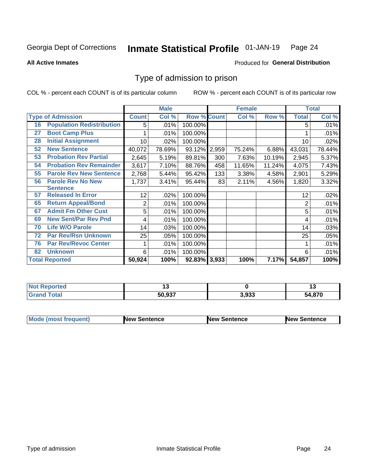#### Inmate Statistical Profile 01-JAN-19 Page 24

**All Active Inmates** 

#### Produced for General Distribution

### Type of admission to prison

COL % - percent each COUNT is of its particular column

|    |                                  |              | <b>Male</b> |                    |       | <b>Female</b> |        |              | <b>Total</b> |
|----|----------------------------------|--------------|-------------|--------------------|-------|---------------|--------|--------------|--------------|
|    | <b>Type of Admission</b>         | <b>Count</b> | Col %       | <b>Row % Count</b> |       | Col %         | Row %  | <b>Total</b> | Col %        |
| 16 | <b>Population Redistribution</b> | 5            | .01%        | 100.00%            |       |               |        | 5            | .01%         |
| 27 | <b>Boot Camp Plus</b>            |              | .01%        | 100.00%            |       |               |        |              | .01%         |
| 28 | <b>Initial Assignment</b>        | 10           | .02%        | 100.00%            |       |               |        | 10           | .02%         |
| 52 | <b>New Sentence</b>              | 40,072       | 78.69%      | 93.12%             | 2,959 | 75.24%        | 6.88%  | 43,031       | 78.44%       |
| 53 | <b>Probation Rev Partial</b>     | 2,645        | 5.19%       | 89.81%             | 300   | 7.63%         | 10.19% | 2,945        | 5.37%        |
| 54 | <b>Probation Rev Remainder</b>   | 3,617        | 7.10%       | 88.76%             | 458   | 11.65%        | 11.24% | 4,075        | 7.43%        |
| 55 | <b>Parole Rev New Sentence</b>   | 2,768        | 5.44%       | 95.42%             | 133   | 3.38%         | 4.58%  | 2,901        | 5.29%        |
| 56 | <b>Parole Rev No New</b>         | 1,737        | 3.41%       | 95.44%             | 83    | 2.11%         | 4.56%  | 1,820        | 3.32%        |
|    | <b>Sentence</b>                  |              |             |                    |       |               |        |              |              |
| 57 | <b>Released In Error</b>         | 12           | .02%        | 100.00%            |       |               |        | 12           | .02%         |
| 65 | <b>Return Appeal/Bond</b>        | 2            | .01%        | 100.00%            |       |               |        | 2            | .01%         |
| 67 | <b>Admit Fm Other Cust</b>       | 5            | .01%        | 100.00%            |       |               |        | 5            | .01%         |
| 69 | <b>New Sent/Par Rev Pnd</b>      | 4            | .01%        | 100.00%            |       |               |        | 4            | .01%         |
| 70 | <b>Life W/O Parole</b>           | 14           | .03%        | 100.00%            |       |               |        | 14           | .03%         |
| 72 | <b>Par Rev/Rsn Unknown</b>       | 25           | .05%        | 100.00%            |       |               |        | 25           | .05%         |
| 76 | <b>Par Rev/Revoc Center</b>      |              | .01%        | 100.00%            |       |               |        |              | .01%         |
| 82 | <b>Unknown</b>                   | 6            | .01%        | 100.00%            |       |               |        | 6            | .01%         |
|    | <b>Total Reported</b>            | 50,924       | 100%        | 92.83% 3,933       |       | 100%          | 7.17%  | 54,857       | 100%         |

| <b>Not Reported</b> |        |       | '~     |
|---------------------|--------|-------|--------|
| Totar<br>'Grand     | 50,937 | 3,933 | 54,870 |

| <b>Mode (most frequent)</b> | <b>New Sentence</b> | <b>New Sentence</b> | <b>New Sentence</b> |
|-----------------------------|---------------------|---------------------|---------------------|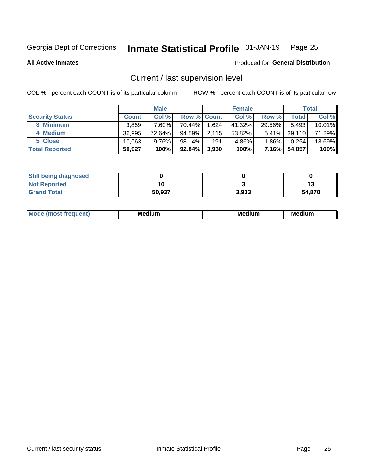#### Inmate Statistical Profile 01-JAN-19 Page 25

**All Active Inmates** 

#### Produced for General Distribution

### Current / last supervision level

COL % - percent each COUNT is of its particular column

|                        |              | <b>Male</b> |                    |       | <b>Female</b> |          |        | <b>Total</b> |
|------------------------|--------------|-------------|--------------------|-------|---------------|----------|--------|--------------|
| <b>Security Status</b> | <b>Count</b> | Col %       | <b>Row % Count</b> |       | Col %         | Row %    | Total  | Col %        |
| 3 Minimum              | 3.869        | $7.60\%$    | 70.44%             | 1,624 | 41.32%        | 29.56%   | 5,493  | 10.01%       |
| 4 Medium               | 36.995       | 72.64%      | 94.59%             | 2,115 | 53.82%        | $5.41\%$ | 39,110 | 71.29%       |
| 5 Close                | 10,063       | 19.76%      | $98.14\%$          | 191   | 4.86%         | $1.86\%$ | 10,254 | 18.69%       |
| <b>Total Reported</b>  | 50,927       | 100%        | 92.84%             | 3,930 | 100%          | $7.16\%$ | 54,857 | 100%         |

| <b>Still being diagnosed</b> |        |       |        |
|------------------------------|--------|-------|--------|
| <b>Not Reported</b>          |        |       |        |
| <b>Grand Total</b>           | 50,937 | 3,933 | 54,870 |

| M | M | . . |
|---|---|-----|
|   |   |     |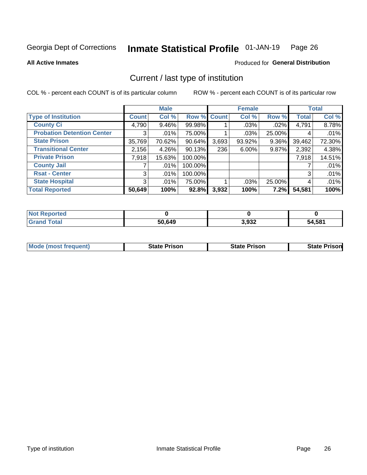#### Inmate Statistical Profile 01-JAN-19 Page 26

**All Active Inmates** 

#### **Produced for General Distribution**

### Current / last type of institution

COL % - percent each COUNT is of its particular column

|                                   |                | <b>Male</b> |             |       | <b>Female</b> |        |              | <b>Total</b> |
|-----------------------------------|----------------|-------------|-------------|-------|---------------|--------|--------------|--------------|
| <b>Type of Institution</b>        | <b>Count</b>   | Col %       | Row % Count |       | Col %         | Row %  | <b>Total</b> | Col %        |
| <b>County Ci</b>                  | 4,790          | $9.46\%$    | 99.98%      |       | $.03\%$       | .02%   | 4,791        | 8.78%        |
| <b>Probation Detention Center</b> | 3              | .01%        | 75.00%      |       | .03%          | 25.00% |              | .01%         |
| <b>State Prison</b>               | 35,769         | 70.62%      | 90.64%      | 3,693 | $93.92\%$     | 9.36%  | 39,462       | 72.30%       |
| <b>Transitional Center</b>        | 2,156          | 4.26%       | $90.13\%$   | 236   | $6.00\%$      | 9.87%  | 2,392        | 4.38%        |
| <b>Private Prison</b>             | 7,918          | 15.63%      | 100.00%     |       |               |        | 7,918        | 14.51%       |
| <b>County Jail</b>                |                | $.01\%$     | 100.00%     |       |               |        |              | .01%         |
| <b>Rsat - Center</b>              | 3              | $.01\%$     | 100.00%     |       |               |        | 3            | .01%         |
| <b>State Hospital</b>             | 3 <sup>1</sup> | .01%        | 75.00%      |       | .03%          | 25.00% | 4            | .01%         |
| <b>Total Reported</b>             | 50,649         | 100%        | 92.8%       | 3,932 | 100%          | 7.2%   | 54,581       | 100%         |

| ported<br><b>NOT</b> |        |       |        |
|----------------------|--------|-------|--------|
| `otal<br>. Gren      | 50,649 | 3,932 | 54,581 |

| <b>Mode (most frequent)</b> | <b>State Prison</b> | <b>State Prison</b> | <b>State Prisonl</b> |
|-----------------------------|---------------------|---------------------|----------------------|
|                             |                     |                     |                      |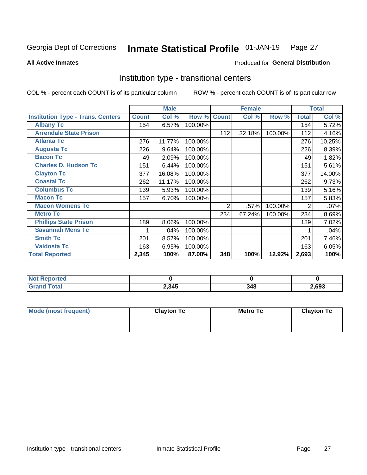#### Inmate Statistical Profile 01-JAN-19 Page 27

**All Active Inmates** 

#### Produced for General Distribution

### Institution type - transitional centers

COL % - percent each COUNT is of its particular column

|                                          |              | <b>Male</b> |         |              | <b>Female</b> |         |                | <b>Total</b> |
|------------------------------------------|--------------|-------------|---------|--------------|---------------|---------|----------------|--------------|
| <b>Institution Type - Trans. Centers</b> | <b>Count</b> | Col %       | Row %   | <b>Count</b> | Col %         | Row %   | <b>Total</b>   | Col %        |
| <b>Albany Tc</b>                         | 154          | 6.57%       | 100.00% |              |               |         | 154            | 5.72%        |
| <b>Arrendale State Prison</b>            |              |             |         | 112          | 32.18%        | 100.00% | 112            | 4.16%        |
| <b>Atlanta Tc</b>                        | 276          | 11.77%      | 100.00% |              |               |         | 276            | 10.25%       |
| <b>Augusta Tc</b>                        | 226          | 9.64%       | 100.00% |              |               |         | 226            | 8.39%        |
| <b>Bacon Tc</b>                          | 49           | 2.09%       | 100.00% |              |               |         | 49             | 1.82%        |
| <b>Charles D. Hudson Tc</b>              | 151          | 6.44%       | 100.00% |              |               |         | 151            | 5.61%        |
| <b>Clayton Tc</b>                        | 377          | 16.08%      | 100.00% |              |               |         | 377            | 14.00%       |
| <b>Coastal Tc</b>                        | 262          | 11.17%      | 100.00% |              |               |         | 262            | 9.73%        |
| <b>Columbus Tc</b>                       | 139          | 5.93%       | 100.00% |              |               |         | 139            | 5.16%        |
| <b>Macon Tc</b>                          | 157          | 6.70%       | 100.00% |              |               |         | 157            | 5.83%        |
| <b>Macon Womens Tc</b>                   |              |             |         | 2            | .57%          | 100.00% | $\overline{2}$ | .07%         |
| <b>Metro Tc</b>                          |              |             |         | 234          | 67.24%        | 100.00% | 234            | 8.69%        |
| <b>Phillips State Prison</b>             | 189          | 8.06%       | 100.00% |              |               |         | 189            | 7.02%        |
| <b>Savannah Mens Tc</b>                  | 1            | .04%        | 100.00% |              |               |         |                | .04%         |
| <b>Smith Tc</b>                          | 201          | 8.57%       | 100.00% |              |               |         | 201            | 7.46%        |
| <b>Valdosta Tc</b>                       | 163          | 6.95%       | 100.00% |              |               |         | 163            | 6.05%        |
| <b>Total Reported</b>                    | 2,345        | 100%        | 87.08%  | 348          | 100%          | 12.92%  | 2,693          | 100%         |

| <b>Reported</b><br><b>NOT</b> |       |     |       |
|-------------------------------|-------|-----|-------|
| `otal                         | 2,345 | 348 | 2,693 |

| Mode (most frequent) | <b>Clayton Tc</b> | Metro Tc | <b>Clayton Tc</b> |
|----------------------|-------------------|----------|-------------------|
|                      |                   |          |                   |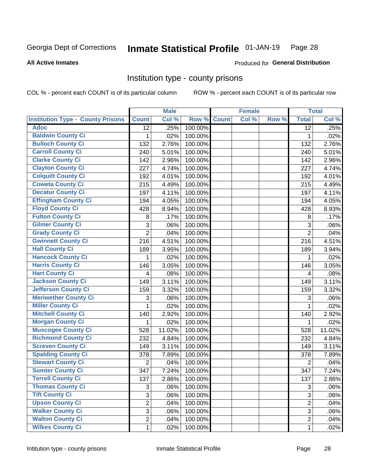#### Inmate Statistical Profile 01-JAN-19 Page 28

**All Active Inmates** 

Produced for General Distribution

#### Institution type - county prisons

COL % - percent each COUNT is of its particular column

|                                          |                 | <b>Male</b> |         |              | <b>Female</b> |       |                 | <b>Total</b> |
|------------------------------------------|-----------------|-------------|---------|--------------|---------------|-------|-----------------|--------------|
| <b>Institution Type - County Prisons</b> | <b>Count</b>    | Col %       | Row %   | <b>Count</b> | Col %         | Row % | <b>Total</b>    | Col %        |
| <b>Adoc</b>                              | $\overline{12}$ | .25%        | 100.00% |              |               |       | $\overline{12}$ | .25%         |
| <b>Baldwin County Ci</b>                 | 1               | .02%        | 100.00% |              |               |       | $\mathbf{1}$    | .02%         |
| <b>Bulloch County Ci</b>                 | 132             | 2.76%       | 100.00% |              |               |       | 132             | 2.76%        |
| <b>Carroll County Ci</b>                 | 240             | 5.01%       | 100.00% |              |               |       | 240             | 5.01%        |
| <b>Clarke County Ci</b>                  | 142             | 2.96%       | 100.00% |              |               |       | 142             | 2.96%        |
| <b>Clayton County Ci</b>                 | 227             | 4.74%       | 100.00% |              |               |       | 227             | 4.74%        |
| <b>Colquitt County Ci</b>                | 192             | 4.01%       | 100.00% |              |               |       | 192             | 4.01%        |
| <b>Coweta County Ci</b>                  | 215             | 4.49%       | 100.00% |              |               |       | 215             | 4.49%        |
| <b>Decatur County Ci</b>                 | 197             | 4.11%       | 100.00% |              |               |       | 197             | 4.11%        |
| <b>Effingham County Ci</b>               | 194             | 4.05%       | 100.00% |              |               |       | 194             | 4.05%        |
| <b>Floyd County Ci</b>                   | 428             | 8.94%       | 100.00% |              |               |       | 428             | 8.93%        |
| <b>Fulton County Ci</b>                  | 8               | .17%        | 100.00% |              |               |       | 8               | .17%         |
| <b>Gilmer County Ci</b>                  | $\mathfrak{S}$  | .06%        | 100.00% |              |               |       | 3               | .06%         |
| <b>Grady County Ci</b>                   | $\overline{2}$  | .04%        | 100.00% |              |               |       | $\overline{2}$  | .04%         |
| <b>Gwinnett County Ci</b>                | 216             | 4.51%       | 100.00% |              |               |       | 216             | 4.51%        |
| <b>Hall County Ci</b>                    | 189             | 3.95%       | 100.00% |              |               |       | 189             | 3.94%        |
| <b>Hancock County Ci</b>                 | 1               | .02%        | 100.00% |              |               |       | $\mathbf{1}$    | .02%         |
| <b>Harris County Ci</b>                  | 146             | 3.05%       | 100.00% |              |               |       | 146             | 3.05%        |
| <b>Hart County Ci</b>                    | 4               | .08%        | 100.00% |              |               |       | 4               | .08%         |
| <b>Jackson County Ci</b>                 | 149             | 3.11%       | 100.00% |              |               |       | 149             | 3.11%        |
| Jefferson County Ci                      | 159             | 3.32%       | 100.00% |              |               |       | 159             | 3.32%        |
| <b>Meriwether County Ci</b>              | 3               | .06%        | 100.00% |              |               |       | 3               | .06%         |
| <b>Miller County Ci</b>                  | 1               | .02%        | 100.00% |              |               |       | 1               | .02%         |
| <b>Mitchell County Ci</b>                | 140             | 2.92%       | 100.00% |              |               |       | 140             | 2.92%        |
| <b>Morgan County Ci</b>                  | 1               | .02%        | 100.00% |              |               |       | $\mathbf{1}$    | .02%         |
| <b>Muscogee County Ci</b>                | 528             | 11.02%      | 100.00% |              |               |       | 528             | 11.02%       |
| <b>Richmond County Ci</b>                | 232             | 4.84%       | 100.00% |              |               |       | 232             | 4.84%        |
| <b>Screven County Ci</b>                 | 149             | 3.11%       | 100.00% |              |               |       | 149             | 3.11%        |
| <b>Spalding County Ci</b>                | 378             | 7.89%       | 100.00% |              |               |       | 378             | 7.89%        |
| <b>Stewart County Ci</b>                 | $\overline{2}$  | .04%        | 100.00% |              |               |       | $\overline{2}$  | .04%         |
| <b>Sumter County Ci</b>                  | 347             | 7.24%       | 100.00% |              |               |       | 347             | 7.24%        |
| <b>Terrell County Ci</b>                 | 137             | 2.86%       | 100.00% |              |               |       | 137             | 2.86%        |
| <b>Thomas County Ci</b>                  | 3               | .06%        | 100.00% |              |               |       | 3               | .06%         |
| <b>Tift County Ci</b>                    | 3               | .06%        | 100.00% |              |               |       | 3               | .06%         |
| <b>Upson County Ci</b>                   | $\overline{2}$  | .04%        | 100.00% |              |               |       | $\overline{2}$  | .04%         |
| <b>Walker County Ci</b>                  | 3               | .06%        | 100.00% |              |               |       | 3               | .06%         |
| <b>Walton County Ci</b>                  | $\overline{2}$  | .04%        | 100.00% |              |               |       | $\overline{2}$  | .04%         |
| <b>Wilkes County Ci</b>                  | 1               | .02%        | 100.00% |              |               |       | $\mathbf{1}$    | .02%         |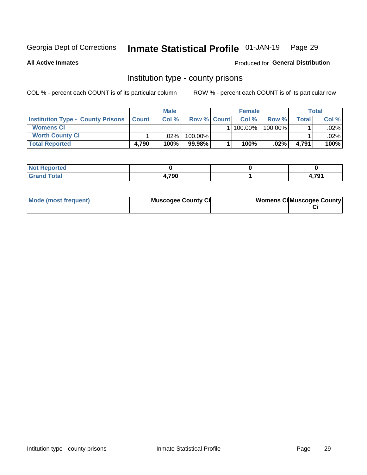#### Inmate Statistical Profile 01-JAN-19 Page 29

Produced for General Distribution

**All Active Inmates** 

### Institution type - county prisons

COL % - percent each COUNT is of its particular column

|                                                    |       | <b>Male</b> |                    | <b>Female</b> |         |                | <b>Total</b> |
|----------------------------------------------------|-------|-------------|--------------------|---------------|---------|----------------|--------------|
| <b>Institution Type - County Prisons   Count  </b> |       | Col %       | <b>Row % Count</b> | Col%          | Row %   | <b>Total</b> I | Col %        |
| <b>Womens Ci</b>                                   |       |             |                    | 100.00%       | 100.00% |                | $.02\%$      |
| <b>Worth County Ci</b>                             |       | $.02\%$     | 100.00%            |               |         |                | .02% l       |
| <b>Total Reported</b>                              | 4,790 | 100%        | $99.98\%$          | 100%          | $.02\%$ | 4.791          | 100%         |

| <b>Not Reported</b> |       |              |
|---------------------|-------|--------------|
| <b>Total</b>        | 4.790 | 704<br>4,791 |

| Mode (most frequent) | <b>Muscogee County Ci</b> | <b>Womens Ci</b> Muscogee County |
|----------------------|---------------------------|----------------------------------|
|----------------------|---------------------------|----------------------------------|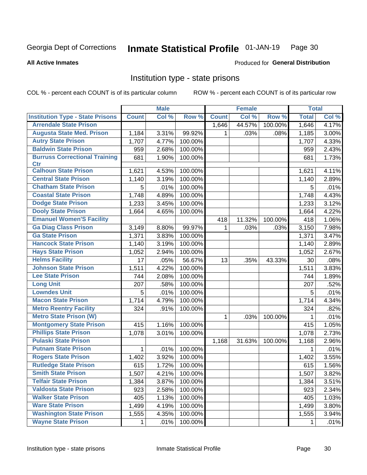#### Inmate Statistical Profile 01-JAN-19 Page 30

**All Active Inmates** 

#### Produced for General Distribution

### Institution type - state prisons

COL % - percent each COUNT is of its particular column

|                                         |              | <b>Male</b> |         |              | <b>Female</b> |         | <b>Total</b> |       |
|-----------------------------------------|--------------|-------------|---------|--------------|---------------|---------|--------------|-------|
| <b>Institution Type - State Prisons</b> | <b>Count</b> | Col %       | Row %   | <b>Count</b> | Col %         | Row %   | <b>Total</b> | Col % |
| <b>Arrendale State Prison</b>           |              |             |         | 1,646        | 44.57%        | 100.00% | 1,646        | 4.17% |
| <b>Augusta State Med. Prison</b>        | 1,184        | 3.31%       | 99.92%  | 1.           | .03%          | .08%    | 1,185        | 3.00% |
| <b>Autry State Prison</b>               | 1,707        | 4.77%       | 100.00% |              |               |         | 1,707        | 4.33% |
| <b>Baldwin State Prison</b>             | 959          | 2.68%       | 100.00% |              |               |         | 959          | 2.43% |
| <b>Burruss Correctional Training</b>    | 681          | 1.90%       | 100.00% |              |               |         | 681          | 1.73% |
| <b>Ctr</b>                              |              |             |         |              |               |         |              |       |
| <b>Calhoun State Prison</b>             | 1,621        | 4.53%       | 100.00% |              |               |         | 1,621        | 4.11% |
| <b>Central State Prison</b>             | 1,140        | 3.19%       | 100.00% |              |               |         | 1,140        | 2.89% |
| <b>Chatham State Prison</b>             | 5            | .01%        | 100.00% |              |               |         | 5            | .01%  |
| <b>Coastal State Prison</b>             | 1,748        | 4.89%       | 100.00% |              |               |         | 1,748        | 4.43% |
| <b>Dodge State Prison</b>               | 1,233        | 3.45%       | 100.00% |              |               |         | 1,233        | 3.12% |
| <b>Dooly State Prison</b>               | 1,664        | 4.65%       | 100.00% |              |               |         | 1,664        | 4.22% |
| <b>Emanuel Women'S Facility</b>         |              |             |         | 418          | 11.32%        | 100.00% | 418          | 1.06% |
| <b>Ga Diag Class Prison</b>             | 3,149        | 8.80%       | 99.97%  | 1.           | .03%          | .03%    | 3,150        | 7.98% |
| <b>Ga State Prison</b>                  | 1,371        | 3.83%       | 100.00% |              |               |         | 1,371        | 3.47% |
| <b>Hancock State Prison</b>             | 1,140        | 3.19%       | 100.00% |              |               |         | 1,140        | 2.89% |
| <b>Hays State Prison</b>                | 1,052        | 2.94%       | 100.00% |              |               |         | 1,052        | 2.67% |
| <b>Helms Facility</b>                   | 17           | .05%        | 56.67%  | 13           | .35%          | 43.33%  | 30           | .08%  |
| <b>Johnson State Prison</b>             | 1,511        | 4.22%       | 100.00% |              |               |         | 1,511        | 3.83% |
| <b>Lee State Prison</b>                 | 744          | 2.08%       | 100.00% |              |               |         | 744          | 1.89% |
| <b>Long Unit</b>                        | 207          | .58%        | 100.00% |              |               |         | 207          | .52%  |
| <b>Lowndes Unit</b>                     | 5            | .01%        | 100.00% |              |               |         | 5            | .01%  |
| <b>Macon State Prison</b>               | 1,714        | 4.79%       | 100.00% |              |               |         | 1,714        | 4.34% |
| <b>Metro Reentry Facility</b>           | 324          | .91%        | 100.00% |              |               |         | 324          | .82%  |
| <b>Metro State Prison (W)</b>           |              |             |         | $\mathbf{1}$ | .03%          | 100.00% | 1            | .01%  |
| <b>Montgomery State Prison</b>          | 415          | 1.16%       | 100.00% |              |               |         | 415          | 1.05% |
| <b>Phillips State Prison</b>            | 1,078        | 3.01%       | 100.00% |              |               |         | 1,078        | 2.73% |
| <b>Pulaski State Prison</b>             |              |             |         | 1,168        | 31.63%        | 100.00% | 1,168        | 2.96% |
| <b>Putnam State Prison</b>              | $\mathbf{1}$ | .01%        | 100.00% |              |               |         | 1            | .01%  |
| <b>Rogers State Prison</b>              | 1,402        | 3.92%       | 100.00% |              |               |         | 1,402        | 3.55% |
| <b>Rutledge State Prison</b>            | 615          | 1.72%       | 100.00% |              |               |         | 615          | 1.56% |
| <b>Smith State Prison</b>               | 1,507        | $4.21\%$    | 100.00% |              |               |         | 1,507        | 3.82% |
| <b>Telfair State Prison</b>             | 1,384        | 3.87%       | 100.00% |              |               |         | 1,384        | 3.51% |
| <b>Valdosta State Prison</b>            | 923          | 2.58%       | 100.00% |              |               |         | 923          | 2.34% |
| <b>Walker State Prison</b>              | 405          | 1.13%       | 100.00% |              |               |         | 405          | 1.03% |
| <b>Ware State Prison</b>                | 1,499        | 4.19%       | 100.00% |              |               |         | 1,499        | 3.80% |
| <b>Washington State Prison</b>          | 1,555        | 4.35%       | 100.00% |              |               |         | 1,555        | 3.94% |
| <b>Wayne State Prison</b>               | 1            | .01%        | 100.00% |              |               |         | 1            | .01%  |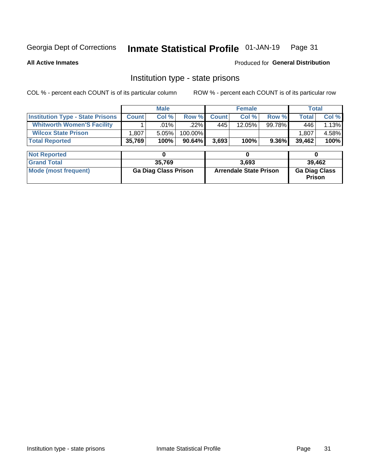## Inmate Statistical Profile 01-JAN-19 Page 31

**All Active Inmates** 

**Produced for General Distribution** 

#### Institution type - state prisons

COL % - percent each COUNT is of its particular column ROW % - percent each COUNT is of its particular row

|                                         |                             | <b>Male</b> |                               | <b>Female</b> |           |                                       | <b>Total</b> |        |
|-----------------------------------------|-----------------------------|-------------|-------------------------------|---------------|-----------|---------------------------------------|--------------|--------|
| <b>Institution Type - State Prisons</b> | <b>Count</b>                | Col %       | Row %                         | <b>Count</b>  | Col %     | Row %                                 | <b>Total</b> | Col %  |
| <b>Whitworth Women'S Facility</b>       |                             | $.01\%$     | .22%                          | 445           | $12.05\%$ | 99.78%                                | 446          | 1.13%  |
| <b>Wilcox State Prison</b>              | 1,807                       | 5.05%       | 100.00%                       |               |           |                                       | 1,807        | 4.58%  |
| <b>Total Reported</b>                   | 35,769                      | 100%        | $90.64\%$                     | 3,693         | 100%      | $9.36\%$                              | 39,462       | 100%   |
|                                         |                             |             |                               |               |           |                                       |              |        |
| <b>Not Reported</b>                     |                             | 0           |                               |               | 0         |                                       | 0            |        |
| <b>Grand Total</b>                      |                             | 35,769      |                               |               | 3,693     |                                       |              | 39,462 |
| <b>Mode (most frequent)</b>             | <b>Ga Diag Class Prison</b> |             | <b>Arrendale State Prison</b> |               |           | <b>Ga Diag Class</b><br><b>Prison</b> |              |        |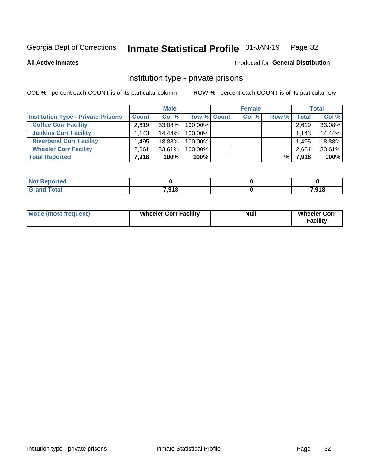#### Inmate Statistical Profile 01-JAN-19 Page 32

**All Active Inmates** 

#### Produced for General Distribution

### Institution type - private prisons

COL % - percent each COUNT is of its particular column

|                                           |              | <b>Male</b> |                    | <b>Female</b> |       |       | <b>Total</b> |
|-------------------------------------------|--------------|-------------|--------------------|---------------|-------|-------|--------------|
| <b>Institution Type - Private Prisons</b> | <b>Count</b> | Col %       | <b>Row % Count</b> | Col %         | Row % | Total | Col %        |
| <b>Coffee Corr Facility</b>               | 2.619        | $33.08\%$   | 100.00%            |               |       | 2,619 | 33.08%       |
| <b>Jenkins Corr Facility</b>              | 1.143        | $14.44\%$   | $100.00\%$         |               |       | 1,143 | 14.44%       |
| <b>Riverbend Corr Facility</b>            | .495         | 18.88%      | 100.00%            |               |       | 1,495 | 18.88%       |
| <b>Wheeler Corr Facility</b>              | 2.661        | 33.61%      | 100.00%            |               |       | 2,661 | 33.61%       |
| <b>Total Reported</b>                     | 7,918        | 100%        | 100%               |               | %।    | 7,918 | 100%         |

| <b>Reported</b><br>' NOI |       |       |
|--------------------------|-------|-------|
| <b>Total</b>             | 7,918 | 7,918 |

| <b>Mode (most frequent)</b> | <b>Wheeler Corr Facility</b> | <b>Null</b> | <b>Wheeler Corr</b><br><b>Facility</b> |
|-----------------------------|------------------------------|-------------|----------------------------------------|
|-----------------------------|------------------------------|-------------|----------------------------------------|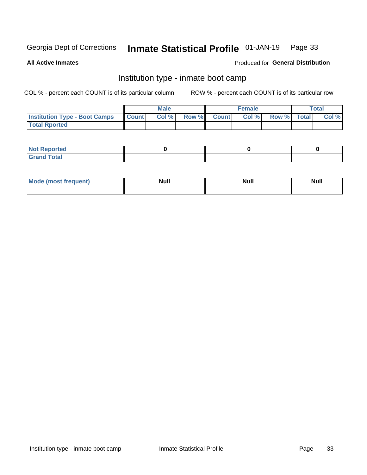#### Inmate Statistical Profile 01-JAN-19 Page 33

**All Active Inmates** 

#### Produced for General Distribution

### Institution type - inmate boot camp

COL % - percent each COUNT is of its particular column

|                                      |                 | <b>Male</b> |              |              | <b>Female</b> |             | <b>Total</b> |
|--------------------------------------|-----------------|-------------|--------------|--------------|---------------|-------------|--------------|
| <b>Institution Type - Boot Camps</b> | <b>I</b> Count⊥ | Col %       | <b>Row %</b> | <b>Count</b> | Col %         | Row % Total | Col %        |
| <b>Total Rported</b>                 |                 |             |              |              |               |             |              |

| <b>Not Reported</b>            |  |  |
|--------------------------------|--|--|
| <b>Total</b><br>C <sub>r</sub> |  |  |

| Mod<br>uamo | Nul.<br>$- - - - - -$ | <b>Null</b> | <br>uu.<br>------ |
|-------------|-----------------------|-------------|-------------------|
|             |                       |             |                   |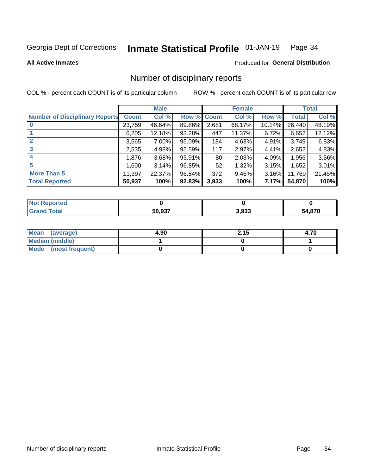#### Inmate Statistical Profile 01-JAN-19 Page 34

#### **All Active Inmates**

#### **Produced for General Distribution**

### Number of disciplinary reports

COL % - percent each COUNT is of its particular column

|                                       |              | <b>Male</b> |        |       | <b>Female</b> |           |              | <b>Total</b> |
|---------------------------------------|--------------|-------------|--------|-------|---------------|-----------|--------------|--------------|
| <b>Number of Disciplinary Reports</b> | <b>Count</b> | Col %       | Row %  | Count | Col %         | Row %     | <b>Total</b> | Col %        |
|                                       | 23,759       | 46.64%      | 89.86% | 2,681 | 68.17%        | $10.14\%$ | 26,440       | 48.19%       |
|                                       | 6,205        | 12.18%      | 93.28% | 447   | 11.37%        | 6.72%     | 6,652        | 12.12%       |
|                                       | 3,565        | $7.00\%$    | 95.09% | 184   | 4.68%         | 4.91%     | 3,749        | 6.83%        |
| 3                                     | 2,535        | 4.98%       | 95.59% | 117   | 2.97%         | 4.41%     | 2,652        | 4.83%        |
| 4                                     | 1,876        | 3.68%       | 95.91% | 80    | 2.03%         | 4.09%     | 1,956        | 3.56%        |
| 5                                     | 1,600        | 3.14%       | 96.85% | 52    | 1.32%         | $3.15\%$  | 1,652        | 3.01%        |
| <b>More Than 5</b>                    | 11,397       | 22.37%      | 96.84% | 372   | $9.46\%$      | $3.16\%$  | 11,769       | 21.45%       |
| <b>Total Reported</b>                 | 50,937       | 100%        | 92.83% | 3,933 | 100%          | 7.17%     | 54,870       | 100%         |

| orted<br><b>NOT</b> |        |       |             |
|---------------------|--------|-------|-------------|
| Total               | 50.937 | 3,933 | 870,4<br>34 |

| Mean (average)       | 4.90 | 2.15 | 4.70 |
|----------------------|------|------|------|
| Median (middle)      |      |      |      |
| Mode (most frequent) |      |      |      |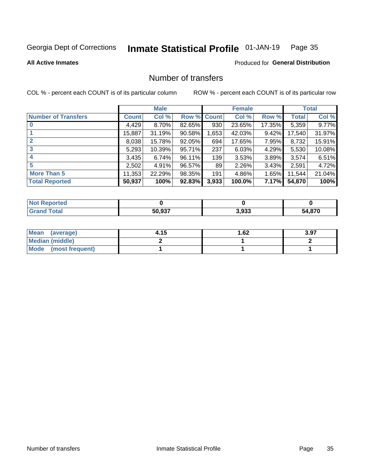#### Inmate Statistical Profile 01-JAN-19 Page 35

**All Active Inmates** 

#### **Produced for General Distribution**

### Number of transfers

COL % - percent each COUNT is of its particular column

|                            |         | <b>Male</b> |             |       | <b>Female</b> |          |              | <b>Total</b> |
|----------------------------|---------|-------------|-------------|-------|---------------|----------|--------------|--------------|
| <b>Number of Transfers</b> | Count l | Col %       | Row % Count |       | Col %         | Row %    | <b>Total</b> | Col %        |
|                            | 4,429   | $8.70\%$    | 82.65%      | 930   | 23.65%        | 17.35%   | 5,359        | 9.77%        |
|                            | 15,887  | 31.19%      | 90.58%      | 1,653 | 42.03%        | $9.42\%$ | 17,540       | 31.97%       |
| $\mathbf{2}$               | 8,038   | 15.78%      | 92.05%      | 694   | 17.65%        | 7.95%    | 8,732        | 15.91%       |
| 3                          | 5,293   | 10.39%      | 95.71%      | 237   | 6.03%         | 4.29%    | 5,530        | 10.08%       |
|                            | 3,435   | 6.74%       | 96.11%      | 139   | 3.53%         | 3.89%    | 3,574        | 6.51%        |
| 5                          | 2,502   | 4.91%       | 96.57%      | 89    | 2.26%         | 3.43%    | 2,591        | 4.72%        |
| <b>More Than 5</b>         | 11,353  | 22.29%      | 98.35%      | 191   | 4.86%         | 1.65%    | 11,544       | 21.04%       |
| <b>Total Reported</b>      | 50,937  | 100%        | 92.83%      | 3,933 | 100.0%        | 7.17%    | 54,870       | 100%         |

| orted<br><b>NOT</b> |        |       |             |
|---------------------|--------|-------|-------------|
| Total               | 50.937 | 3,933 | 870,4<br>34 |

| Mean (average)       | 4.15 | 1.62 | 3.97 |
|----------------------|------|------|------|
| Median (middle)      |      |      |      |
| Mode (most frequent) |      |      |      |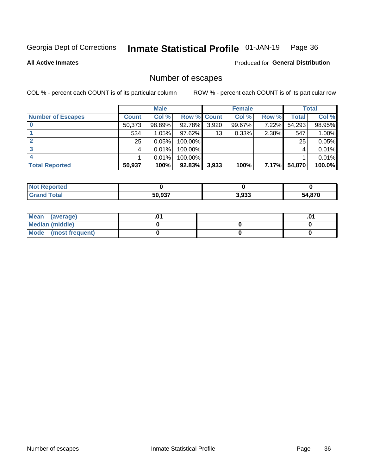#### Inmate Statistical Profile 01-JAN-19 Page 36

**All Active Inmates** 

Produced for General Distribution

### Number of escapes

COL % - percent each COUNT is of its particular column

|                          |              | <b>Male</b> |             |       | <b>Female</b> |       |              | <b>Total</b> |
|--------------------------|--------------|-------------|-------------|-------|---------------|-------|--------------|--------------|
| <b>Number of Escapes</b> | <b>Count</b> | Col %       | Row % Count |       | Col %         | Row % | <b>Total</b> | Col %        |
|                          | 50,373       | 98.89%      | 92.78%      | 3,920 | $99.67\%$     | 7.22% | 54,293       | 98.95%       |
|                          | 534          | 1.05%       | $97.62\%$   | 13    | 0.33%         | 2.38% | 547          | 1.00%        |
|                          | 25           | 0.05%       | 100.00%     |       |               |       | 25           | 0.05%        |
|                          |              | 0.01%       | 100.00%     |       |               |       |              | 0.01%        |
|                          |              | 0.01%       | 100.00%     |       |               |       |              | 0.01%        |
| <b>Total Reported</b>    | 50,937       | 100%        | $92.83\%$   | 3,933 | 100%          | 7.17% | 54,870       | 100.0%       |

| <b>Not Reported</b> |        |       |        |
|---------------------|--------|-------|--------|
| Total               | 50.937 | 3,933 | 54,870 |

| Mean (average)       |  | ו ש. |
|----------------------|--|------|
| Median (middle)      |  |      |
| Mode (most frequent) |  |      |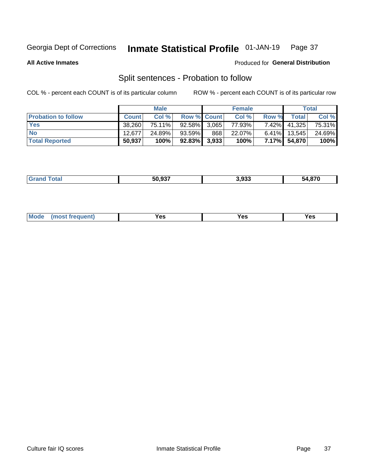#### Inmate Statistical Profile 01-JAN-19 Page 37

**All Active Inmates** 

#### Produced for General Distribution

### Split sentences - Probation to follow

COL % - percent each COUNT is of its particular column

|                            |              | <b>Male</b> |                    |     | <b>Female</b> |          |                 | <b>Total</b> |
|----------------------------|--------------|-------------|--------------------|-----|---------------|----------|-----------------|--------------|
| <b>Probation to follow</b> | <b>Count</b> | Col%        | <b>Row % Count</b> |     | Col %         | Row %    | Total           | Col %        |
| <b>Yes</b>                 | 38.260       | 75.11%      | $92.58\%$ 3.065    |     | 77.93%        | $7.42\%$ | 41,325          | 75.31%       |
| <b>No</b>                  | 12.677       | 24.89%      | 93.59%             | 868 | 22.07%        |          | $6.41\%$ 13,545 | 24.69%       |
| <b>Total Reported</b>      | 50,937       | 100%        | $92.83\%$ 3,933    |     | 100%          |          | 7.17% 54,870    | 100%         |

| _______ | EO OST<br>50.93. | י הי<br>5.933<br>- - - | 54.870 |
|---------|------------------|------------------------|--------|
|         |                  |                        |        |

| <b>Mode</b><br>reauent)<br>Yes<br>v.c<br>0٥<br>.<br>. .<br>$\sim$ |
|-------------------------------------------------------------------|
|-------------------------------------------------------------------|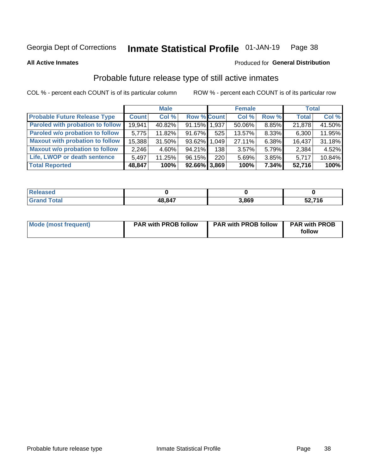#### Inmate Statistical Profile 01-JAN-19 Page 38

**All Active Inmates** 

#### Produced for General Distribution

### Probable future release type of still active inmates

COL % - percent each COUNT is of its particular column

|                                         |              | <b>Male</b> |                    |     | <b>Female</b> |          | <b>Total</b> |        |
|-----------------------------------------|--------------|-------------|--------------------|-----|---------------|----------|--------------|--------|
| <b>Probable Future Release Type</b>     | <b>Count</b> | Col%        | <b>Row % Count</b> |     | Col %         | Row %    | <b>Total</b> | Col %  |
| <b>Paroled with probation to follow</b> | 19,941       | 40.82%      | 91.15% 1.937       |     | 50.06%        | 8.85%    | 21,878       | 41.50% |
| Paroled w/o probation to follow         | 5,775        | 11.82%      | 91.67%             | 525 | 13.57%        | 8.33%    | 6,300        | 11.95% |
| <b>Maxout with probation to follow</b>  | 15,388       | 31.50%      | 93.62% 1.049       |     | 27.11%        | 6.38%    | 16,437       | 31.18% |
| <b>Maxout w/o probation to follow</b>   | 2,246        | 4.60%       | 94.21%             | 138 | 3.57%         | 5.79%    | 2,384        | 4.52%  |
| Life, LWOP or death sentence            | 5,497        | 11.25%      | 96.15%             | 220 | 5.69%         | 3.85%    | 5,717        | 10.84% |
| <b>Total Reported</b>                   | 48,847       | 100%        | $92.66\%$ 3,869    |     | 100%          | $7.34\%$ | 52,716       | 100%   |

| eleased      |        |       |                     |
|--------------|--------|-------|---------------------|
| <b>cotal</b> | 48,847 | 3.869 | ,716<br>co.<br>JZ,1 |

| Mode (most frequent) | <b>PAR with PROB follow</b> | <b>PAR with PROB follow</b> | <b>PAR with PROB</b><br>follow |
|----------------------|-----------------------------|-----------------------------|--------------------------------|
|                      |                             |                             |                                |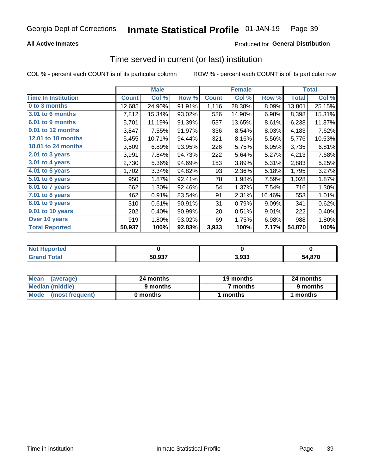## **All Active Inmates**

## Produced for General Distribution

## Time served in current (or last) institution

COL % - percent each COUNT is of its particular column

|                            |              | <b>Male</b> |        |              | <b>Female</b> |        |              | <b>Total</b> |
|----------------------------|--------------|-------------|--------|--------------|---------------|--------|--------------|--------------|
| <b>Time In Institution</b> | <b>Count</b> | Col %       | Row %  | <b>Count</b> | Col %         | Row %  | <b>Total</b> | Col %        |
| 0 to 3 months              | 12,685       | 24.90%      | 91.91% | 1,116        | 28.38%        | 8.09%  | 13,801       | 25.15%       |
| <b>3.01 to 6 months</b>    | 7,812        | 15.34%      | 93.02% | 586          | 14.90%        | 6.98%  | 8,398        | 15.31%       |
| 6.01 to 9 months           | 5,701        | 11.19%      | 91.39% | 537          | 13.65%        | 8.61%  | 6,238        | 11.37%       |
| 9.01 to 12 months          | 3,847        | 7.55%       | 91.97% | 336          | 8.54%         | 8.03%  | 4,183        | 7.62%        |
| 12.01 to 18 months         | 5,455        | 10.71%      | 94.44% | 321          | 8.16%         | 5.56%  | 5,776        | 10.53%       |
| <b>18.01 to 24 months</b>  | 3,509        | 6.89%       | 93.95% | 226          | 5.75%         | 6.05%  | 3,735        | 6.81%        |
| 2.01 to 3 years            | 3,991        | 7.84%       | 94.73% | 222          | 5.64%         | 5.27%  | 4,213        | 7.68%        |
| 3.01 to 4 years            | 2,730        | 5.36%       | 94.69% | 153          | 3.89%         | 5.31%  | 2,883        | 5.25%        |
| $4.01$ to 5 years          | 1,702        | 3.34%       | 94.82% | 93           | 2.36%         | 5.18%  | 1,795        | 3.27%        |
| 5.01 to 6 years            | 950          | 1.87%       | 92.41% | 78           | 1.98%         | 7.59%  | 1,028        | 1.87%        |
| $6.01$ to 7 years          | 662          | 1.30%       | 92.46% | 54           | 1.37%         | 7.54%  | 716          | 1.30%        |
| 7.01 to 8 years            | 462          | 0.91%       | 83.54% | 91           | 2.31%         | 16.46% | 553          | 1.01%        |
| $8.01$ to 9 years          | 310          | 0.61%       | 90.91% | 31           | 0.79%         | 9.09%  | 341          | 0.62%        |
| 9.01 to 10 years           | 202          | 0.40%       | 90.99% | 20           | 0.51%         | 9.01%  | 222          | 0.40%        |
| Over 10 years              | 919          | 1.80%       | 93.02% | 69           | 1.75%         | 6.98%  | 988          | 1.80%        |
| <b>Total Reported</b>      | 50,937       | 100%        | 92.83% | 3,933        | 100%          | 7.17%  | 54,870       | 100%         |

| <b>Not</b><br>Reported |        |       |             |
|------------------------|--------|-------|-------------|
| <b>otal</b>            | 50,937 | 3.933 | 1 Q7N<br>ҕ4 |

| <b>Mean</b><br>(average) | 24 months | 19 months | 24 months |
|--------------------------|-----------|-----------|-----------|
| Median (middle)          | 9 months  | 7 months  | 9 months  |
| Mode (most frequent)     | 0 months  | months    | 1 months  |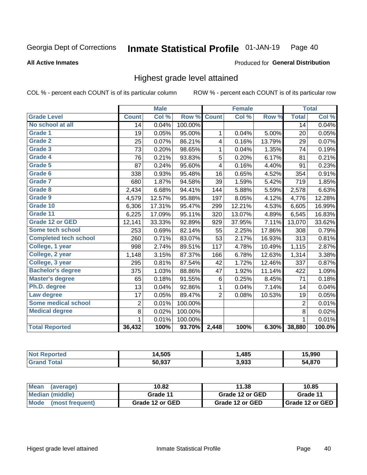### **All Active Inmates**

### Produced for General Distribution

## Highest grade level attained

COL % - percent each COUNT is of its particular column

|                              |                 | <b>Male</b> |         |                         | <b>Female</b> |        |                 | <b>Total</b> |
|------------------------------|-----------------|-------------|---------|-------------------------|---------------|--------|-----------------|--------------|
| <b>Grade Level</b>           | <b>Count</b>    | Col %       | Row %   | <b>Count</b>            | Col %         | Row %  | <b>Total</b>    | Col %        |
| No school at all             | $\overline{14}$ | 0.04%       | 100.00% |                         |               |        | $\overline{14}$ | 0.04%        |
| <b>Grade 1</b>               | 19              | 0.05%       | 95.00%  | 1                       | 0.04%         | 5.00%  | 20              | 0.05%        |
| <b>Grade 2</b>               | 25              | 0.07%       | 86.21%  | $\overline{\mathbf{4}}$ | 0.16%         | 13.79% | 29              | 0.07%        |
| Grade 3                      | 73              | 0.20%       | 98.65%  | $\mathbf 1$             | 0.04%         | 1.35%  | 74              | 0.19%        |
| Grade 4                      | 76              | 0.21%       | 93.83%  | 5                       | 0.20%         | 6.17%  | 81              | 0.21%        |
| Grade 5                      | 87              | 0.24%       | 95.60%  | 4                       | 0.16%         | 4.40%  | 91              | 0.23%        |
| Grade 6                      | 338             | 0.93%       | 95.48%  | 16                      | 0.65%         | 4.52%  | 354             | 0.91%        |
| <b>Grade 7</b>               | 680             | 1.87%       | 94.58%  | 39                      | 1.59%         | 5.42%  | 719             | 1.85%        |
| Grade 8                      | 2,434           | 6.68%       | 94.41%  | 144                     | 5.88%         | 5.59%  | 2,578           | 6.63%        |
| Grade 9                      | 4,579           | 12.57%      | 95.88%  | 197                     | 8.05%         | 4.12%  | 4,776           | 12.28%       |
| Grade 10                     | 6,306           | 17.31%      | 95.47%  | 299                     | 12.21%        | 4.53%  | 6,605           | 16.99%       |
| Grade 11                     | 6,225           | 17.09%      | 95.11%  | 320                     | 13.07%        | 4.89%  | 6,545           | 16.83%       |
| <b>Grade 12 or GED</b>       | 12,141          | 33.33%      | 92.89%  | 929                     | 37.95%        | 7.11%  | 13,070          | 33.62%       |
| <b>Some tech school</b>      | 253             | 0.69%       | 82.14%  | 55                      | 2.25%         | 17.86% | 308             | 0.79%        |
| <b>Completed tech school</b> | 260             | 0.71%       | 83.07%  | 53                      | 2.17%         | 16.93% | 313             | 0.81%        |
| College, 1 year              | 998             | 2.74%       | 89.51%  | 117                     | 4.78%         | 10.49% | 1,115           | 2.87%        |
| College, 2 year              | 1,148           | 3.15%       | 87.37%  | 166                     | 6.78%         | 12.63% | 1,314           | 3.38%        |
| College, 3 year              | 295             | 0.81%       | 87.54%  | 42                      | 1.72%         | 12.46% | 337             | 0.87%        |
| <b>Bachelor's degree</b>     | 375             | 1.03%       | 88.86%  | 47                      | 1.92%         | 11.14% | 422             | 1.09%        |
| <b>Master's degree</b>       | 65              | 0.18%       | 91.55%  | $\,6$                   | 0.25%         | 8.45%  | 71              | 0.18%        |
| Ph.D. degree                 | 13              | 0.04%       | 92.86%  | 1                       | 0.04%         | 7.14%  | 14              | 0.04%        |
| Law degree                   | 17              | 0.05%       | 89.47%  | $\overline{2}$          | 0.08%         | 10.53% | 19              | 0.05%        |
| <b>Some medical school</b>   | 2               | 0.01%       | 100.00% |                         |               |        | 2               | 0.01%        |
| <b>Medical degree</b>        | 8               | 0.02%       | 100.00% |                         |               |        | 8               | 0.02%        |
|                              | 1               | 0.01%       | 100.00% |                         |               |        | 1               | 0.01%        |
| <b>Total Reported</b>        | 36,432          | 100%        | 93.70%  | 2,448                   | 100%          | 6.30%  | 38,880          | 100.0%       |

| 4.505                     | ,485  | <b>E</b> QOO<br><b>13.990</b> |
|---------------------------|-------|-------------------------------|
| <b>EQ 027</b><br>OC.<br>. | 3,933 | .870                          |

| <b>Mean</b><br>(average) | 10.82           | 11.38           | 10.85           |
|--------------------------|-----------------|-----------------|-----------------|
| Median (middle)          | Grade 11        | Grade 12 or GED | Grade 11        |
| Mode<br>(most frequent)  | Grade 12 or GED | Grade 12 or GED | Grade 12 or GED |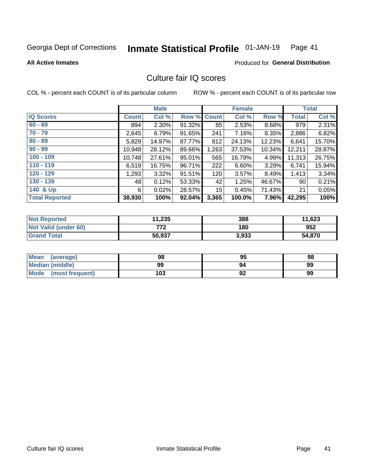#### Inmate Statistical Profile 01-JAN-19 Page 41

### **All Active Inmates**

### **Produced for General Distribution**

## Culture fair IQ scores

COL % - percent each COUNT is of its particular column

|                       |              | <b>Male</b> |        |              | <b>Female</b> |           |              | <b>Total</b> |
|-----------------------|--------------|-------------|--------|--------------|---------------|-----------|--------------|--------------|
| <b>IQ Scores</b>      | <b>Count</b> | Col %       | Row %  | <b>Count</b> | Col %         | Row %     | <b>Total</b> | Col %        |
| $60 - 69$             | 894          | $2.30\%$    | 91.32% | 85           | 2.53%         | 8.68%     | 979          | 2.31%        |
| $70 - 79$             | 2,645        | 6.79%       | 91.65% | 241          | 7.16%         | 8.35%     | 2,886        | 6.82%        |
| $80 - 89$             | 5,829        | 14.97%      | 87.77% | 812          | 24.13%        | 12.23%    | 6,641        | 15.70%       |
| $90 - 99$             | 10,948       | 28.12%      | 89.66% | 1,263        | 37.53%        | $10.34\%$ | 12,211       | 28.87%       |
| $100 - 109$           | 10,748       | 27.61%      | 95.01% | 565          | 16.79%        | $4.99\%$  | 11,313       | 26.75%       |
| $110 - 119$           | 6,519        | 16.75%      | 96.71% | 222          | 6.60%         | $3.29\%$  | 6,741        | 15.94%       |
| $120 - 129$           | 1,293        | $3.32\%$    | 91.51% | 120          | 3.57%         | 8.49%     | 1,413        | 3.34%        |
| $130 - 139$           | 48           | 0.12%       | 53.33% | 42           | 1.25%         | 46.67%    | 90           | 0.21%        |
| 140 & Up              | 6            | 0.02%       | 28.57% | 15           | 0.45%         | 71.43%    | 21           | 0.05%        |
| <b>Total Reported</b> | 38,930       | 100%        | 92.04% | 3,365        | 100.0%        | 7.96%     | 42,295       | 100%         |

| <b>Not Reported</b>         | 11,235 | 388   | 11,623 |
|-----------------------------|--------|-------|--------|
| <b>Not Valid (under 60)</b> | 777    | 180   | 952    |
| <b>Grand Total</b>          | 50,937 | 3,933 | 54,870 |

| <b>Mean</b><br>(average) | 98  | 95 | 98 |
|--------------------------|-----|----|----|
| Median (middle)          | 99  | 94 | 99 |
| Mode<br>(most frequent)  | 103 | 92 | 99 |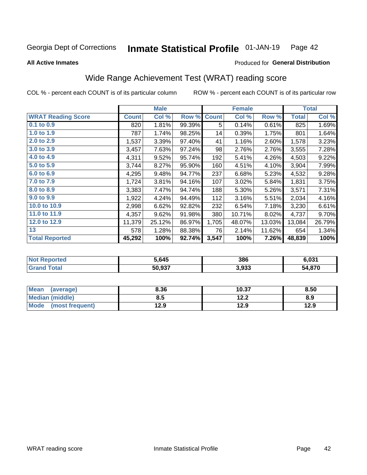#### Inmate Statistical Profile 01-JAN-19 Page 42

**All Active Inmates** 

### Produced for General Distribution

## Wide Range Achievement Test (WRAT) reading score

COL % - percent each COUNT is of its particular column

|                           |              | <b>Male</b> |        |              | <b>Female</b> |        |              | <b>Total</b> |
|---------------------------|--------------|-------------|--------|--------------|---------------|--------|--------------|--------------|
| <b>WRAT Reading Score</b> | <b>Count</b> | Col %       | Row %  | <b>Count</b> | Col %         | Row %  | <b>Total</b> | Col %        |
| $0.1$ to $0.9$            | 820          | 1.81%       | 99.39% | 5            | 0.14%         | 0.61%  | 825          | 1.69%        |
| 1.0 to 1.9                | 787          | 1.74%       | 98.25% | 14           | 0.39%         | 1.75%  | 801          | 1.64%        |
| 2.0 to 2.9                | 1,537        | 3.39%       | 97.40% | 41           | 1.16%         | 2.60%  | 1,578        | 3.23%        |
| 3.0 to 3.9                | 3,457        | 7.63%       | 97.24% | 98           | 2.76%         | 2.76%  | 3,555        | 7.28%        |
| 4.0 to 4.9                | 4,311        | 9.52%       | 95.74% | 192          | 5.41%         | 4.26%  | 4,503        | 9.22%        |
| 5.0 to 5.9                | 3,744        | 8.27%       | 95.90% | 160          | 4.51%         | 4.10%  | 3,904        | 7.99%        |
| 6.0 to 6.9                | 4,295        | 9.48%       | 94.77% | 237          | 6.68%         | 5.23%  | 4,532        | 9.28%        |
| 7.0 to 7.9                | 1,724        | 3.81%       | 94.16% | 107          | 3.02%         | 5.84%  | 1,831        | 3.75%        |
| 8.0 to 8.9                | 3,383        | 7.47%       | 94.74% | 188          | 5.30%         | 5.26%  | 3,571        | 7.31%        |
| 9.0 to 9.9                | 1,922        | 4.24%       | 94.49% | 112          | 3.16%         | 5.51%  | 2,034        | 4.16%        |
| 10.0 to 10.9              | 2,998        | 6.62%       | 92.82% | 232          | 6.54%         | 7.18%  | 3,230        | 6.61%        |
| 11.0 to 11.9              | 4,357        | 9.62%       | 91.98% | 380          | 10.71%        | 8.02%  | 4,737        | 9.70%        |
| 12.0 to 12.9              | 11,379       | 25.12%      | 86.97% | 1,705        | 48.07%        | 13.03% | 13,084       | 26.79%       |
| 13                        | 578          | 1.28%       | 88.38% | 76           | 2.14%         | 11.62% | 654          | 1.34%        |
| <b>Total Reported</b>     | 45,292       | 100%        | 92.74% | 3,547        | 100%          | 7.26%  | 48,839       | 100%         |

| prtea<br>NO  | 5.645  | 386   | 6.031  |
|--------------|--------|-------|--------|
| $T$ atal $T$ | 50,937 | 3,933 | 54,870 |

| <b>Mean</b><br>(average) | 8.36 | 10.37        | 8.50 |
|--------------------------|------|--------------|------|
| Median (middle)          | 8.5  | 1つつ<br>1 Z.Z | 8.9  |
| Mode (most frequent)     | 12.9 | 12.9         | 12.9 |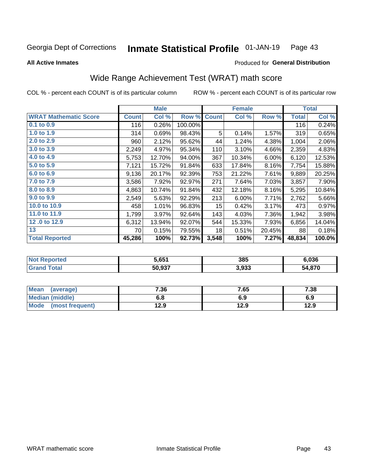#### Inmate Statistical Profile 01-JAN-19 Page 43

**All Active Inmates** 

### Produced for General Distribution

## Wide Range Achievement Test (WRAT) math score

COL % - percent each COUNT is of its particular column

|                              |              | <b>Male</b> |         |                 | <b>Female</b>             |        |              | <b>Total</b> |
|------------------------------|--------------|-------------|---------|-----------------|---------------------------|--------|--------------|--------------|
| <b>WRAT Mathematic Score</b> | <b>Count</b> | Col %       | Row %   | <b>Count</b>    | $\overline{\text{Col}}$ % | Row %  | <b>Total</b> | Col %        |
| $0.1$ to $0.9$               | 116          | 0.26%       | 100.00% |                 |                           |        | 116          | 0.24%        |
| 1.0 to 1.9                   | 314          | 0.69%       | 98.43%  | 5               | 0.14%                     | 1.57%  | 319          | 0.65%        |
| 2.0 to 2.9                   | 960          | 2.12%       | 95.62%  | 44              | 1.24%                     | 4.38%  | 1,004        | 2.06%        |
| 3.0 to 3.9                   | 2,249        | 4.97%       | 95.34%  | 110             | 3.10%                     | 4.66%  | 2,359        | 4.83%        |
| 4.0 to 4.9                   | 5,753        | 12.70%      | 94.00%  | 367             | 10.34%                    | 6.00%  | 6,120        | 12.53%       |
| 5.0 to 5.9                   | 7,121        | 15.72%      | 91.84%  | 633             | 17.84%                    | 8.16%  | 7,754        | 15.88%       |
| 6.0 to 6.9                   | 9,136        | 20.17%      | 92.39%  | 753             | 21.22%                    | 7.61%  | 9,889        | 20.25%       |
| 7.0 to 7.9                   | 3,586        | 7.92%       | 92.97%  | 271             | 7.64%                     | 7.03%  | 3,857        | 7.90%        |
| 8.0 to 8.9                   | 4,863        | 10.74%      | 91.84%  | 432             | 12.18%                    | 8.16%  | 5,295        | 10.84%       |
| 9.0 to 9.9                   | 2,549        | 5.63%       | 92.29%  | 213             | 6.00%                     | 7.71%  | 2,762        | 5.66%        |
| 10.0 to 10.9                 | 458          | 1.01%       | 96.83%  | 15 <sub>1</sub> | 0.42%                     | 3.17%  | 473          | 0.97%        |
| 11.0 to 11.9                 | 1,799        | 3.97%       | 92.64%  | 143             | 4.03%                     | 7.36%  | 1,942        | 3.98%        |
| 12.0 to 12.9                 | 6,312        | 13.94%      | 92.07%  | 544             | 15.33%                    | 7.93%  | 6,856        | 14.04%       |
| 13                           | 70           | 0.15%       | 79.55%  | 18              | 0.51%                     | 20.45% | 88           | 0.18%        |
| <b>Total Reported</b>        | 45,286       | 100%        | 92.73%  | 3,548           | 100%                      | 7.27%  | 48,834       | 100.0%       |

| rtea<br>NO              | 5.651  | 385   | 6.036  |
|-------------------------|--------|-------|--------|
| $f$ $f \circ f \circ f$ | 50,937 | 3,933 | 54,870 |

| <b>Mean</b><br>(average) | 7.36 | 7.65 | 7.38 |
|--------------------------|------|------|------|
| Median (middle)          | o.o  | 6.9  | 6.9  |
| Mode<br>(most frequent)  | 12.9 | 12.9 | 12.9 |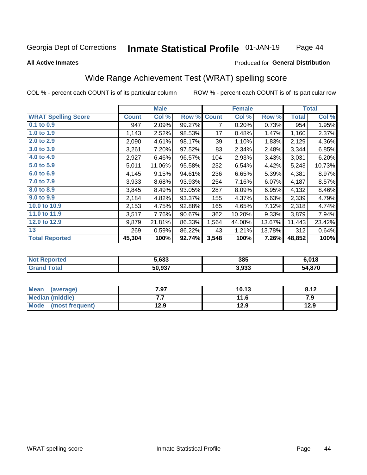#### Inmate Statistical Profile 01-JAN-19 Page 44

### **All Active Inmates**

## **Produced for General Distribution**

## Wide Range Achievement Test (WRAT) spelling score

COL % - percent each COUNT is of its particular column

|                            |              | <b>Male</b> |        |              | <b>Female</b> |        |              | <b>Total</b> |
|----------------------------|--------------|-------------|--------|--------------|---------------|--------|--------------|--------------|
| <b>WRAT Spelling Score</b> | <b>Count</b> | Col %       | Row %  | <b>Count</b> | Col %         | Row %  | <b>Total</b> | Col %        |
| $0.1$ to $0.9$             | 947          | 2.09%       | 99.27% | 7            | 0.20%         | 0.73%  | 954          | 1.95%        |
| 1.0 to 1.9                 | 1,143        | 2.52%       | 98.53% | 17           | 0.48%         | 1.47%  | 1,160        | 2.37%        |
| 2.0 to 2.9                 | 2,090        | 4.61%       | 98.17% | 39           | 1.10%         | 1.83%  | 2,129        | 4.36%        |
| 3.0 to 3.9                 | 3,261        | 7.20%       | 97.52% | 83           | 2.34%         | 2.48%  | 3,344        | 6.85%        |
| 4.0 to 4.9                 | 2,927        | 6.46%       | 96.57% | 104          | 2.93%         | 3.43%  | 3,031        | 6.20%        |
| 5.0 to 5.9                 | 5,011        | 11.06%      | 95.58% | 232          | 6.54%         | 4.42%  | 5,243        | 10.73%       |
| 6.0 to 6.9                 | 4,145        | 9.15%       | 94.61% | 236          | 6.65%         | 5.39%  | 4,381        | 8.97%        |
| 7.0 to 7.9                 | 3,933        | 8.68%       | 93.93% | 254          | 7.16%         | 6.07%  | 4,187        | 8.57%        |
| 8.0 to 8.9                 | 3,845        | 8.49%       | 93.05% | 287          | 8.09%         | 6.95%  | 4,132        | 8.46%        |
| 9.0 to 9.9                 | 2,184        | 4.82%       | 93.37% | 155          | 4.37%         | 6.63%  | 2,339        | 4.79%        |
| 10.0 to 10.9               | 2,153        | 4.75%       | 92.88% | 165          | 4.65%         | 7.12%  | 2,318        | 4.74%        |
| 11.0 to 11.9               | 3,517        | 7.76%       | 90.67% | 362          | 10.20%        | 9.33%  | 3,879        | 7.94%        |
| 12.0 to 12.9               | 9,879        | 21.81%      | 86.33% | 1,564        | 44.08%        | 13.67% | 11,443       | 23.42%       |
| 13                         | 269          | 0.59%       | 86.22% | 43           | 1.21%         | 13.78% | 312          | 0.64%        |
| <b>Total Reported</b>      | 45,304       | 100%        | 92.74% | 3,548        | 100%          | 7.26%  | 48,852       | 100%         |

| -тес<br>NO | 5,633  | 385   | 6.018  |
|------------|--------|-------|--------|
| $\sim$     | 50,937 | 3,933 | 54,870 |

| Mean<br>(average)       | 7.97 | 10.13 | 8.12 |
|-------------------------|------|-------|------|
| Median (middle)         | .    | 11.6  | 7.9  |
| Mode<br>(most frequent) | 12.9 | 12.9  | 12.9 |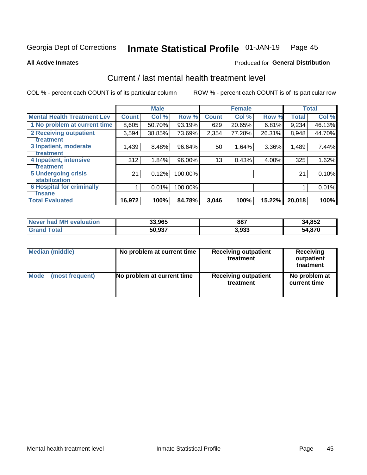#### Inmate Statistical Profile 01-JAN-19 Page 45

**All Active Inmates** 

## **Produced for General Distribution**

## Current / last mental health treatment level

COL % - percent each COUNT is of its particular column

|                                    |              | <b>Male</b> |         |              | <b>Female</b> |          |        | <b>Total</b> |
|------------------------------------|--------------|-------------|---------|--------------|---------------|----------|--------|--------------|
| <b>Mental Health Treatment Lev</b> | <b>Count</b> | Col %       | Row %   | <b>Count</b> | Col %         | Row %    | Total  | Col %        |
| 1 No problem at current time       | 8,605        | 50.70%      | 93.19%  | 629          | 20.65%        | 6.81%    | 9,234  | 46.13%       |
| 2 Receiving outpatient             | 6,594        | 38.85%      | 73.69%  | 2,354        | 77.28%        | 26.31%   | 8,948  | 44.70%       |
| <b>Treatment</b>                   |              |             |         |              |               |          |        |              |
| 3 Inpatient, moderate              | 1,439        | 8.48%       | 96.64%  | 50           | 1.64%         | $3.36\%$ | 1,489  | 7.44%        |
| <b>Treatment</b>                   |              |             |         |              |               |          |        |              |
| 4 Inpatient, intensive             | 312          | 1.84%       | 96.00%  | 13           | 0.43%         | $4.00\%$ | 325    | 1.62%        |
| <b>Treatment</b>                   |              |             |         |              |               |          |        |              |
| 5 Undergoing crisis                | 21           | 0.12%       | 100.00% |              |               |          | 21     | 0.10%        |
| <b>stabilization</b>               |              |             |         |              |               |          |        |              |
| <b>6 Hospital for criminally</b>   |              | 0.01%       | 100.00% |              |               |          |        | 0.01%        |
| Tnsane                             |              |             |         |              |               |          |        |              |
| <b>Total Evaluated</b>             | 16,972       | 100%        | 84.78%  | 3,046        | 100%          | 15.22%   | 20,018 | 100%         |

| Never had MH evaluation | 33,965 | 887   | 34,852 |
|-------------------------|--------|-------|--------|
| $\tau$ otal             | 50,937 | 3.933 | 54,870 |

| Median (middle) | No problem at current time | <b>Receiving outpatient</b><br>treatment | <b>Receiving</b><br>outpatient<br>treatment |
|-----------------|----------------------------|------------------------------------------|---------------------------------------------|
| <b>Mode</b>     | No problem at current time | <b>Receiving outpatient</b>              | No problem at                               |
| (most frequent) |                            | treatment                                | current time                                |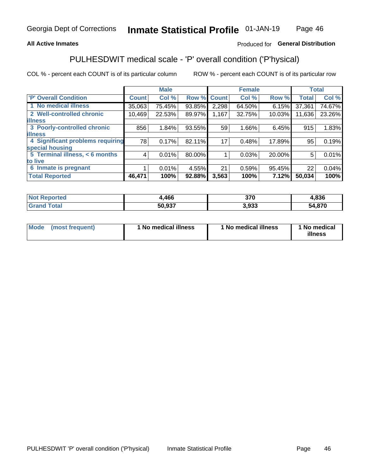## **All Active Inmates**

## Produced for General Distribution

## PULHESDWIT medical scale - 'P' overall condition ('P'hysical)

COL % - percent each COUNT is of its particular column

|                                  |              | <b>Male</b> |        |                 | <b>Female</b> |        |              | <b>Total</b> |
|----------------------------------|--------------|-------------|--------|-----------------|---------------|--------|--------------|--------------|
| 'P' Overall Condition            | <b>Count</b> | Col %       | Row %  | <b>Count</b>    | Col %         | Row %  | <b>Total</b> | Col %        |
| 1 No medical illness             | 35,063       | 75.45%      | 93.85% | 2,298           | 64.50%        | 6.15%  | 37,361       | 74.67%       |
| 2 Well-controlled chronic        | 10,469       | 22.53%      | 89.97% | 1,167           | 32.75%        | 10.03% | 11,636       | 23.26%       |
| <b>lillness</b>                  |              |             |        |                 |               |        |              |              |
| 3 Poorly-controlled chronic      | 856          | 1.84%       | 93.55% | 59              | 1.66%         | 6.45%  | 915          | 1.83%        |
| <b>illness</b>                   |              |             |        |                 |               |        |              |              |
| 4 Significant problems requiring | 78           | 0.17%       | 82.11% | 17 <sub>1</sub> | 0.48%         | 17.89% | 95           | 0.19%        |
| special housing                  |              |             |        |                 |               |        |              |              |
| 5 Terminal illness, < 6 months   | 4            | 0.01%       | 80.00% |                 | 0.03%         | 20.00% | 5            | 0.01%        |
| to live                          |              |             |        |                 |               |        |              |              |
| 6 Inmate is pregnant             |              | 0.01%       | 4.55%  | 21              | 0.59%         | 95.45% | 22           | 0.04%        |
| <b>Total Reported</b>            | 46,471       | 100%        | 92.88% | 3,563           | 100%          | 7.12%  | 50,034       | 100%         |

| тес | 466    | 370  | .836              |
|-----|--------|------|-------------------|
|     | 70.027 | .933 | <b>870</b><br>- 4 |

| Mode | (most frequent) | 1 No medical illness | 1 No medical illness | 1 No medical<br>illness |
|------|-----------------|----------------------|----------------------|-------------------------|
|------|-----------------|----------------------|----------------------|-------------------------|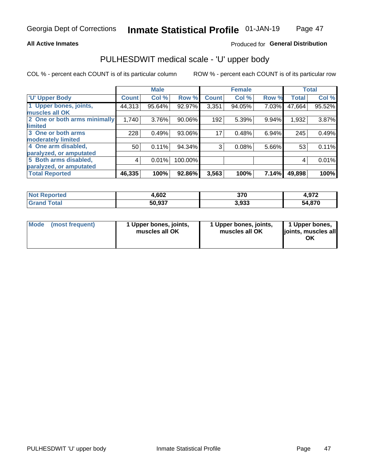### **All Active Inmates**

## Produced for General Distribution

# PULHESDWIT medical scale - 'U' upper body

COL % - percent each COUNT is of its particular column

|                              |              | <b>Male</b> |         |              | <b>Female</b> |       |              | <b>Total</b> |
|------------------------------|--------------|-------------|---------|--------------|---------------|-------|--------------|--------------|
| <b>U' Upper Body</b>         | <b>Count</b> | Col %       | Row %   | <b>Count</b> | Col %         | Row % | <b>Total</b> | Col %        |
| 1 Upper bones, joints,       | 44,313       | 95.64%      | 92.97%  | 3,351        | 94.05%        | 7.03% | 47,664       | 95.52%       |
| muscles all OK               |              |             |         |              |               |       |              |              |
| 2 One or both arms minimally | 1,740        | 3.76%       | 90.06%  | 192          | 5.39%         | 9.94% | 1,932        | 3.87%        |
| limited                      |              |             |         |              |               |       |              |              |
| 3 One or both arms           | 228          | 0.49%       | 93.06%  | 17           | 0.48%         | 6.94% | 245          | 0.49%        |
| <b>moderately limited</b>    |              |             |         |              |               |       |              |              |
| 4 One arm disabled,          | 50           | 0.11%       | 94.34%  | 3            | 0.08%         | 5.66% | 53           | 0.11%        |
| paralyzed, or amputated      |              |             |         |              |               |       |              |              |
| 5 Both arms disabled,        | 4            | 0.01%       | 100.00% |              |               |       | 4            | 0.01%        |
| paralyzed, or amputated      |              |             |         |              |               |       |              |              |
| <b>Total Reported</b>        | 46,335       | 100%        | 92.86%  | 3,563        | 100%          | 7.14% | 49,898       | 100%         |

| <b>Not Reported</b> | 4,602  | 370   | 4,972  |
|---------------------|--------|-------|--------|
| <b>Grand Total</b>  | 50,937 | 3.933 | 54,870 |

| Mode<br>(most frequent) | 1 Upper bones, joints,<br>muscles all OK | 1 Upper bones, joints,<br>muscles all OK | 1 Upper bones,<br>joints, muscles all<br>ΟK |
|-------------------------|------------------------------------------|------------------------------------------|---------------------------------------------|
|-------------------------|------------------------------------------|------------------------------------------|---------------------------------------------|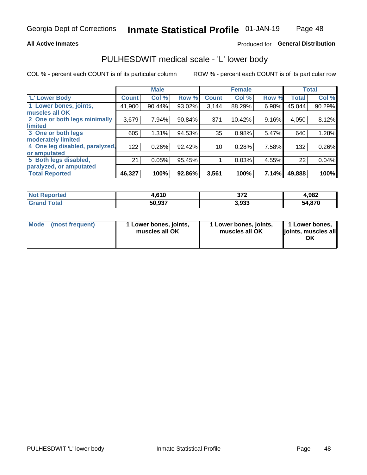### **All Active Inmates**

## Produced for General Distribution

## PULHESDWIT medical scale - 'L' lower body

COL % - percent each COUNT is of its particular column

|                                |              | <b>Male</b> |        |                 | <b>Female</b> |       |              | <b>Total</b> |
|--------------------------------|--------------|-------------|--------|-----------------|---------------|-------|--------------|--------------|
| 'L' Lower Body                 | <b>Count</b> | Col %       | Row %  | <b>Count</b>    | Col %         | Row % | <b>Total</b> | Col %        |
| 1 Lower bones, joints,         | 41,900       | 90.44%      | 93.02% | 3,144           | 88.29%        | 6.98% | 45,044       | 90.29%       |
| muscles all OK                 |              |             |        |                 |               |       |              |              |
| 2 One or both legs minimally   | 3,679        | 7.94%       | 90.84% | 371             | 10.42%        | 9.16% | 4,050        | 8.12%        |
| limited                        |              |             |        |                 |               |       |              |              |
| 3 One or both legs             | 605          | 1.31%       | 94.53% | 35              | 0.98%         | 5.47% | 640          | 1.28%        |
| moderately limited             |              |             |        |                 |               |       |              |              |
| 4 One leg disabled, paralyzed, | 122          | 0.26%       | 92.42% | 10 <sub>1</sub> | 0.28%         | 7.58% | 132          | 0.26%        |
| or amputated                   |              |             |        |                 |               |       |              |              |
| 5 Both legs disabled,          | 21           | 0.05%       | 95.45% |                 | 0.03%         | 4.55% | 22           | 0.04%        |
| paralyzed, or amputated        |              |             |        |                 |               |       |              |              |
| <b>Total Reported</b>          | 46,327       | 100%        | 92.86% | 3,561           | 100%          | 7.14% | 49,888       | 100%         |

| <b>Not Reported</b>   | 4,610  | ヘラヘ<br>91 Ł | 4,982  |
|-----------------------|--------|-------------|--------|
| <b>Total</b><br>Grand | 50,937 | 3,933       | 54,870 |

|  | Mode (most frequent) | 1 Lower bones, joints,<br>muscles all OK | 1 Lower bones, joints,<br>muscles all OK | 1 Lower bones,<br>joints, muscles all<br>ΟK |
|--|----------------------|------------------------------------------|------------------------------------------|---------------------------------------------|
|--|----------------------|------------------------------------------|------------------------------------------|---------------------------------------------|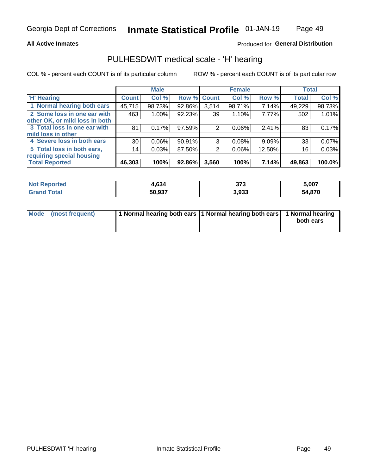### **All Active Inmates**

## Produced for General Distribution

## PULHESDWIT medical scale - 'H' hearing

COL % - percent each COUNT is of its particular column

|                                |                 | <b>Male</b> |             |       | <b>Female</b> |        | <b>Total</b> |        |
|--------------------------------|-----------------|-------------|-------------|-------|---------------|--------|--------------|--------|
| <b>'H' Hearing</b>             | <b>Count</b>    | Col %       | Row % Count |       | Col %         | Row %  | <b>Total</b> | Col %  |
| 1 Normal hearing both ears     | 45,715          | 98.73%      | 92.86%      | 3,514 | 98.71%        | 7.14%  | 49,229       | 98.73% |
| 2 Some loss in one ear with    | 463             | 1.00%       | 92.23%      | 39    | 1.10%         | 7.77%  | 502          | 1.01%  |
| other OK, or mild loss in both |                 |             |             |       |               |        |              |        |
| 3 Total loss in one ear with   | 81              | 0.17%       | 97.59%      | 2     | 0.06%         | 2.41%  | 83           | 0.17%  |
| mild loss in other             |                 |             |             |       |               |        |              |        |
| 4 Severe loss in both ears     | 30              | $0.06\%$    | 90.91%      | 3     | 0.08%         | 9.09%  | 33           | 0.07%  |
| 5 Total loss in both ears,     | 14 <sub>1</sub> | 0.03%       | 87.50%      | 2     | $0.06\%$      | 12.50% | 16           | 0.03%  |
| requiring special housing      |                 |             |             |       |               |        |              |        |
| <b>Total Reported</b>          | 46,303          | 100%        | 92.86%      | 3,560 | 100%          | 7.14%  | 49,863       | 100.0% |

| тес | $\sim$<br>.634 | 272<br>JI J | 5.007  |
|-----|----------------|-------------|--------|
|     | 50,937         | 3,933       | 54,870 |

| Mode (most frequent) | 1 Normal hearing both ears 11 Normal hearing both ears 1 Normal hearing | both ears |
|----------------------|-------------------------------------------------------------------------|-----------|
|                      |                                                                         |           |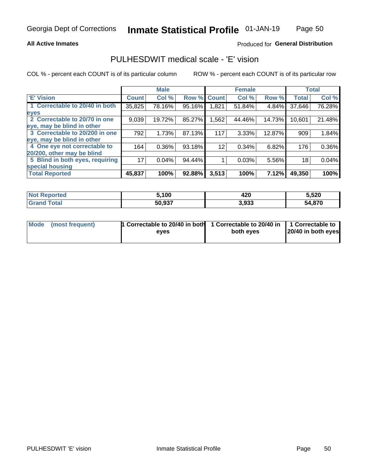### **All Active Inmates**

### Produced for General Distribution

## PULHESDWIT medical scale - 'E' vision

COL % - percent each COUNT is of its particular column

|                                 |              | <b>Male</b> |        |              | <b>Female</b> |        |              | <b>Total</b> |
|---------------------------------|--------------|-------------|--------|--------------|---------------|--------|--------------|--------------|
| 'E' Vision                      | <b>Count</b> | Col %       | Row %  | <b>Count</b> | Col %         | Row %  | <b>Total</b> | Col %        |
| 1 Correctable to 20/40 in both  | 35,825       | 78.16%      | 95.16% | 1,821        | 51.84%        | 4.84%  | 37,646       | 76.28%       |
| eyes                            |              |             |        |              |               |        |              |              |
| 2 Correctable to 20/70 in one   | 9,039        | 19.72%      | 85.27% | 1,562        | 44.46%        | 14.73% | 10,601       | 21.48%       |
| eye, may be blind in other      |              |             |        |              |               |        |              |              |
| 3 Correctable to 20/200 in one  | 792          | 1.73%       | 87.13% | 117          | 3.33%         | 12.87% | 909          | 1.84%        |
| eye, may be blind in other      |              |             |        |              |               |        |              |              |
| 4 One eye not correctable to    | 164          | 0.36%       | 93.18% | 12           | 0.34%         | 6.82%  | 176          | 0.36%        |
| 20/200, other may be blind      |              |             |        |              |               |        |              |              |
| 5 Blind in both eyes, requiring | 17           | 0.04%       | 94.44% |              | 0.03%         | 5.56%  | 18           | 0.04%        |
| special housing                 |              |             |        |              |               |        |              |              |
| <b>Total Reported</b>           | 45,837       | 100%        | 92.88% | 3,513        | 100%          | 7.12%  | 49,350       | 100%         |

| <b>Not Reported</b> | 100,   | 420   | 5,520  |
|---------------------|--------|-------|--------|
| Гоtal               | 50,937 | 3,933 | 54,870 |

| Mode (most frequent) | 1 Correctable to 20/40 in both<br>eves | 1 Correctable to 20/40 in   1 Correctable to  <br>both eves | 20/40 in both eyes |
|----------------------|----------------------------------------|-------------------------------------------------------------|--------------------|
|                      |                                        |                                                             |                    |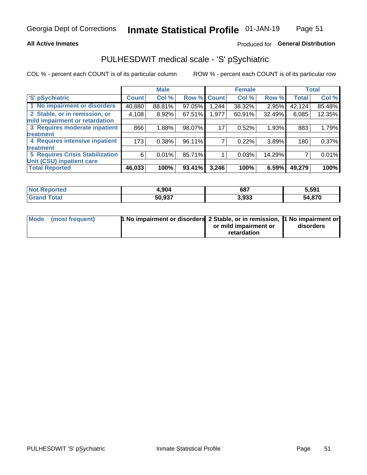### **All Active Inmates**

## Produced for General Distribution

## PULHESDWIT medical scale - 'S' pSychiatric

COL % - percent each COUNT is of its particular column

|                                        |              | <b>Male</b> |        |              | <b>Female</b> |        |              | <b>Total</b> |
|----------------------------------------|--------------|-------------|--------|--------------|---------------|--------|--------------|--------------|
| 'S' pSychiatric                        | <b>Count</b> | Col %       | Row %  | <b>Count</b> | Col %         | Row %  | <b>Total</b> | Col %        |
| 1 No impairment or disorders           | 40,880       | 88.81%      | 97.05% | .244         | 38.32%        | 2.95%  | 42,124       | 85.48%       |
| 2 Stable, or in remission, or          | 4,108        | 8.92%       | 67.51% | 1,977        | 60.91%        | 32.49% | 6,085        | 12.35%       |
| mild impairment or retardation         |              |             |        |              |               |        |              |              |
| 3 Requires moderate inpatient          | 866          | 1.88%       | 98.07% | 17           | 0.52%         | 1.93%  | 883          | 1.79%        |
| treatment                              |              |             |        |              |               |        |              |              |
| 4 Requires intensive inpatient         | 173          | 0.38%       | 96.11% |              | 0.22%         | 3.89%  | 180          | 0.37%        |
| treatment                              |              |             |        |              |               |        |              |              |
| <b>5 Requires Crisis Stabilization</b> | 6            | 0.01%       | 85.71% |              | 0.03%         | 14.29% |              | 0.01%        |
| Unit (CSU) inpatient care              |              |             |        |              |               |        |              |              |
| <b>Total Reported</b>                  | 46,033       | 100%        | 93.41% | 3,246        | 100%          | 6.59%  | 49,279       | 100%         |

| <b>Not Reported</b>   | 4,904  | 687   | 5,591  |
|-----------------------|--------|-------|--------|
| Total<br><b>Grand</b> | 50,937 | 3,933 | 54,870 |

| Mode (most frequent) | <b>1 No impairment or disorders 2 Stable, or in remission, 1 No impairment or</b> |                       |           |
|----------------------|-----------------------------------------------------------------------------------|-----------------------|-----------|
|                      |                                                                                   | or mild impairment or | disorders |
|                      |                                                                                   | retardation           |           |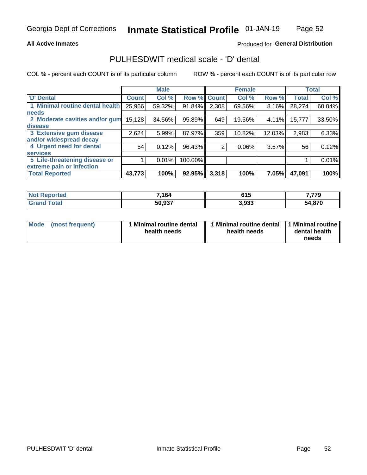### **All Active Inmates**

## Produced for General Distribution

## PULHESDWIT medical scale - 'D' dental

COL % - percent each COUNT is of its particular column

|                                 |              | <b>Male</b> |         |              | <b>Female</b> |        |              | <b>Total</b> |
|---------------------------------|--------------|-------------|---------|--------------|---------------|--------|--------------|--------------|
| 'D' Dental                      | <b>Count</b> | Col %       | Row %   | <b>Count</b> | Col %         | Row %  | <b>Total</b> | Col %        |
| 1 Minimal routine dental health | 25,966       | 59.32%      | 91.84%  | 2,308        | 69.56%        | 8.16%  | 28,274       | 60.04%       |
| <b>needs</b>                    |              |             |         |              |               |        |              |              |
| 2 Moderate cavities and/or gum  | 15,128       | 34.56%      | 95.89%  | 649          | 19.56%        | 4.11%  | 15,777       | 33.50%       |
| disease                         |              |             |         |              |               |        |              |              |
| 3 Extensive gum disease         | 2,624        | 5.99%       | 87.97%  | 359          | 10.82%        | 12.03% | 2,983        | 6.33%        |
| and/or widespread decay         |              |             |         |              |               |        |              |              |
| 4 Urgent need for dental        | 54           | 0.12%       | 96.43%  | 2            | $0.06\%$      | 3.57%  | 56           | 0.12%        |
| <b>services</b>                 |              |             |         |              |               |        |              |              |
| 5 Life-threatening disease or   |              | 0.01%       | 100.00% |              |               |        |              | 0.01%        |
| extreme pain or infection       |              |             |         |              |               |        |              |              |
| <b>Total Reported</b>           | 43,773       | 100%        | 92.95%  | 3,318        | 100%          | 7.05%  | 47,091       | 100%         |

| <b>Not Reported</b> | 7,164  | <b>64F</b><br>ט ו ט | 7,779  |
|---------------------|--------|---------------------|--------|
| Total<br>' Grand    | 50,937 | 3,933               | 54,870 |

| 1 Minimal routine dental<br>Mode<br>(most frequent)<br>health needs | 1 Minimal routine dental 1 Minimal routine<br>health needs | dental health<br>needs |
|---------------------------------------------------------------------|------------------------------------------------------------|------------------------|
|---------------------------------------------------------------------|------------------------------------------------------------|------------------------|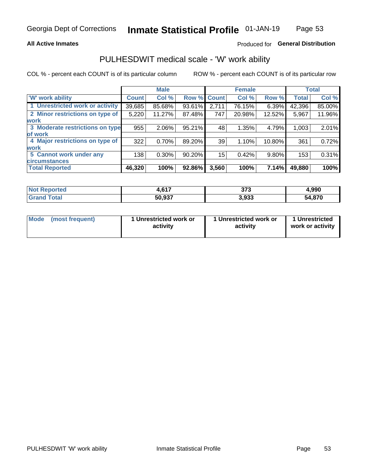### **All Active Inmates**

## Produced for General Distribution

## PULHESDWIT medical scale - 'W' work ability

COL % - percent each COUNT is of its particular column

|                                 |              | <b>Male</b> |        |             | <b>Female</b> |        |              | <b>Total</b> |
|---------------------------------|--------------|-------------|--------|-------------|---------------|--------|--------------|--------------|
| <b>W' work ability</b>          | <b>Count</b> | Col %       |        | Row % Count | Col %         | Row %  | <b>Total</b> | Col %        |
| 1 Unrestricted work or activity | 39,685       | 85.68%      | 93.61% | 2,711       | 76.15%        | 6.39%  | 42,396       | 85.00%       |
| 2 Minor restrictions on type of | 5,220        | 11.27%      | 87.48% | 747         | 20.98%        | 12.52% | 5,967        | 11.96%       |
| <b>work</b>                     |              |             |        |             |               |        |              |              |
| 3 Moderate restrictions on type | 955          | 2.06%       | 95.21% | 48          | 1.35%         | 4.79%  | 1,003        | 2.01%        |
| lof work                        |              |             |        |             |               |        |              |              |
| 4 Major restrictions on type of | 322          | 0.70%       | 89.20% | 39          | 1.10%         | 10.80% | 361          | 0.72%        |
| <b>work</b>                     |              |             |        |             |               |        |              |              |
| 5 Cannot work under any         | 138          | $0.30\%$    | 90.20% | 15          | 0.42%         | 9.80%  | 153          | 0.31%        |
| <b>circumstances</b>            |              |             |        |             |               |        |              |              |
| <b>Total Reported</b>           | 46,320       | 100%        | 92.86% | 3,560       | 100%          | 7.14%  | 49,880       | 100%         |

| <b>Not Renc</b><br>≅norted i | 0.47   | 272<br>১। ১ | 990,ا  |
|------------------------------|--------|-------------|--------|
| <b>Total</b>                 | 50,937 | 3,933       | 54,870 |

| Mode            | 1 Unrestricted work or | 1 Unrestricted work or | 1 Unrestricted   |
|-----------------|------------------------|------------------------|------------------|
| (most frequent) | activity               | activity               | work or activity |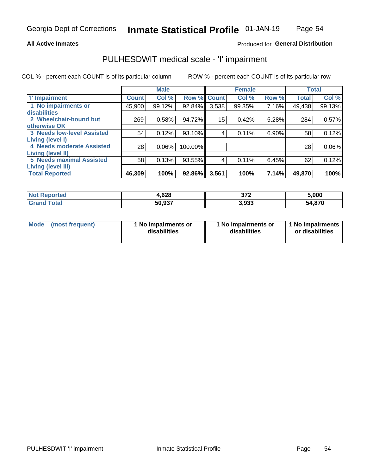### **All Active Inmates**

## Produced for General Distribution

## PULHESDWIT medical scale - 'I' impairment

COL % - percent each COUNT is of its particular column

|                                                       |              | <b>Male</b> |         |             | <b>Female</b> |       |              | <b>Total</b> |
|-------------------------------------------------------|--------------|-------------|---------|-------------|---------------|-------|--------------|--------------|
| <b>T' Impairment</b>                                  | <b>Count</b> | Col %       |         | Row % Count | Col %         | Row % | <b>Total</b> | Col %        |
| 1 No impairments or<br>disabilities                   | 45,900       | 99.12%      | 92.84%  | 3,538       | 99.35%        | 7.16% | 49,438       | 99.13%       |
| 2 Wheelchair-bound but<br>otherwise OK                | 269          | 0.58%       | 94.72%  | 15          | 0.42%         | 5.28% | 284          | 0.57%        |
| <b>3 Needs low-level Assisted</b><br>Living (level I) | 54           | 0.12%       | 93.10%  | 4           | 0.11%         | 6.90% | 58           | 0.12%        |
| 4 Needs moderate Assisted<br>Living (level II)        | 28           | 0.06%       | 100.00% |             |               |       | 28           | $0.06\%$     |
| <b>5 Needs maximal Assisted</b><br>Living (level III) | 58           | 0.13%       | 93.55%  | 4           | 0.11%         | 6.45% | 62           | 0.12%        |
| <b>Total Reported</b>                                 | 46,309       | 100%        | 92.86%  | 3,561       | 100%          | 7.14% | 49,870       | 100%         |

| <b>Not</b><br>Reported | l.628  | ヘフヘ<br>- 21 ▲<br>$\sim$ $\sim$ $\sim$ $\sim$ $\sim$ $\sim$ | 5,000       |
|------------------------|--------|------------------------------------------------------------|-------------|
| Total<br>Grai          | 50,937 | 3,933                                                      | .870<br>54. |

| Mode | (most frequent) | 1 No impairments or<br>disabilities | 1 No impairments or<br>disabilities | 1 No impairments<br>or disabilities |
|------|-----------------|-------------------------------------|-------------------------------------|-------------------------------------|
|------|-----------------|-------------------------------------|-------------------------------------|-------------------------------------|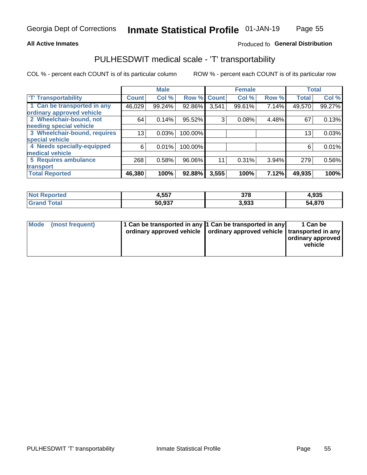### **All Active Inmates**

## Produced fo General Distribution

## PULHESDWIT medical scale - 'T' transportability

COL % - percent each COUNT is of its particular column

|                              |              | <b>Male</b> |         |              | <b>Female</b> |       |              | <b>Total</b> |
|------------------------------|--------------|-------------|---------|--------------|---------------|-------|--------------|--------------|
| <b>T' Transportability</b>   | <b>Count</b> | Col%        | Row %   | <b>Count</b> | Col %         | Row % | <b>Total</b> | Col %        |
| 1 Can be transported in any  | 46,029       | 99.24%      | 92.86%  | 3,541        | 99.61%        | 7.14% | 49,570       | 99.27%       |
| ordinary approved vehicle    |              |             |         |              |               |       |              |              |
| 2 Wheelchair-bound, not      | 64           | 0.14%       | 95.52%  | 3            | 0.08%         | 4.48% | 67           | 0.13%        |
| needing special vehicle      |              |             |         |              |               |       |              |              |
| 3 Wheelchair-bound, requires | 13           | 0.03%       | 100.00% |              |               |       | 13           | 0.03%        |
| special vehicle              |              |             |         |              |               |       |              |              |
| 4 Needs specially-equipped   | 6            | 0.01%       | 100.00% |              |               |       | 6            | 0.01%        |
| medical vehicle              |              |             |         |              |               |       |              |              |
| <b>5 Requires ambulance</b>  | 268          | 0.58%       | 96.06%  | 11           | 0.31%         | 3.94% | 279          | 0.56%        |
| transport                    |              |             |         |              |               |       |              |              |
| <b>Total Reported</b>        | 46,380       | 100%        | 92.88%  | 3,555        | 100%          | 7.12% | 49,935       | 100%         |

| rted. | 4,557  | 278<br>JI U  | 4,935      |
|-------|--------|--------------|------------|
|       | 50.937 | ດາາ<br>ວ.ວວວ | ,870<br>54 |

|  | Mode (most frequent) | 1 Can be transported in any 1 Can be transported in any<br>ordinary approved vehicle   ordinary approved vehicle   transported in any |  | 1 Can be<br>  ordinary approved  <br>vehicle |
|--|----------------------|---------------------------------------------------------------------------------------------------------------------------------------|--|----------------------------------------------|
|--|----------------------|---------------------------------------------------------------------------------------------------------------------------------------|--|----------------------------------------------|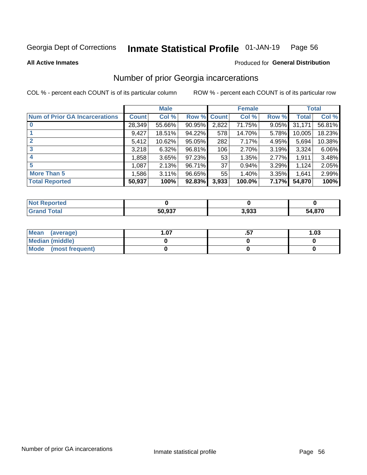#### Inmate Statistical Profile 01-JAN-19 Page 56

**All Active Inmates** 

### **Produced for General Distribution**

## Number of prior Georgia incarcerations

COL % - percent each COUNT is of its particular column

|                                       |              | <b>Male</b> |             |       | <b>Female</b> |       |        | <b>Total</b> |
|---------------------------------------|--------------|-------------|-------------|-------|---------------|-------|--------|--------------|
| <b>Num of Prior GA Incarcerations</b> | <b>Count</b> | Col %       | Row % Count |       | Col %         | Row % | Total  | Col %        |
|                                       | 28,349       | 55.66%      | 90.95%      | 2,822 | 71.75%        | 9.05% | 31,171 | 56.81%       |
|                                       | 9,427        | 18.51%      | 94.22%      | 578   | 14.70%        | 5.78% | 10,005 | 18.23%       |
| $\overline{2}$                        | 5,412        | 10.62%      | 95.05%      | 282   | 7.17%         | 4.95% | 5,694  | 10.38%       |
| 3                                     | 3,218        | 6.32%       | 96.81%      | 106   | 2.70%         | 3.19% | 3,324  | 6.06%        |
| $\boldsymbol{4}$                      | 1,858        | 3.65%       | 97.23%      | 53    | 1.35%         | 2.77% | 1,911  | 3.48%        |
| 5                                     | 1,087        | 2.13%       | 96.71%      | 37    | 0.94%         | 3.29% | 1,124  | 2.05%        |
| <b>More Than 5</b>                    | 1,586        | 3.11%       | 96.65%      | 55    | 1.40%         | 3.35% | 1.641  | 2.99%        |
| <b>Total Reported</b>                 | 50,937       | 100%        | 92.83%      | 3,933 | 100.0%        | 7.17% | 54,870 | 100%         |

| <b>Not</b><br>Reported        |        |       |                     |
|-------------------------------|--------|-------|---------------------|
| $\tau$ otar<br><b>'</b> Gran∟ | 50,937 | 3,933 | <i>A</i> ,870<br>מר |

| Mean (average)       | .07 | <br>1.03 |
|----------------------|-----|----------|
| Median (middle)      |     |          |
| Mode (most frequent) |     |          |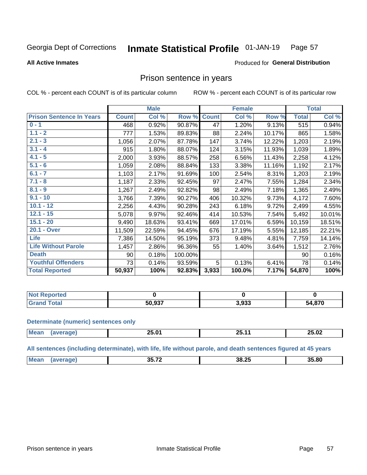#### Inmate Statistical Profile 01-JAN-19 Page 57

**All Active Inmates** 

### Produced for General Distribution

## Prison sentence in years

COL % - percent each COUNT is of its particular column

ROW % - percent each COUNT is of its particular row

|                                 |              | <b>Male</b> |         |              | <b>Female</b> |        |              | <b>Total</b> |
|---------------------------------|--------------|-------------|---------|--------------|---------------|--------|--------------|--------------|
| <b>Prison Sentence In Years</b> | <b>Count</b> | Col %       | Row %   | <b>Count</b> | Col %         | Row %  | <b>Total</b> | Col %        |
| $0 - 1$                         | 468          | 0.92%       | 90.87%  | 47           | 1.20%         | 9.13%  | 515          | 0.94%        |
| $1.1 - 2$                       | 777          | 1.53%       | 89.83%  | 88           | 2.24%         | 10.17% | 865          | 1.58%        |
| $2.1 - 3$                       | 1,056        | 2.07%       | 87.78%  | 147          | 3.74%         | 12.22% | 1,203        | 2.19%        |
| $3.1 - 4$                       | 915          | 1.80%       | 88.07%  | 124          | 3.15%         | 11.93% | 1,039        | 1.89%        |
| $4.1 - 5$                       | 2,000        | 3.93%       | 88.57%  | 258          | 6.56%         | 11.43% | 2,258        | 4.12%        |
| $5.1 - 6$                       | 1,059        | 2.08%       | 88.84%  | 133          | 3.38%         | 11.16% | 1,192        | 2.17%        |
| $6.1 - 7$                       | 1,103        | 2.17%       | 91.69%  | 100          | 2.54%         | 8.31%  | 1,203        | 2.19%        |
| $7.1 - 8$                       | 1,187        | 2.33%       | 92.45%  | 97           | 2.47%         | 7.55%  | 1,284        | 2.34%        |
| $8.1 - 9$                       | 1,267        | 2.49%       | 92.82%  | 98           | 2.49%         | 7.18%  | 1,365        | 2.49%        |
| $9.1 - 10$                      | 3,766        | 7.39%       | 90.27%  | 406          | 10.32%        | 9.73%  | 4,172        | 7.60%        |
| $10.1 - 12$                     | 2,256        | 4.43%       | 90.28%  | 243          | 6.18%         | 9.72%  | 2,499        | 4.55%        |
| $12.1 - 15$                     | 5,078        | 9.97%       | 92.46%  | 414          | 10.53%        | 7.54%  | 5,492        | 10.01%       |
| $15.1 - 20$                     | 9,490        | 18.63%      | 93.41%  | 669          | 17.01%        | 6.59%  | 10,159       | 18.51%       |
| 20.1 - Over                     | 11,509       | 22.59%      | 94.45%  | 676          | 17.19%        | 5.55%  | 12,185       | 22.21%       |
| <b>Life</b>                     | 7,386        | 14.50%      | 95.19%  | 373          | 9.48%         | 4.81%  | 7,759        | 14.14%       |
| <b>Life Without Parole</b>      | 1,457        | 2.86%       | 96.36%  | 55           | 1.40%         | 3.64%  | 1,512        | 2.76%        |
| <b>Death</b>                    | 90           | 0.18%       | 100.00% |              |               |        | 90           | 0.16%        |
| <b>Youthful Offenders</b>       | 73           | 0.14%       | 93.59%  | 5            | 0.13%         | 6.41%  | 78           | 0.14%        |
| <b>Total Reported</b>           | 50,937       | 100%        | 92.83%  | 3,933        | 100.0%        | 7.17%  | 54,870       | 100%         |

| ported<br>I NOT |                        |       |        |
|-----------------|------------------------|-------|--------|
| $A+$            | $E^{\wedge}$ 007<br>วบ | 3,933 | 54,870 |

### **Determinate (numeric) sentences only**

| <b>Mean</b> | ጋፍ በ1<br>- U.U | - -<br>$\cdot$<br><u>au. II</u> | 25.02 |
|-------------|----------------|---------------------------------|-------|
|             |                |                                 |       |

All sentences (including determinate), with life, life without parole, and death sentences figured at 45 years

| <br>35.72<br>Me:<br>35.80<br>ـ د 50<br>___ |  |  |  |
|--------------------------------------------|--|--|--|
|                                            |  |  |  |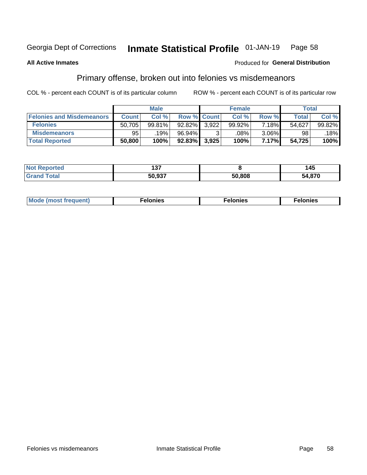#### Inmate Statistical Profile 01-JAN-19 Page 58

### **All Active Inmates**

### **Produced for General Distribution**

## Primary offense, broken out into felonies vs misdemeanors

COL % - percent each COUNT is of its particular column

|                                  |              | <b>Male</b> |                    |       | <b>Female</b> |       |        | Total  |
|----------------------------------|--------------|-------------|--------------------|-------|---------------|-------|--------|--------|
| <b>Felonies and Misdemeanors</b> | <b>Count</b> | Col %       | <b>Row % Count</b> |       | Col %         | Row % | Total  | Col %  |
| <b>Felonies</b>                  | 50,705       | 99.81%      | 92.82%             | 3.922 | 99.92%        | 7.18% | 54,627 | 99.82% |
| <b>Misdemeanors</b>              | 95           | .19%        | 96.94%             |       | .08%          | 3.06% | 98     | 18%    |
| <b>Total Reported</b>            | 50,800       | 100%        | $92.83\%$          | 3,925 | 100%          | 7.17% | 54,725 | 100%   |

| <b>Not Reported</b> | ---<br>ישו |        | --<br>145 |
|---------------------|------------|--------|-----------|
| Grar<br><b>otal</b> | 50.937     | 50,808 | 54,870    |

| M      | .    | nes | onies |
|--------|------|-----|-------|
| nuenti | ____ | .   | .     |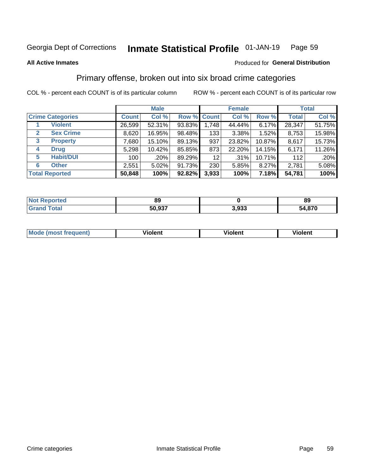#### Inmate Statistical Profile 01-JAN-19 Page 59

**All Active Inmates** 

### Produced for General Distribution

## Primary offense, broken out into six broad crime categories

COL % - percent each COUNT is of its particular column

|                                 | <b>Male</b>  |        |           |             | <b>Female</b> |        | <b>Total</b> |        |  |
|---------------------------------|--------------|--------|-----------|-------------|---------------|--------|--------------|--------|--|
| <b>Crime Categories</b>         | <b>Count</b> | Col %  |           | Row % Count | Col %         | Row %  | <b>Total</b> | Col %  |  |
| <b>Violent</b>                  | 26,599       | 52.31% | 93.83%    | 1,748       | 44.44%        | 6.17%  | 28,347       | 51.75% |  |
| <b>Sex Crime</b><br>2           | 8,620        | 16.95% | 98.48%    | 133         | $3.38\%$      | 1.52%  | 8,753        | 15.98% |  |
| $\mathbf{3}$<br><b>Property</b> | 7,680        | 15.10% | 89.13%    | 937         | 23.82%        | 10.87% | 8,617        | 15.73% |  |
| <b>Drug</b><br>4                | 5,298        | 10.42% | 85.85%    | 873         | 22.20%        | 14.15% | 6,171        | 11.26% |  |
| <b>Habit/DUI</b><br>5           | 100          | .20%   | 89.29%    | 12          | .31%          | 10.71% | 112          | .20%   |  |
| <b>Other</b><br>6               | 2,551        | 5.02%  | 91.73%    | 230         | 5.85%         | 8.27%  | 2,781        | 5.08%  |  |
| <b>Total Reported</b>           | 50,848       | 100%   | $92.82\%$ | 3,933       | 100%          | 7.18%  | 54,781       | 100%   |  |

| τeα<br>NO | 89     |                | 89          |
|-----------|--------|----------------|-------------|
|           | 50.937 | . nnn<br>ა.ააა | 4,870<br>54 |

| Mo<br>uent)<br>nos | .<br>/iolent | <br>Violent | - --<br><b>Tiolent</b> |
|--------------------|--------------|-------------|------------------------|
|                    |              |             |                        |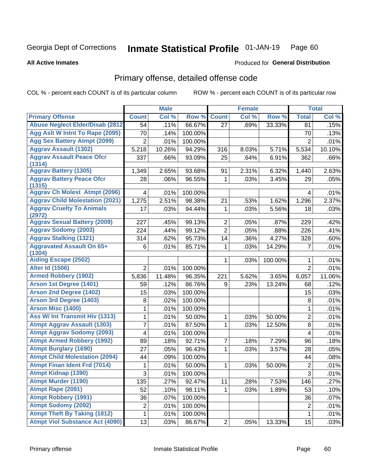#### Inmate Statistical Profile 01-JAN-19 Page 60

### **All Active Inmates**

# **Produced for General Distribution**

## Primary offense, detailed offense code

COL % - percent each COUNT is of its particular column

|                                            |                           | <b>Male</b> |         |                | <b>Female</b> |         |                  | <b>Total</b> |
|--------------------------------------------|---------------------------|-------------|---------|----------------|---------------|---------|------------------|--------------|
| <b>Primary Offense</b>                     | <b>Count</b>              | Col %       | Row %   | <b>Count</b>   | Col %         | Row %   | <b>Total</b>     | Col %        |
| <b>Abuse Neglect Elder/Disab (2812)</b>    | 54                        | .11%        | 66.67%  | 27             | .69%          | 33.33%  | 81               | .15%         |
| Agg Aslt W Intnt To Rape (2095)            | 70                        | .14%        | 100.00% |                |               |         | 70               | .13%         |
| <b>Agg Sex Battery Atmpt (2099)</b>        | $\overline{2}$            | .01%        | 100.00% |                |               |         | $\overline{2}$   | .01%         |
| <b>Aggrav Assault (1302)</b>               | 5,218                     | 10.26%      | 94.29%  | 316            | 8.03%         | 5.71%   | 5,534            | 10.10%       |
| <b>Aggrav Assault Peace Ofcr</b>           | 337                       | .66%        | 93.09%  | 25             | .64%          | 6.91%   | 362              | .66%         |
| (1314)                                     |                           |             |         |                |               |         |                  |              |
| <b>Aggrav Battery (1305)</b>               | 1,349                     | 2.65%       | 93.68%  | 91             | 2.31%         | 6.32%   | 1,440            | 2.63%        |
| <b>Aggrav Battery Peace Ofcr</b><br>(1315) | 28                        | .06%        | 96.55%  | 1              | .03%          | 3.45%   | 29               | .05%         |
| <b>Aggrav Ch Molest Atmpt (2096)</b>       | 4                         | .01%        | 100.00% |                |               |         | 4                | .01%         |
| <b>Aggrav Child Molestation (2021)</b>     | 1,275                     | 2.51%       | 98.38%  | 21             | .53%          | 1.62%   | 1,296            | 2.37%        |
| <b>Aggrav Cruelty To Animals</b>           | 17                        | .03%        | 94.44%  | 1              | .03%          | 5.56%   | 18               | .03%         |
| (2972)                                     |                           |             |         |                |               |         |                  |              |
| <b>Aggrav Sexual Battery (2009)</b>        | 227                       | .45%        | 99.13%  | $\overline{2}$ | .05%          | .87%    | 229              | .42%         |
| <b>Aggrav Sodomy (2003)</b>                | 224                       | .44%        | 99.12%  | $\overline{2}$ | .05%          | .88%    | 226              | .41%         |
| <b>Aggrav Stalking (1321)</b>              | 314                       | .62%        | 95.73%  | 14             | .36%          | 4.27%   | 328              | .60%         |
| <b>Aggravated Assault On 65+</b><br>(1304) | 6                         | .01%        | 85.71%  | 1              | .03%          | 14.29%  | $\overline{7}$   | .01%         |
| <b>Aiding Escape (2502)</b>                |                           |             |         | 1              | .03%          | 100.00% | 1                | .01%         |
| <b>Alter Id (1506)</b>                     | $\overline{2}$            | .01%        | 100.00% |                |               |         | $\overline{2}$   | .01%         |
| <b>Armed Robbery (1902)</b>                | 5,836                     | 11.48%      | 96.35%  | 221            | 5.62%         | 3.65%   | 6,057            | 11.06%       |
| Arson 1st Degree (1401)                    | 59                        | .12%        | 86.76%  | 9              | .23%          | 13.24%  | 68               | .12%         |
| <b>Arson 2nd Degree (1402)</b>             | 15                        | .03%        | 100.00% |                |               |         | 15               | .03%         |
| <b>Arson 3rd Degree (1403)</b>             | 8                         | .02%        | 100.00% |                |               |         | 8                | .01%         |
| <b>Arson Misc (1400)</b>                   | 1                         | .01%        | 100.00% |                |               |         | $\mathbf{1}$     | .01%         |
| <b>Ass W/ Int Transmit Hiv (1313)</b>      | 1                         | .01%        | 50.00%  | $\mathbf{1}$   | .03%          | 50.00%  | $\overline{2}$   | .01%         |
| <b>Atmpt Aggrav Assault (1303)</b>         | 7                         | .01%        | 87.50%  | 1              | .03%          | 12.50%  | 8                | .01%         |
| <b>Atmpt Aggrav Sodomy (2093)</b>          | 4                         | .01%        | 100.00% |                |               |         | $\overline{4}$   | .01%         |
| <b>Atmpt Armed Robbery (1992)</b>          | 89                        | .18%        | 92.71%  | 7              | .18%          | 7.29%   | 96               | .18%         |
| <b>Atmpt Burglary (1690)</b>               | 27                        | .05%        | 96.43%  | 1              | .03%          | 3.57%   | 28               | .05%         |
| <b>Atmpt Child Molestation (2094)</b>      | 44                        | .09%        | 100.00% |                |               |         | 44               | .08%         |
| <b>Atmpt Finan Ident Frd (7014)</b>        | 1                         | .01%        | 50.00%  | 1              | .03%          | 50.00%  | $\boldsymbol{2}$ | .01%         |
| Atmpt Kidnap (1390)                        | $\ensuremath{\mathsf{3}}$ | .01%        | 100.00% |                |               |         | $\overline{3}$   | .01%         |
| <b>Atmpt Murder (1190)</b>                 | 135                       | .27%        | 92.47%  | 11             | .28%          | 7.53%   | 146              | .27%         |
| Atmpt Rape (2091)                          | 52                        | .10%        | 98.11%  | 1              | .03%          | 1.89%   | 53               | .10%         |
| <b>Atmpt Robbery (1991)</b>                | 36                        | .07%        | 100.00% |                |               |         | 36               | .07%         |
| <b>Atmpt Sodomy (2092)</b>                 | $\overline{2}$            | .01%        | 100.00% |                |               |         | $\overline{2}$   | .01%         |
| <b>Atmpt Theft By Taking (1812)</b>        | $\mathbf 1$               | .01%        | 100.00% |                |               |         | $\mathbf{1}$     | .01%         |
| <b>Atmpt Viol Substance Act (4090)</b>     | 13                        | .03%        | 86.67%  | $\overline{2}$ | .05%          | 13.33%  | 15               | .03%         |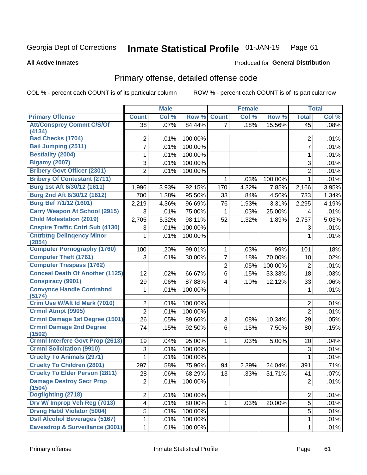#### Inmate Statistical Profile 01-JAN-19 Page 61

### **All Active Inmates**

# **Produced for General Distribution**

## Primary offense, detailed offense code

COL % - percent each COUNT is of its particular column

|                                            |                 | <b>Male</b> |         |                | <b>Female</b> |         |                 | <b>Total</b> |
|--------------------------------------------|-----------------|-------------|---------|----------------|---------------|---------|-----------------|--------------|
| <b>Primary Offense</b>                     | <b>Count</b>    | Col %       | Row %   | <b>Count</b>   | Col %         | Row %   | <b>Total</b>    | Col %        |
| <b>Att/Consprcy Commt C/S/Of</b>           | $\overline{38}$ | .07%        | 84.44%  | $\overline{7}$ | .18%          | 15.56%  | $\overline{45}$ | .08%         |
| (4134)                                     |                 |             |         |                |               |         |                 |              |
| <b>Bad Checks (1704)</b>                   | 2               | .01%        | 100.00% |                |               |         | $\overline{2}$  | .01%         |
| <b>Bail Jumping (2511)</b>                 | 7               | .01%        | 100.00% |                |               |         | $\overline{7}$  | .01%         |
| <b>Bestiality (2004)</b>                   | 1               | .01%        | 100.00% |                |               |         | 1               | .01%         |
| <b>Bigamy (2007)</b>                       | 3               | .01%        | 100.00% |                |               |         | 3               | .01%         |
| <b>Bribery Govt Officer (2301)</b>         | $\overline{2}$  | .01%        | 100.00% |                |               |         | $\overline{2}$  | .01%         |
| <b>Bribery Of Contestant (2711)</b>        |                 |             |         | 1              | .03%          | 100.00% | 1               | .01%         |
| Burg 1st Aft 6/30/12 (1611)                | 1,996           | 3.93%       | 92.15%  | 170            | 4.32%         | 7.85%   | 2,166           | 3.95%        |
| Burg 2nd Aft 6/30/12 (1612)                | 700             | 1.38%       | 95.50%  | 33             | .84%          | 4.50%   | 733             | 1.34%        |
| Burg Bef 7/1/12 (1601)                     | 2,219           | 4.36%       | 96.69%  | 76             | 1.93%         | 3.31%   | 2,295           | 4.19%        |
| <b>Carry Weapon At School (2915)</b>       | 3               | .01%        | 75.00%  | 1              | .03%          | 25.00%  | 4               | .01%         |
| <b>Child Molestation (2019)</b>            | 2,705           | 5.32%       | 98.11%  | 52             | 1.32%         | 1.89%   | 2,757           | 5.03%        |
| <b>Cnspire Traffic Cntrl Sub (4130)</b>    | 3               | .01%        | 100.00% |                |               |         | 3               | .01%         |
| <b>Cntrbtng Delingency Minor</b><br>(2854) | 1               | .01%        | 100.00% |                |               |         | 1               | .01%         |
| <b>Computer Pornography (1760)</b>         | 100             | .20%        | 99.01%  | 1              | .03%          | .99%    | 101             | .18%         |
| <b>Computer Theft (1761)</b>               | 3               | .01%        | 30.00%  | 7              | .18%          | 70.00%  | 10              | .02%         |
| <b>Computer Trespass (1762)</b>            |                 |             |         | $\overline{2}$ | .05%          | 100.00% | $\overline{2}$  | .01%         |
| <b>Conceal Death Of Another (1125)</b>     | 12              | .02%        | 66.67%  | 6              | .15%          | 33.33%  | 18              | .03%         |
| <b>Conspiracy (9901)</b>                   | 29              | .06%        | 87.88%  | 4              | .10%          | 12.12%  | 33              | .06%         |
| <b>Convynce Handle Contrabnd</b>           | 1               | .01%        | 100.00% |                |               |         | 1               | .01%         |
| (5174)                                     |                 |             |         |                |               |         |                 |              |
| Crim Use W/Alt Id Mark (7010)              | $\overline{2}$  | .01%        | 100.00% |                |               |         | $\overline{2}$  | .01%         |
| <b>Crmnl Atmpt (9905)</b>                  | $\overline{2}$  | .01%        | 100.00% |                |               |         | $\overline{2}$  | .01%         |
| <b>Crmnl Damage 1st Degree (1501)</b>      | 26              | .05%        | 89.66%  | 3              | .08%          | 10.34%  | 29              | .05%         |
| <b>Crmnl Damage 2nd Degree</b><br>(1502)   | 74              | .15%        | 92.50%  | 6              | .15%          | 7.50%   | 80              | .15%         |
| <b>Crmnl Interfere Govt Prop (2613)</b>    | 19              | .04%        | 95.00%  | 1              | .03%          | 5.00%   | 20              | .04%         |
| <b>Crmnl Solicitation (9910)</b>           | 3               | .01%        | 100.00% |                |               |         | 3               | .01%         |
| <b>Cruelty To Animals (2971)</b>           | 1               | .01%        | 100.00% |                |               |         | 1               | .01%         |
| <b>Cruelty To Children (2801)</b>          | 297             | .58%        | 75.96%  | 94             | 2.39%         | 24.04%  | 391             | .71%         |
| <b>Cruelty To Elder Person (2811)</b>      | 28              | .06%        | 68.29%  | 13             | .33%          | 31.71%  | 41              | .07%         |
| <b>Damage Destroy Secr Prop</b><br>(1504)  | $\overline{2}$  | .01%        | 100.00% |                |               |         | $\overline{2}$  | .01%         |
| Dogfighting (2718)                         | $\overline{2}$  | .01%        | 100.00% |                |               |         | $\overline{2}$  | .01%         |
| Drv W/ Improp Veh Reg (7013)               | 4               | .01%        | 80.00%  | 1              | .03%          | 20.00%  | 5               | .01%         |
| <b>Drvng Habtl Violator (5004)</b>         | 5               | .01%        | 100.00% |                |               |         | 5               | .01%         |
| <b>Dstl Alcohol Beverages (5167)</b>       | 1               | .01%        | 100.00% |                |               |         | 1               | .01%         |
| Eavesdrop & Surveillance (3001)            | 1               | .01%        | 100.00% |                |               |         | $\mathbf{1}$    | .01%         |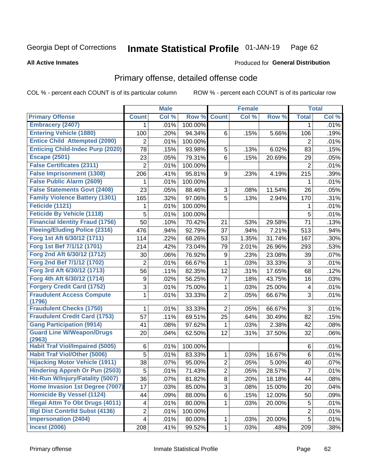#### Inmate Statistical Profile 01-JAN-19 Page 62

**All Active Inmates** 

### **Produced for General Distribution**

## Primary offense, detailed offense code

COL % - percent each COUNT is of its particular column

|                                            |                | <b>Male</b> |         |                | <b>Female</b> |        |                | <b>Total</b> |
|--------------------------------------------|----------------|-------------|---------|----------------|---------------|--------|----------------|--------------|
| <b>Primary Offense</b>                     | <b>Count</b>   | Col %       | Row %   | <b>Count</b>   | Col %         | Row %  | <b>Total</b>   | Col %        |
| <b>Embracery (2407)</b>                    | 1.             | .01%        | 100.00% |                |               |        | 1              | .01%         |
| <b>Entering Vehicle (1880)</b>             | 100            | .20%        | 94.34%  | 6              | .15%          | 5.66%  | 106            | .19%         |
| <b>Entice Child Attempted (2090)</b>       | 2              | .01%        | 100.00% |                |               |        | 2              | .01%         |
| <b>Enticing Child-Indec Purp (2020)</b>    | 78             | .15%        | 93.98%  | 5              | .13%          | 6.02%  | 83             | .15%         |
| <b>Escape (2501)</b>                       | 23             | .05%        | 79.31%  | 6              | .15%          | 20.69% | 29             | .05%         |
| <b>False Certificates (2311)</b>           | $\overline{2}$ | .01%        | 100.00% |                |               |        | $\overline{2}$ | .01%         |
| <b>False Imprisonment (1308)</b>           | 206            | .41%        | 95.81%  | 9              | .23%          | 4.19%  | 215            | .39%         |
| <b>False Public Alarm (2609)</b>           |                | .01%        | 100.00% |                |               |        | 1              | .01%         |
| <b>False Statements Govt (2408)</b>        | 23             | .05%        | 88.46%  | 3              | .08%          | 11.54% | 26             | .05%         |
| <b>Family Violence Battery (1301)</b>      | 165            | .32%        | 97.06%  | $\overline{5}$ | .13%          | 2.94%  | 170            | .31%         |
| <b>Feticide (1121)</b>                     | 1              | .01%        | 100.00% |                |               |        | 1              | .01%         |
| <b>Feticide By Vehicle (1118)</b>          | 5              | .01%        | 100.00% |                |               |        | 5              | .01%         |
| <b>Financial Identity Fraud (1756)</b>     | 50             | .10%        | 70.42%  | 21             | .53%          | 29.58% | 71             | .13%         |
| <b>Fleeing/Eluding Police (2316)</b>       | 476            | .94%        | 92.79%  | 37             | .94%          | 7.21%  | 513            | .94%         |
| Forg 1st Aft 6/30/12 (1711)                | 114            | .22%        | 68.26%  | 53             | 1.35%         | 31.74% | 167            | .30%         |
| Forg 1st Bef 7/1/12 (1701)                 | 214            | .42%        | 73.04%  | 79             | 2.01%         | 26.96% | 293            | .53%         |
| Forg 2nd Aft 6/30/12 (1712)                | 30             | .06%        | 76.92%  | 9              | .23%          | 23.08% | 39             | .07%         |
| Forg 2nd Bef 7/1/12 (1702)                 | 2              | .01%        | 66.67%  | $\mathbf{1}$   | .03%          | 33.33% | 3              | .01%         |
| Forg 3rd Aft 6/30/12 (1713)                | 56             | .11%        | 82.35%  | 12             | .31%          | 17.65% | 68             | .12%         |
| Forg 4th Aft 6/30/12 (1714)                | 9              | .02%        | 56.25%  | $\overline{7}$ | .18%          | 43.75% | 16             | .03%         |
| <b>Forgery Credit Card (1752)</b>          | 3              | .01%        | 75.00%  | $\mathbf 1$    | .03%          | 25.00% | 4              | .01%         |
| <b>Fraudulent Access Compute</b>           | 1              | .01%        | 33.33%  | $\overline{2}$ | .05%          | 66.67% | 3              | .01%         |
| (1796)                                     |                |             |         |                |               |        |                |              |
| <b>Fraudulent Checks (1750)</b>            | 1              | .01%        | 33.33%  | $\overline{2}$ | .05%          | 66.67% | 3              | .01%         |
| <b>Fraudulent Credit Card (1753)</b>       | 57             | .11%        | 69.51%  | 25             | .64%          | 30.49% | 82             | .15%         |
| <b>Gang Participation (9914)</b>           | 41             | .08%        | 97.62%  | 1              | .03%          | 2.38%  | 42             | .08%         |
| <b>Guard Line W/Weapon/Drugs</b><br>(2963) | 20             | .04%        | 62.50%  | 12             | .31%          | 37.50% | 32             | .06%         |
| <b>Habit Traf Viol/Impaired (5005)</b>     | 6              | .01%        | 100.00% |                |               |        | 6              | .01%         |
| <b>Habit Traf Viol/Other (5006)</b>        | 5              | .01%        | 83.33%  | $\mathbf{1}$   | .03%          | 16.67% | 6              | .01%         |
| <b>Hijacking Motor Vehicle (1911)</b>      | 38             | .07%        | 95.00%  | $\overline{2}$ | .05%          | 5.00%  | 40             | .07%         |
| <b>Hindering Appreh Or Pun (2503)</b>      | 5              | .01%        | 71.43%  | $\overline{2}$ | .05%          | 28.57% | $\overline{7}$ | .01%         |
| Hit-Run W/Injury/Fatality (5007)           | 36             | .07%        | 81.82%  | 8              | .20%          | 18.18% | 44             | .08%         |
| Home Invasion 1st Degree (7007)            | 17             | .03%        | 85.00%  | 3              | .08%          | 15.00% | 20             | .04%         |
| <b>Homicide By Vessel (1124)</b>           | 44             | .09%        | 88.00%  | 6              | .15%          | 12.00% | 50             | .09%         |
| <b>Illegal Attm To Obt Drugs (4011)</b>    | 4              | .01%        | 80.00%  | $\mathbf{1}$   | .03%          | 20.00% | 5              | .01%         |
| <b>Illgl Dist Contrild Subst (4136)</b>    | 2              | .01%        | 100.00% |                |               |        | $\overline{c}$ | .01%         |
| <b>Impersonation (2404)</b>                | 4              | .01%        | 80.00%  | 1              | .03%          | 20.00% | 5              | .01%         |
| <b>Incest (2006)</b>                       | 208            | .41%        | 99.52%  | 1              | .03%          | .48%   | 209            | .38%         |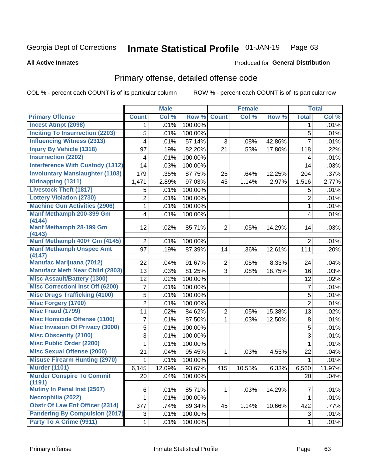#### Inmate Statistical Profile 01-JAN-19 Page 63

### **All Active Inmates**

## **Produced for General Distribution**

## Primary offense, detailed offense code

COL % - percent each COUNT is of its particular column

|                                            |                | <b>Male</b> |         |                | <b>Female</b> |        |                 | <b>Total</b> |
|--------------------------------------------|----------------|-------------|---------|----------------|---------------|--------|-----------------|--------------|
| <b>Primary Offense</b>                     | <b>Count</b>   | Col %       | Row %   | <b>Count</b>   | Col %         | Row %  | <b>Total</b>    | Col %        |
| <b>Incest Atmpt (2098)</b>                 | 1              | .01%        | 100.00% |                |               |        | $\mathbf 1$     | .01%         |
| <b>Inciting To Insurrection (2203)</b>     | 5              | .01%        | 100.00% |                |               |        | 5               | .01%         |
| <b>Influencing Witness (2313)</b>          | 4              | .01%        | 57.14%  | 3              | .08%          | 42.86% | $\overline{7}$  | .01%         |
| <b>Injury By Vehicle (1318)</b>            | 97             | .19%        | 82.20%  | 21             | .53%          | 17.80% | 118             | .22%         |
| <b>Insurrection (2202)</b>                 | 4              | .01%        | 100.00% |                |               |        | 4               | .01%         |
| <b>Interference With Custody (1312)</b>    | 14             | .03%        | 100.00% |                |               |        | 14              | .03%         |
| <b>Involuntary Manslaughter (1103)</b>     | 179            | .35%        | 87.75%  | 25             | .64%          | 12.25% | 204             | .37%         |
| Kidnapping (1311)                          | 1,471          | 2.89%       | 97.03%  | 45             | 1.14%         | 2.97%  | 1,516           | 2.77%        |
| <b>Livestock Theft (1817)</b>              | 5              | .01%        | 100.00% |                |               |        | 5               | .01%         |
| <b>Lottery Violation (2730)</b>            | $\overline{2}$ | .01%        | 100.00% |                |               |        | $\overline{2}$  | .01%         |
| <b>Machine Gun Activities (2906)</b>       | 1              | .01%        | 100.00% |                |               |        | $\mathbf{1}$    | .01%         |
| Manf Methamph 200-399 Gm<br>(4144)         | 4              | .01%        | 100.00% |                |               |        | 4               | .01%         |
| Manf Methamph 28-199 Gm<br>(4143)          | 12             | .02%        | 85.71%  | 2 <sup>1</sup> | .05%          | 14.29% | 14              | .03%         |
| Manf Methamph 400+ Gm (4145)               | $\overline{2}$ | .01%        | 100.00% |                |               |        | $\overline{2}$  | .01%         |
| <b>Manf Methamph Unspec Amt</b><br>(4147)  | 97             | .19%        | 87.39%  | 14             | .36%          | 12.61% | 111             | .20%         |
| <b>Manufac Marijuana (7012)</b>            | 22             | .04%        | 91.67%  | $\overline{2}$ | .05%          | 8.33%  | 24              | .04%         |
| <b>Manufact Meth Near Child (2803)</b>     | 13             | .03%        | 81.25%  | 3              | .08%          | 18.75% | 16              | .03%         |
| <b>Misc Assault/Battery (1300)</b>         | 12             | .02%        | 100.00% |                |               |        | 12              | .02%         |
| <b>Misc Correctionl Inst Off (6200)</b>    | 7              | .01%        | 100.00% |                |               |        | $\overline{7}$  | .01%         |
| <b>Misc Drugs Trafficking (4100)</b>       | 5              | .01%        | 100.00% |                |               |        | 5               | .01%         |
| <b>Misc Forgery (1700)</b>                 | $\overline{2}$ | .01%        | 100.00% |                |               |        | $\overline{2}$  | .01%         |
| <b>Misc Fraud (1799)</b>                   | 11             | .02%        | 84.62%  | $\overline{2}$ | .05%          | 15.38% | 13              | .02%         |
| <b>Misc Homicide Offense (1100)</b>        | 7              | .01%        | 87.50%  | $\mathbf{1}$   | .03%          | 12.50% | 8               | .01%         |
| <b>Misc Invasion Of Privacy (3000)</b>     | 5              | .01%        | 100.00% |                |               |        | 5               | .01%         |
| <b>Misc Obscenity (2100)</b>               | 3              | .01%        | 100.00% |                |               |        | 3               | .01%         |
| <b>Misc Public Order (2200)</b>            | 1              | .01%        | 100.00% |                |               |        | 1               | .01%         |
| <b>Misc Sexual Offense (2000)</b>          | 21             | .04%        | 95.45%  | $\mathbf{1}$   | .03%          | 4.55%  | 22              | .04%         |
| <b>Misuse Firearm Hunting (2970)</b>       | 1              | .01%        | 100.00% |                |               |        | 1               | .01%         |
| <b>Murder (1101)</b>                       | 6,145          | 12.09%      | 93.67%  | 415            | 10.55%        | 6.33%  | 6,560           | 11.97%       |
| <b>Murder Conspire To Commit</b><br>(1191) | 20             | .04%        | 100.00% |                |               |        | 20 <sup>°</sup> | .04%         |
| <b>Mutiny In Penal Inst (2507)</b>         | 6              | .01%        | 85.71%  | 1 <sup>1</sup> | .03%          | 14.29% | $\overline{7}$  | .01%         |
| Necrophilia (2022)                         | 1              | .01%        | 100.00% |                |               |        | $\mathbf{1}$    | .01%         |
| <b>Obstr Of Law Enf Officer (2314)</b>     | 377            | .74%        | 89.34%  | 45             | 1.14%         | 10.66% | 422             | .77%         |
| <b>Pandering By Compulsion (2017)</b>      | 3              | .01%        | 100.00% |                |               |        | 3               | .01%         |
| Party To A Crime (9911)                    | 1              | .01%        | 100.00% |                |               |        | $\mathbf 1$     | .01%         |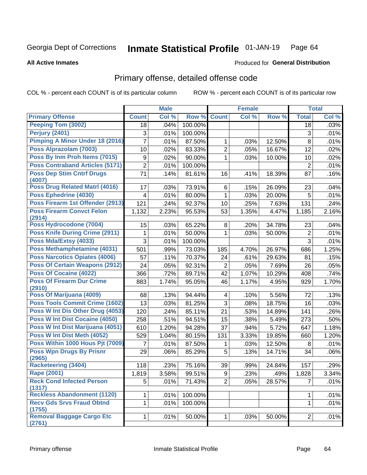#### Inmate Statistical Profile 01-JAN-19 Page 64

**All Active Inmates** 

### Produced for General Distribution

## Primary offense, detailed offense code

COL % - percent each COUNT is of its particular column

|                                            |              | <b>Male</b> |         |                | <b>Female</b> |        |                | <b>Total</b> |
|--------------------------------------------|--------------|-------------|---------|----------------|---------------|--------|----------------|--------------|
| <b>Primary Offense</b>                     | <b>Count</b> | Col %       | Row %   | <b>Count</b>   | Col %         | Row %  | <b>Total</b>   | Col %        |
| <b>Peeping Tom (3002)</b>                  | 18           | .04%        | 100.00% |                |               |        | 18             | .03%         |
| Perjury (2401)                             | 3            | .01%        | 100.00% |                |               |        | 3              | .01%         |
| Pimping A Minor Under 18 (2016)            | 7            | .01%        | 87.50%  | 1              | .03%          | 12.50% | 8              | .01%         |
| Poss Alprazolam (7003)                     | 10           | .02%        | 83.33%  | $\overline{2}$ | .05%          | 16.67% | 12             | .02%         |
| Poss By Inm Proh Items (7015)              | 9            | .02%        | 90.00%  | $\mathbf 1$    | .03%          | 10.00% | 10             | .02%         |
| <b>Poss Contraband Articles (5171)</b>     | 2            | .01%        | 100.00% |                |               |        | 2              | .01%         |
| <b>Poss Dep Stim Cntrf Drugs</b><br>(4007) | 71           | .14%        | 81.61%  | 16             | .41%          | 18.39% | 87             | .16%         |
| Poss Drug Related Matrl (4016)             | 17           | .03%        | 73.91%  | 6              | .15%          | 26.09% | 23             | .04%         |
| Poss Ephedrine (4030)                      | 4            | .01%        | 80.00%  | 1              | .03%          | 20.00% | 5              | .01%         |
| Poss Firearm 1st Offender (2913)           | 121          | .24%        | 92.37%  | 10             | .25%          | 7.63%  | 131            | .24%         |
| <b>Poss Firearm Convct Felon</b><br>(2914) | 1,132        | 2.23%       | 95.53%  | 53             | 1.35%         | 4.47%  | 1,185          | 2.16%        |
| Poss Hydrocodone (7004)                    | 15           | .03%        | 65.22%  | 8              | .20%          | 34.78% | 23             | .04%         |
| <b>Poss Knife During Crime (2911)</b>      | 1            | .01%        | 50.00%  | 1              | .03%          | 50.00% | $\overline{2}$ | .01%         |
| Poss Mda/Extsy (4033)                      | 3            | .01%        | 100.00% |                |               |        | 3              | .01%         |
| Poss Methamphetamine (4031)                | 501          | .99%        | 73.03%  | 185            | 4.70%         | 26.97% | 686            | 1.25%        |
| <b>Poss Narcotics Opiates (4006)</b>       | 57           | .11%        | 70.37%  | 24             | .61%          | 29.63% | 81             | .15%         |
| <b>Poss Of Certain Weapons (2912)</b>      | 24           | .05%        | 92.31%  | $\overline{2}$ | .05%          | 7.69%  | 26             | .05%         |
| <b>Poss Of Cocaine (4022)</b>              | 366          | .72%        | 89.71%  | 42             | 1.07%         | 10.29% | 408            | .74%         |
| <b>Poss Of Firearm Dur Crime</b><br>(2910) | 883          | 1.74%       | 95.05%  | 46             | 1.17%         | 4.95%  | 929            | 1.70%        |
| Poss Of Marijuana (4009)                   | 68           | .13%        | 94.44%  | 4              | .10%          | 5.56%  | 72             | .13%         |
| <b>Poss Tools Commit Crime (1602)</b>      | 13           | .03%        | 81.25%  | 3              | .08%          | 18.75% | 16             | .03%         |
| Poss W Int Dis Other Drug (4053)           | 120          | .24%        | 85.11%  | 21             | .53%          | 14.89% | 141            | .26%         |
| Poss W Int Dist Cocaine (4050)             | 258          | .51%        | 94.51%  | 15             | .38%          | 5.49%  | 273            | .50%         |
| Poss W Int Dist Marijuana (4051)           | 610          | 1.20%       | 94.28%  | 37             | .94%          | 5.72%  | 647            | 1.18%        |
| Poss W Int Dist Meth (4052)                | 529          | 1.04%       | 80.15%  | 131            | 3.33%         | 19.85% | 660            | 1.20%        |
| Poss Within 1000 Hous Pjt (7009)           | 7            | .01%        | 87.50%  | 1              | .03%          | 12.50% | 8              | .01%         |
| <b>Poss Wpn Drugs By Prisnr</b><br>(2965)  | 29           | .06%        | 85.29%  | 5              | .13%          | 14.71% | 34             | .06%         |
| <b>Racketeering (3404)</b>                 | 118          | .23%        | 75.16%  | 39             | .99%          | 24.84% | 157            | .29%         |
| Rape (2001)                                | 1,819        | 3.58%       | 99.51%  | 9              | .23%          | .49%   | 1,828          | 3.34%        |
| <b>Reck Cond Infected Person</b><br>(1317) | 5            | .01%        | 71.43%  | $\overline{2}$ | .05%          | 28.57% | $\overline{7}$ | .01%         |
| <b>Reckless Abandonment (1120)</b>         | 1            | .01%        | 100.00% |                |               |        | 1              | .01%         |
| <b>Recv Gds Srvs Fraud Obtnd</b><br>(1755) | 1            | .01%        | 100.00% |                |               |        | $\mathbf{1}$   | .01%         |
| <b>Removal Baggage Cargo Etc</b><br>(2761) | $\mathbf 1$  | .01%        | 50.00%  | 1              | .03%          | 50.00% | $\overline{2}$ | .01%         |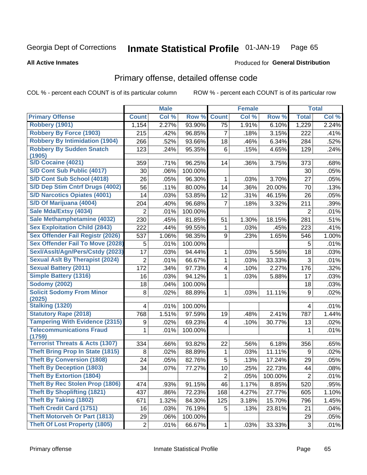#### **Inmate Statistical Profile 01-JAN-19** Page 65

**All Active Inmates** 

### **Produced for General Distribution**

## Primary offense, detailed offense code

COL % - percent each COUNT is of its particular column

|                                            |                | <b>Male</b> |         |                | Female |         |                | <b>Total</b> |
|--------------------------------------------|----------------|-------------|---------|----------------|--------|---------|----------------|--------------|
| <b>Primary Offense</b>                     | <b>Count</b>   | Col %       | Row %   | <b>Count</b>   | Col %  | Row %   | <b>Total</b>   | Col %        |
| <b>Robbery (1901)</b>                      | 1,154          | 2.27%       | 93.90%  | 75             | 1.91%  | 6.10%   | 1,229          | 2.24%        |
| <b>Robbery By Force (1903)</b>             | 215            | .42%        | 96.85%  | 7              | .18%   | 3.15%   | 222            | .41%         |
| <b>Robbery By Intimidation (1904)</b>      | 266            | .52%        | 93.66%  | 18             | .46%   | 6.34%   | 284            | .52%         |
| <b>Robbery By Sudden Snatch</b>            | 123            | .24%        | 95.35%  | 6              | .15%   | 4.65%   | 129            | .24%         |
| (1905)                                     |                |             |         |                |        |         |                |              |
| <b>S/D Cocaine (4021)</b>                  | 359            | .71%        | 96.25%  | 14             | .36%   | 3.75%   | 373            | .68%         |
| S/D Cont Sub Public (4017)                 | 30             | .06%        | 100.00% |                |        |         | 30             | .05%         |
| S/D Cont Sub School (4018)                 | 26             | .05%        | 96.30%  | 1              | .03%   | 3.70%   | 27             | .05%         |
| S/D Dep Stim Cntrf Drugs (4002)            | 56             | .11%        | 80.00%  | 14             | .36%   | 20.00%  | 70             | .13%         |
| <b>S/D Narcotics Opiates (4001)</b>        | 14             | .03%        | 53.85%  | 12             | .31%   | 46.15%  | 26             | .05%         |
| S/D Of Marijuana (4004)                    | 204            | .40%        | 96.68%  | $\overline{7}$ | .18%   | 3.32%   | 211            | .39%         |
| Sale Mda/Extsy (4034)                      | $\overline{2}$ | .01%        | 100.00% |                |        |         | $\overline{2}$ | .01%         |
| Sale Methamphetamine (4032)                | 230            | .45%        | 81.85%  | 51             | 1.30%  | 18.15%  | 281            | .51%         |
| <b>Sex Exploitation Child (2843)</b>       | 222            | .44%        | 99.55%  | 1              | .03%   | .45%    | 223            | .41%         |
| <b>Sex Offender Fail Registr (2026)</b>    | 537            | 1.06%       | 98.35%  | 9              | .23%   | 1.65%   | 546            | 1.00%        |
| <b>Sex Offender Fail To Move (2028)</b>    | 5              | .01%        | 100.00% |                |        |         | 5              | .01%         |
| Sexl/Asslt/Agn/Pers/Cstdy (2023)           | 17             | .03%        | 94.44%  | 1              | .03%   | 5.56%   | 18             | .03%         |
| <b>Sexual Aslt By Therapist (2024)</b>     | $\overline{2}$ | .01%        | 66.67%  | 1              | .03%   | 33.33%  | 3              | .01%         |
| <b>Sexual Battery (2011)</b>               | 172            | .34%        | 97.73%  | 4              | .10%   | 2.27%   | 176            | .32%         |
| <b>Simple Battery (1316)</b>               | 16             | .03%        | 94.12%  | 1              | .03%   | 5.88%   | 17             | .03%         |
| <b>Sodomy (2002)</b>                       | 18             | .04%        | 100.00% |                |        |         | 18             | .03%         |
| <b>Solicit Sodomy From Minor</b>           | 8              | .02%        | 88.89%  | 1              | .03%   | 11.11%  | 9              | .02%         |
| (2025)                                     |                |             |         |                |        |         |                |              |
| <b>Stalking (1320)</b>                     | 4              | .01%        | 100.00% |                |        |         | 4              | .01%         |
| <b>Statutory Rape (2018)</b>               | 768            | 1.51%       | 97.59%  | 19             | .48%   | 2.41%   | 787            | 1.44%        |
| <b>Tampering With Evidence (2315)</b>      | 9              | .02%        | 69.23%  | 4              | .10%   | 30.77%  | 13             | .02%         |
| <b>Telecommunications Fraud</b><br>(1759)  | 1              | .01%        | 100.00% |                |        |         | 1              | .01%         |
| <b>Terrorist Threats &amp; Acts (1307)</b> | 334            | .66%        | 93.82%  | 22             | .56%   | 6.18%   | 356            | .65%         |
| <b>Theft Bring Prop In State (1815)</b>    | 8              | .02%        | 88.89%  | 1              | .03%   | 11.11%  | 9              | .02%         |
| <b>Theft By Conversion (1808)</b>          | 24             | .05%        | 82.76%  | 5              | .13%   | 17.24%  | 29             | .05%         |
| <b>Theft By Deception (1803)</b>           | 34             | .07%        | 77.27%  | 10             | .25%   | 22.73%  | 44             | .08%         |
| <b>Theft By Extortion (1804)</b>           |                |             |         | $\overline{2}$ | .05%   | 100.00% | $\mathbf 2$    | .01%         |
| Theft By Rec Stolen Prop (1806)            | 474            | .93%        | 91.15%  | 46             | 1.17%  | 8.85%   | 520            | .95%         |
| <b>Theft By Shoplifting (1821)</b>         | 437            | .86%        | 72.23%  | 168            | 4.27%  | 27.77%  | 605            | 1.10%        |
| <b>Theft By Taking (1802)</b>              | 671            | 1.32%       | 84.30%  | 125            | 3.18%  | 15.70%  | 796            | 1.45%        |
| <b>Theft Credit Card (1751)</b>            | 16             | .03%        | 76.19%  | 5              | .13%   | 23.81%  | 21             | .04%         |
| <b>Theft Motorveh Or Part (1813)</b>       | 29             | .06%        | 100.00% |                |        |         | 29             | .05%         |
| <b>Theft Of Lost Property (1805)</b>       | $\overline{2}$ | .01%        | 66.67%  | 1              | .03%   | 33.33%  | $\mathfrak{S}$ | .01%         |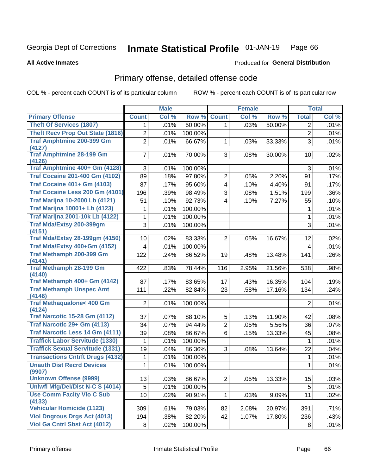#### Inmate Statistical Profile 01-JAN-19 Page 66

### **All Active Inmates**

## **Produced for General Distribution**

## Primary offense, detailed offense code

COL % - percent each COUNT is of its particular column

|                                            |                | <b>Male</b> |         |                         | <b>Female</b> |        |                | <b>Total</b> |
|--------------------------------------------|----------------|-------------|---------|-------------------------|---------------|--------|----------------|--------------|
| <b>Primary Offense</b>                     | <b>Count</b>   | Col %       | Row %   | <b>Count</b>            | Col %         | Row %  | <b>Total</b>   | Col %        |
| <b>Theft Of Services (1807)</b>            | 1              | .01%        | 50.00%  | $\mathbf{1}$            | .03%          | 50.00% | 2              | .01%         |
| <b>Theft Recv Prop Out State (1816)</b>    | $\overline{2}$ | .01%        | 100.00% |                         |               |        | $\overline{2}$ | .01%         |
| <b>Traf Amphtmine 200-399 Gm</b>           | 2              | .01%        | 66.67%  | 1                       | .03%          | 33.33% | 3              | .01%         |
| (4127)                                     |                |             |         |                         |               |        |                |              |
| <b>Traf Amphtmine 28-199 Gm</b><br>(4126)  | $\overline{7}$ | .01%        | 70.00%  | 3 <sup>1</sup>          | .08%          | 30.00% | 10             | .02%         |
| Traf Amphtmine 400+ Gm (4128)              | 3              | .01%        | 100.00% |                         |               |        | 3              | .01%         |
| <b>Traf Cocaine 201-400 Gm (4102)</b>      | 89             | .18%        | 97.80%  | $\overline{2}$          | .05%          | 2.20%  | 91             | .17%         |
| <b>Traf Cocaine 401+ Gm (4103)</b>         | 87             | .17%        | 95.60%  | $\overline{\mathbf{4}}$ | .10%          | 4.40%  | 91             | .17%         |
| Traf Cocaine Less 200 Gm (4101)            | 196            | .39%        | 98.49%  | 3                       | .08%          | 1.51%  | 199            | .36%         |
| <b>Traf Marijna 10-2000 Lb (4121)</b>      | 51             | .10%        | 92.73%  | $\overline{4}$          | .10%          | 7.27%  | 55             | .10%         |
| <b>Traf Marijna 10001+ Lb (4123)</b>       | 1              | .01%        | 100.00% |                         |               |        | 1              | .01%         |
| <b>Traf Marijna 2001-10k Lb (4122)</b>     | 1              | .01%        | 100.00% |                         |               |        | 1              | .01%         |
| <b>Traf Mda/Extsy 200-399gm</b>            | 3              | .01%        | 100.00% |                         |               |        | 3              | .01%         |
| (4151)                                     |                |             |         |                         |               |        |                |              |
| <b>Traf Mda/Extsy 28-199gm (4150)</b>      | 10             | .02%        | 83.33%  | $\overline{2}$          | .05%          | 16.67% | 12             | .02%         |
| Traf Mda/Extsy 400+Gm (4152)               | 4              | .01%        | 100.00% |                         |               |        | 4              | .01%         |
| <b>Traf Methamph 200-399 Gm</b><br>(4141)  | 122            | .24%        | 86.52%  | 19                      | .48%          | 13.48% | 141            | .26%         |
| <b>Traf Methamph 28-199 Gm</b>             | 422            | .83%        | 78.44%  | 116                     | 2.95%         | 21.56% | 538            | .98%         |
| (4140)                                     |                |             |         |                         |               |        |                |              |
| Traf Methamph 400+ Gm (4142)               | 87             | .17%        | 83.65%  | 17                      | .43%          | 16.35% | 104            | .19%         |
| <b>Traf Methamph Unspec Amt</b>            | 111            | .22%        | 82.84%  | 23                      | .58%          | 17.16% | 134            | .24%         |
| (4146)                                     |                |             |         |                         |               |        |                |              |
| Traf Methaqualone< 400 Gm<br>(4124)        | $\overline{2}$ | .01%        | 100.00% |                         |               |        | $\overline{2}$ | .01%         |
| <b>Traf Narcotic 15-28 Gm (4112)</b>       | 37             | .07%        | 88.10%  | 5                       | .13%          | 11.90% | 42             | .08%         |
| Traf Narcotic 29+ Gm (4113)                | 34             | .07%        | 94.44%  | $\overline{2}$          | .05%          | 5.56%  | 36             | .07%         |
| Traf Narcotic Less 14 Gm (4111)            | 39             | .08%        | 86.67%  | 6                       | .15%          | 13.33% | 45             | .08%         |
| <b>Traffick Labor Servitude (1330)</b>     | 1              | .01%        | 100.00% |                         |               |        | 1              | .01%         |
| <b>Traffick Sexual Servitude (1331)</b>    | 19             | .04%        | 86.36%  | 3                       | .08%          | 13.64% | 22             | .04%         |
| <b>Transactions Cntrft Drugs (4132)</b>    | 1              | .01%        | 100.00% |                         |               |        | 1              | .01%         |
| <b>Unauth Dist Recrd Devices</b>           | 1              | .01%        | 100.00% |                         |               |        | 1              | .01%         |
| (9907)                                     |                |             |         |                         |               |        |                |              |
| <b>Unknown Offense (9999)</b>              | 13             | .03%        | 86.67%  | 2                       | .05%          | 13.33% | 15             | .03%         |
| Uniwfl Mfg/Del/Dist N-C S (4014)           | 5              | .01%        | 100.00% |                         |               |        | $\sqrt{5}$     | .01%         |
| <b>Use Comm Facity Vio C Sub</b>           | 10             | .02%        | 90.91%  | $\mathbf{1}$            | .03%          | 9.09%  | 11             | .02%         |
| (4133)<br><b>Vehicular Homicide (1123)</b> | 309            | .61%        | 79.03%  | 82                      | 2.08%         | 20.97% | 391            | .71%         |
| <b>Viol Dngrous Drgs Act (4013)</b>        | 194            | .38%        | 82.20%  | 42                      | 1.07%         | 17.80% | 236            | .43%         |
| <b>Viol Ga Cntrl Sbst Act (4012)</b>       | 8              | .02%        | 100.00% |                         |               |        | 8              | .01%         |
|                                            |                |             |         |                         |               |        |                |              |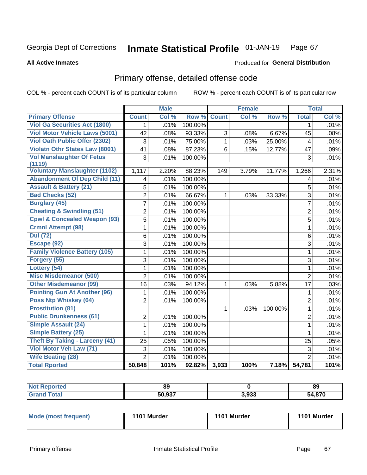#### Inmate Statistical Profile 01-JAN-19 Page 67

### **All Active Inmates**

## **Produced for General Distribution**

## Primary offense, detailed offense code

COL % - percent each COUNT is of its particular column

|                                         |                | <b>Male</b> |         |              | <b>Female</b> |         |                | <b>Total</b> |
|-----------------------------------------|----------------|-------------|---------|--------------|---------------|---------|----------------|--------------|
| <b>Primary Offense</b>                  | <b>Count</b>   | Col %       | Row %   | <b>Count</b> | Col %         | Row %   | <b>Total</b>   | Col %        |
| <b>Viol Ga Securities Act (1800)</b>    | $\mathbf{1}$   | .01%        | 100.00% |              |               |         | 1              | .01%         |
| <b>Viol Motor Vehicle Laws (5001)</b>   | 42             | .08%        | 93.33%  | 3            | .08%          | 6.67%   | 45             | .08%         |
| <b>Viol Oath Public Offer (2302)</b>    | $\overline{3}$ | .01%        | 75.00%  | $\mathbf{1}$ | .03%          | 25.00%  | 4              | .01%         |
| <b>Violatn Othr States Law (8001)</b>   | 41             | .08%        | 87.23%  | 6            | .15%          | 12.77%  | 47             | .09%         |
| <b>Vol Manslaughter Of Fetus</b>        | 3              | .01%        | 100.00% |              |               |         | 3              | .01%         |
| (1119)                                  |                |             |         |              |               |         |                |              |
| <b>Voluntary Manslaughter (1102)</b>    | 1,117          | 2.20%       | 88.23%  | 149          | 3.79%         | 11.77%  | 1,266          | 2.31%        |
| <b>Abandonment Of Dep Child (11)</b>    | 4              | .01%        | 100.00% |              |               |         | 4              | .01%         |
| <b>Assault &amp; Battery (21)</b>       | 5              | .01%        | 100.00% |              |               |         | 5              | .01%         |
| <b>Bad Checks (52)</b>                  | $\overline{2}$ | .01%        | 66.67%  | $\mathbf{1}$ | .03%          | 33.33%  | $\overline{3}$ | .01%         |
| <b>Burglary (45)</b>                    | $\overline{7}$ | .01%        | 100.00% |              |               |         | $\overline{7}$ | .01%         |
| <b>Cheating &amp; Swindling (51)</b>    | $\overline{2}$ | .01%        | 100.00% |              |               |         | $\overline{2}$ | .01%         |
| <b>Cpwl &amp; Concealed Weapon (93)</b> | $\overline{5}$ | .01%        | 100.00% |              |               |         | 5              | .01%         |
| <b>Crmnl Attempt (98)</b>               | 1              | .01%        | 100.00% |              |               |         | $\mathbf{1}$   | .01%         |
| <b>Dui</b> (72)                         | 6              | .01%        | 100.00% |              |               |         | 6              | .01%         |
| Escape (92)                             | 3              | .01%        | 100.00% |              |               |         | $\overline{3}$ | .01%         |
| <b>Family Violence Battery (105)</b>    | $\mathbf{1}$   | .01%        | 100.00% |              |               |         | $\mathbf{1}$   | .01%         |
| Forgery (55)                            | $\overline{3}$ | .01%        | 100.00% |              |               |         | 3              | .01%         |
| Lottery (54)                            | 1              | .01%        | 100.00% |              |               |         | $\mathbf{1}$   | .01%         |
| <b>Misc Misdemeanor (500)</b>           | $\overline{2}$ | .01%        | 100.00% |              |               |         | $\overline{2}$ | .01%         |
| <b>Other Misdemeanor (99)</b>           | 16             | .03%        | 94.12%  | 1            | .03%          | 5.88%   | 17             | .03%         |
| <b>Pointing Gun At Another (96)</b>     | 1              | .01%        | 100.00% |              |               |         | 1              | .01%         |
| Poss Ntp Whiskey (64)                   | 2              | .01%        | 100.00% |              |               |         | $\overline{2}$ | .01%         |
| <b>Prostitution (81)</b>                |                |             |         | $\mathbf{1}$ | .03%          | 100.00% | $\mathbf{1}$   | .01%         |
| <b>Public Drunkenness (61)</b>          | $\mathbf{2}$   | .01%        | 100.00% |              |               |         | $\overline{2}$ | .01%         |
| <b>Simple Assault (24)</b>              | $\mathbf{1}$   | .01%        | 100.00% |              |               |         | $\mathbf{1}$   | .01%         |
| <b>Simple Battery (25)</b>              | 1              | .01%        | 100.00% |              |               |         | $\mathbf{1}$   | .01%         |
| <b>Theft By Taking - Larceny (41)</b>   | 25             | .05%        | 100.00% |              |               |         | 25             | .05%         |
| Viol Motor Veh Law (71)                 | 3              | .01%        | 100.00% |              |               |         | 3              | .01%         |
| <b>Wife Beating (28)</b>                | $\overline{2}$ | .01%        | 100.00% |              |               |         | $\overline{2}$ | .01%         |
| <b>Total Rported</b>                    | 50,848         | 101%        | 92.82%  | 3,933        | 100%          | 7.18%   | 54,781         | 101%         |

|              | 89           |       | <b>89</b> |
|--------------|--------------|-------|-----------|
| <b>Total</b> | 50 Q27<br>50 | 3,933 | 54,870    |

| Mode (most frequent) | 1101 Murder | 1101 Murder | 1101 Murder |
|----------------------|-------------|-------------|-------------|
|----------------------|-------------|-------------|-------------|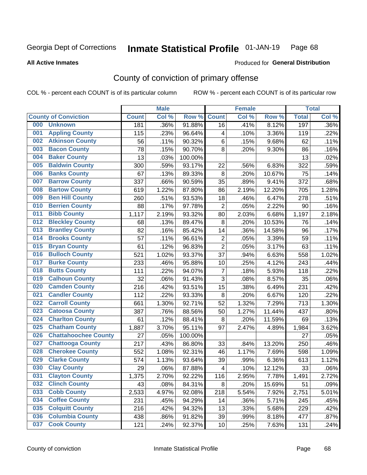#### Inmate Statistical Profile 01-JAN-19 Page 68

**All Active Inmates** 

### Produced for General Distribution

## County of conviction of primary offense

COL % - percent each COUNT is of its particular column

|     |                             |              | <b>Male</b> |         |                          | <b>Female</b> |        |              | <b>Total</b> |
|-----|-----------------------------|--------------|-------------|---------|--------------------------|---------------|--------|--------------|--------------|
|     | <b>County of Conviction</b> | <b>Count</b> | Col %       | Row %   | <b>Count</b>             | Col %         | Row %  | <b>Total</b> | Col %        |
| 000 | <b>Unknown</b>              | 181          | .36%        | 91.88%  | 16                       | .41%          | 8.12%  | 197          | .36%         |
| 001 | <b>Appling County</b>       | 115          | .23%        | 96.64%  | 4                        | .10%          | 3.36%  | 119          | .22%         |
| 002 | <b>Atkinson County</b>      | 56           | .11%        | 90.32%  | 6                        | .15%          | 9.68%  | 62           | .11%         |
| 003 | <b>Bacon County</b>         | 78           | .15%        | 90.70%  | 8                        | .20%          | 9.30%  | 86           | .16%         |
| 004 | <b>Baker County</b>         | 13           | .03%        | 100.00% |                          |               |        | 13           | .02%         |
| 005 | <b>Baldwin County</b>       | 300          | .59%        | 93.17%  | 22                       | .56%          | 6.83%  | 322          | .59%         |
| 006 | <b>Banks County</b>         | 67           | .13%        | 89.33%  | 8                        | .20%          | 10.67% | 75           | .14%         |
| 007 | <b>Barrow County</b>        | 337          | .66%        | 90.59%  | 35                       | .89%          | 9.41%  | 372          | .68%         |
| 008 | <b>Bartow County</b>        | 619          | 1.22%       | 87.80%  | 86                       | 2.19%         | 12.20% | 705          | 1.28%        |
| 009 | <b>Ben Hill County</b>      | 260          | .51%        | 93.53%  | 18                       | .46%          | 6.47%  | 278          | .51%         |
| 010 | <b>Berrien County</b>       | 88           | .17%        | 97.78%  | $\overline{2}$           | .05%          | 2.22%  | 90           | .16%         |
| 011 | <b>Bibb County</b>          | 1,117        | 2.19%       | 93.32%  | 80                       | 2.03%         | 6.68%  | 1,197        | 2.18%        |
| 012 | <b>Bleckley County</b>      | 68           | .13%        | 89.47%  | 8                        | .20%          | 10.53% | 76           | .14%         |
| 013 | <b>Brantley County</b>      | 82           | .16%        | 85.42%  | 14                       | .36%          | 14.58% | 96           | .17%         |
| 014 | <b>Brooks County</b>        | 57           | .11%        | 96.61%  | $\mathbf 2$              | .05%          | 3.39%  | 59           | .11%         |
| 015 | <b>Bryan County</b>         | 61           | .12%        | 96.83%  | $\overline{2}$           | .05%          | 3.17%  | 63           | .11%         |
| 016 | <b>Bulloch County</b>       | 521          | 1.02%       | 93.37%  | 37                       | .94%          | 6.63%  | 558          | 1.02%        |
| 017 | <b>Burke County</b>         | 233          | .46%        | 95.88%  | 10                       | .25%          | 4.12%  | 243          | .44%         |
| 018 | <b>Butts County</b>         | 111          | .22%        | 94.07%  | $\overline{7}$           | .18%          | 5.93%  | 118          | .22%         |
| 019 | <b>Calhoun County</b>       | 32           | .06%        | 91.43%  | 3                        | .08%          | 8.57%  | 35           | .06%         |
| 020 | <b>Camden County</b>        | 216          | .42%        | 93.51%  | 15                       | .38%          | 6.49%  | 231          | .42%         |
| 021 | <b>Candler County</b>       | 112          | .22%        | 93.33%  | $\, 8$                   | .20%          | 6.67%  | 120          | .22%         |
| 022 | <b>Carroll County</b>       | 661          | 1.30%       | 92.71%  | 52                       | 1.32%         | 7.29%  | 713          | 1.30%        |
| 023 | <b>Catoosa County</b>       | 387          | .76%        | 88.56%  | 50                       | 1.27%         | 11.44% | 437          | .80%         |
| 024 | <b>Charlton County</b>      | 61           | .12%        | 88.41%  | $\, 8$                   | .20%          | 11.59% | 69           | .13%         |
| 025 | <b>Chatham County</b>       | 1,887        | 3.70%       | 95.11%  | 97                       | 2.47%         | 4.89%  | 1,984        | 3.62%        |
| 026 | <b>Chattahoochee County</b> | 27           | .05%        | 100.00% |                          |               |        | 27           | .05%         |
| 027 | <b>Chattooga County</b>     | 217          | .43%        | 86.80%  | 33                       | .84%          | 13.20% | 250          | .46%         |
| 028 | <b>Cherokee County</b>      | 552          | 1.08%       | 92.31%  | 46                       | 1.17%         | 7.69%  | 598          | 1.09%        |
| 029 | <b>Clarke County</b>        | 574          | 1.13%       | 93.64%  | 39                       | .99%          | 6.36%  | 613          | 1.12%        |
| 030 | <b>Clay County</b>          | 29           | .06%        | 87.88%  | $\overline{\mathcal{A}}$ | .10%          | 12.12% | 33           | .06%         |
| 031 | <b>Clayton County</b>       | 1,375        | 2.70%       | 92.22%  | 116                      | 2.95%         | 7.78%  | 1,491        | 2.72%        |
| 032 | <b>Clinch County</b>        | 43           | .08%        | 84.31%  | 8                        | .20%          | 15.69% | 51           | .09%         |
| 033 | <b>Cobb County</b>          | 2,533        | 4.97%       | 92.08%  | 218                      | 5.54%         | 7.92%  | 2,751        | 5.01%        |
| 034 | <b>Coffee County</b>        | 231          | .45%        | 94.29%  | 14                       | .36%          | 5.71%  | 245          | .45%         |
| 035 | <b>Colquitt County</b>      | 216          | .42%        | 94.32%  | 13                       | .33%          | 5.68%  | 229          | .42%         |
| 036 | <b>Columbia County</b>      | 438          | .86%        | 91.82%  | 39                       | .99%          | 8.18%  | 477          | .87%         |
| 037 | <b>Cook County</b>          | 121          | .24%        | 92.37%  | 10                       | .25%          | 7.63%  | 131          | .24%         |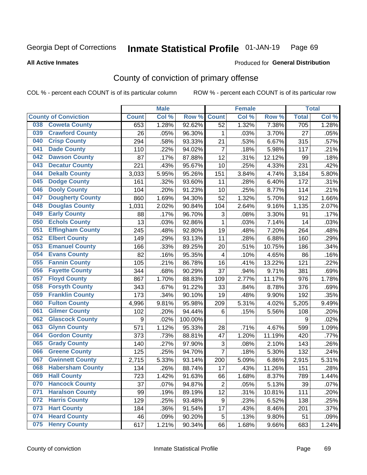#### Inmate Statistical Profile 01-JAN-19 Page 69

### **All Active Inmates**

## Produced for General Distribution

## County of conviction of primary offense

COL % - percent each COUNT is of its particular column

|                                |                  | <b>Male</b> |         |                           | <b>Female</b> |          |              | <b>Total</b> |
|--------------------------------|------------------|-------------|---------|---------------------------|---------------|----------|--------------|--------------|
| <b>County of Conviction</b>    | <b>Count</b>     | Col %       | Row %   | <b>Count</b>              | Col %         | Row %    | <b>Total</b> | Col %        |
| <b>Coweta County</b><br>038    | 653              | 1.28%       | 92.62%  | 52                        | 1.32%         | 7.38%    | 705          | 1.28%        |
| <b>Crawford County</b><br>039  | 26               | .05%        | 96.30%  | 1                         | .03%          | 3.70%    | 27           | .05%         |
| <b>Crisp County</b><br>040     | 294              | .58%        | 93.33%  | 21                        | .53%          | 6.67%    | 315          | .57%         |
| <b>Dade County</b><br>041      | 110              | .22%        | 94.02%  | $\overline{7}$            | .18%          | 5.98%    | 117          | .21%         |
| <b>Dawson County</b><br>042    | 87               | .17%        | 87.88%  | 12                        | .31%          | 12.12%   | 99           | .18%         |
| 043<br><b>Decatur County</b>   | 221              | .43%        | 95.67%  | 10                        | .25%          | 4.33%    | 231          | .42%         |
| <b>Dekalb County</b><br>044    | 3,033            | 5.95%       | 95.26%  | 151                       | 3.84%         | 4.74%    | 3,184        | 5.80%        |
| <b>Dodge County</b><br>045     | 161              | .32%        | 93.60%  | 11                        | .28%          | 6.40%    | 172          | .31%         |
| <b>Dooly County</b><br>046     | 104              | .20%        | 91.23%  | 10                        | .25%          | 8.77%    | 114          | .21%         |
| 047<br><b>Dougherty County</b> | 860              | 1.69%       | 94.30%  | 52                        | 1.32%         | 5.70%    | 912          | 1.66%        |
| <b>Douglas County</b><br>048   | 1,031            | 2.02%       | 90.84%  | 104                       | 2.64%         | 9.16%    | 1,135        | 2.07%        |
| <b>Early County</b><br>049     | 88               | .17%        | 96.70%  | 3                         | .08%          | 3.30%    | 91           | .17%         |
| <b>Echols County</b><br>050    | 13               | .03%        | 92.86%  | $\mathbf{1}$              | .03%          | 7.14%    | 14           | .03%         |
| 051<br><b>Effingham County</b> | 245              | .48%        | 92.80%  | 19                        | .48%          | 7.20%    | 264          | .48%         |
| <b>Elbert County</b><br>052    | 149              | .29%        | 93.13%  | 11                        | .28%          | 6.88%    | 160          | .29%         |
| <b>Emanuel County</b><br>053   | 166              | .33%        | 89.25%  | 20                        | .51%          | 10.75%   | 186          | .34%         |
| <b>Evans County</b><br>054     | 82               | .16%        | 95.35%  | $\overline{4}$            | .10%          | 4.65%    | 86           | .16%         |
| <b>Fannin County</b><br>055    | 105              | .21%        | 86.78%  | 16                        | .41%          | 13.22%   | 121          | .22%         |
| <b>Fayette County</b><br>056   | 344              | .68%        | 90.29%  | 37                        | .94%          | 9.71%    | 381          | .69%         |
| <b>Floyd County</b><br>057     | 867              | 1.70%       | 88.83%  | 109                       | 2.77%         | 11.17%   | 976          | 1.78%        |
| <b>Forsyth County</b><br>058   | 343              | .67%        | 91.22%  | 33                        | .84%          | 8.78%    | 376          | .69%         |
| <b>Franklin County</b><br>059  | 173              | .34%        | 90.10%  | 19                        | .48%          | 9.90%    | 192          | .35%         |
| <b>Fulton County</b><br>060    | 4,996            | 9.81%       | 95.98%  | 209                       | 5.31%         | 4.02%    | 5,205        | 9.49%        |
| <b>Gilmer County</b><br>061    | 102              | .20%        | 94.44%  | 6                         | .15%          | 5.56%    | 108          | .20%         |
| <b>Glascock County</b><br>062  | $\boldsymbol{9}$ | .02%        | 100.00% |                           |               |          | 9            | .02%         |
| 063<br><b>Glynn County</b>     | 571              | 1.12%       | 95.33%  | 28                        | .71%          | 4.67%    | 599          | 1.09%        |
| <b>Gordon County</b><br>064    | 373              | .73%        | 88.81%  | 47                        | 1.20%         | 11.19%   | 420          | .77%         |
| <b>Grady County</b><br>065     | 140              | .27%        | 97.90%  | $\ensuremath{\mathsf{3}}$ | .08%          | 2.10%    | 143          | .26%         |
| <b>Greene County</b><br>066    | 125              | .25%        | 94.70%  | $\overline{7}$            | .18%          | 5.30%    | 132          | .24%         |
| <b>Gwinnett County</b><br>067  | 2,715            | 5.33%       | 93.14%  | 200                       | 5.09%         | 6.86%    | 2,915        | 5.31%        |
| <b>Habersham County</b><br>068 | 134              | .26%        | 88.74%  | 17                        | .43%          | 11.26%   | 151          | .28%         |
| 069<br><b>Hall County</b>      | 723              | 1.42%       | 91.63%  | 66                        | 1.68%         | 8.37%    | 789          | 1.44%        |
| <b>Hancock County</b><br>070   | 37               | .07%        | 94.87%  | $\overline{2}$            | .05%          | 5.13%    | 39           | .07%         |
| <b>Haralson County</b><br>071  | 99               | .19%        | 89.19%  | 12                        | .31%          | 10.81%   | 111          | .20%         |
| 072<br><b>Harris County</b>    | 129              | .25%        | 93.48%  | 9                         | .23%          | 6.52%    | 138          | .25%         |
| <b>Hart County</b><br>073      | 184              | .36%        | 91.54%  | 17                        | .43%          | 8.46%    | 201          | .37%         |
| <b>Heard County</b><br>074     | 46               | .09%        | 90.20%  | 5                         | .13%          | $9.80\%$ | 51           | .09%         |
| <b>Henry County</b><br>075     | 617              | 1.21%       | 90.34%  | 66                        | 1.68%         | 9.66%    | 683          | 1.24%        |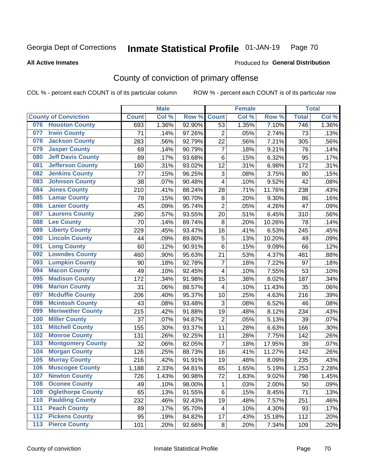#### Inmate Statistical Profile 01-JAN-19 Page 70

### **All Active Inmates**

## Produced for General Distribution

## County of conviction of primary offense

COL % - percent each COUNT is of its particular column

|       |                             |              | <b>Male</b> |        |                         | <b>Female</b> |        |                  | <b>Total</b> |
|-------|-----------------------------|--------------|-------------|--------|-------------------------|---------------|--------|------------------|--------------|
|       | <b>County of Conviction</b> | <b>Count</b> | Col %       | Row %  | <b>Count</b>            | Col %         | Row %  | <b>Total</b>     | Col%         |
| 076   | <b>Houston County</b>       | 693          | 1.36%       | 92.90% | 53                      | 1.35%         | 7.10%  | $\overline{746}$ | 1.36%        |
| 077   | <b>Irwin County</b>         | 71           | .14%        | 97.26% | $\overline{2}$          | .05%          | 2.74%  | 73               | .13%         |
| 078   | <b>Jackson County</b>       | 283          | .56%        | 92.79% | 22                      | .56%          | 7.21%  | 305              | .56%         |
| 079   | <b>Jasper County</b>        | 69           | .14%        | 90.79% | $\overline{7}$          | .18%          | 9.21%  | 76               | .14%         |
| 080   | <b>Jeff Davis County</b>    | 89           | .17%        | 93.68% | $\,6$                   | .15%          | 6.32%  | 95               | .17%         |
| 081   | <b>Jefferson County</b>     | 160          | .31%        | 93.02% | 12                      | .31%          | 6.98%  | 172              | .31%         |
| 082   | <b>Jenkins County</b>       | 77           | .15%        | 96.25% | 3                       | .08%          | 3.75%  | 80               | .15%         |
| 083   | <b>Johnson County</b>       | 38           | .07%        | 90.48% | 4                       | .10%          | 9.52%  | 42               | .08%         |
| 084   | <b>Jones County</b>         | 210          | .41%        | 88.24% | 28                      | .71%          | 11.76% | 238              | .43%         |
| 085   | <b>Lamar County</b>         | 78           | .15%        | 90.70% | 8                       | .20%          | 9.30%  | 86               | .16%         |
| 086   | <b>Lanier County</b>        | 45           | .09%        | 95.74% | $\overline{2}$          | .05%          | 4.26%  | 47               | .09%         |
| 087   | <b>Laurens County</b>       | 290          | .57%        | 93.55% | 20                      | .51%          | 6.45%  | 310              | .56%         |
| 088   | <b>Lee County</b>           | 70           | .14%        | 89.74% | 8                       | .20%          | 10.26% | 78               | .14%         |
| 089   | <b>Liberty County</b>       | 229          | .45%        | 93.47% | 16                      | .41%          | 6.53%  | 245              | .45%         |
| 090   | <b>Lincoln County</b>       | 44           | .09%        | 89.80% | 5                       | .13%          | 10.20% | 49               | .09%         |
| 091   | <b>Long County</b>          | 60           | .12%        | 90.91% | 6                       | .15%          | 9.09%  | 66               | .12%         |
| 092   | <b>Lowndes County</b>       | 460          | .90%        | 95.63% | 21                      | .53%          | 4.37%  | 481              | .88%         |
| 093   | <b>Lumpkin County</b>       | 90           | .18%        | 92.78% | $\overline{7}$          | .18%          | 7.22%  | 97               | .18%         |
| 094   | <b>Macon County</b>         | 49           | .10%        | 92.45% | 4                       | .10%          | 7.55%  | 53               | .10%         |
| 095   | <b>Madison County</b>       | 172          | .34%        | 91.98% | 15                      | .38%          | 8.02%  | 187              | .34%         |
| 096   | <b>Marion County</b>        | 31           | .06%        | 88.57% | $\overline{\mathbf{4}}$ | .10%          | 11.43% | 35               | .06%         |
| 097   | <b>Mcduffie County</b>      | 206          | .40%        | 95.37% | 10                      | .25%          | 4.63%  | 216              | .39%         |
| 098   | <b>Mcintosh County</b>      | 43           | .08%        | 93.48% | 3                       | .08%          | 6.52%  | 46               | .08%         |
| 099   | <b>Meriwether County</b>    | 215          | .42%        | 91.88% | 19                      | .48%          | 8.12%  | 234              | .43%         |
| 100   | <b>Miller County</b>        | 37           | .07%        | 94.87% | $\overline{2}$          | .05%          | 5.13%  | 39               | .07%         |
| 101   | <b>Mitchell County</b>      | 155          | .30%        | 93.37% | 11                      | .28%          | 6.63%  | 166              | .30%         |
| 102   | <b>Monroe County</b>        | 131          | .26%        | 92.25% | 11                      | .28%          | 7.75%  | 142              | .26%         |
| 103   | <b>Montgomery County</b>    | 32           | .06%        | 82.05% | $\overline{7}$          | .18%          | 17.95% | 39               | .07%         |
| 104   | <b>Morgan County</b>        | 126          | .25%        | 88.73% | 16                      | .41%          | 11.27% | 142              | .26%         |
| 105   | <b>Murray County</b>        | 216          | .42%        | 91.91% | 19                      | .48%          | 8.09%  | 235              | .43%         |
| 106   | <b>Muscogee County</b>      | 1,188        | 2.33%       | 94.81% | 65                      | 1.65%         | 5.19%  | 1,253            | 2.28%        |
| 107   | <b>Newton County</b>        | 726          | 1.43%       | 90.98% | 72                      | 1.83%         | 9.02%  | 798              | 1.45%        |
| 108   | <b>Oconee County</b>        | 49           | .10%        | 98.00% | $\mathbf{1}$            | .03%          | 2.00%  | 50               | .09%         |
| 109   | <b>Oglethorpe County</b>    | 65           | .13%        | 91.55% | 6                       | .15%          | 8.45%  | 71               | .13%         |
| 110   | <b>Paulding County</b>      | 232          | .46%        | 92.43% | 19                      | .48%          | 7.57%  | 251              | .46%         |
| 111   | <b>Peach County</b>         | 89           | .17%        | 95.70% | 4                       | .10%          | 4.30%  | 93               | .17%         |
| $112$ | <b>Pickens County</b>       | 95           | .19%        | 84.82% | 17                      | .43%          | 15.18% | 112              | .20%         |
| 113   | <b>Pierce County</b>        | 101          | .20%        | 92.66% | 8                       | .20%          | 7.34%  | 109              | .20%         |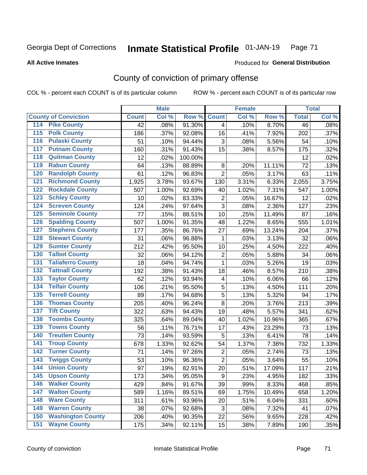#### Inmate Statistical Profile 01-JAN-19 Page 71

### **All Active Inmates**

## Produced for General Distribution

## County of conviction of primary offense

COL % - percent each COUNT is of its particular column

|                                          |              | <b>Male</b> |         |                         | <b>Female</b> |        |              | <b>Total</b> |
|------------------------------------------|--------------|-------------|---------|-------------------------|---------------|--------|--------------|--------------|
| <b>County of Conviction</b>              | <b>Count</b> | Col %       | Row %   | <b>Count</b>            | Col %         | Row %  | <b>Total</b> | Col %        |
| <b>Pike County</b><br>114                | 42           | .08%        | 91.30%  | 4                       | .10%          | 8.70%  | 46           | .08%         |
| <b>Polk County</b><br>$\overline{115}$   | 186          | .37%        | 92.08%  | 16                      | .41%          | 7.92%  | 202          | .37%         |
| <b>Pulaski County</b><br>116             | 51           | .10%        | 94.44%  | 3                       | .08%          | 5.56%  | 54           | .10%         |
| <b>Putnam County</b><br>117              | 160          | .31%        | 91.43%  | 15                      | .38%          | 8.57%  | 175          | .32%         |
| <b>Quitman County</b><br>118             | 12           | .02%        | 100.00% |                         |               |        | 12           | .02%         |
| <b>Rabun County</b><br>119               | 64           | .13%        | 88.89%  | 8                       | .20%          | 11.11% | 72           | .13%         |
| <b>Randolph County</b><br>120            | 61           | .12%        | 96.83%  | $\overline{2}$          | .05%          | 3.17%  | 63           | .11%         |
| <b>Richmond County</b><br>121            | 1,925        | 3.78%       | 93.67%  | 130                     | 3.31%         | 6.33%  | 2,055        | 3.75%        |
| <b>Rockdale County</b><br>122            | 507          | 1.00%       | 92.69%  | 40                      | 1.02%         | 7.31%  | 547          | 1.00%        |
| 123<br><b>Schley County</b>              | 10           | .02%        | 83.33%  | $\mathbf 2$             | .05%          | 16.67% | 12           | .02%         |
| <b>Screven County</b><br>124             | 124          | .24%        | 97.64%  | 3                       | .08%          | 2.36%  | 127          | .23%         |
| <b>Seminole County</b><br>125            | 77           | .15%        | 88.51%  | 10                      | .25%          | 11.49% | 87           | .16%         |
| <b>Spalding County</b><br>126            | 507          | 1.00%       | 91.35%  | 48                      | 1.22%         | 8.65%  | 555          | 1.01%        |
| 127<br><b>Stephens County</b>            | 177          | .35%        | 86.76%  | 27                      | .69%          | 13.24% | 204          | .37%         |
| <b>Stewart County</b><br>128             | 31           | .06%        | 96.88%  | 1                       | .03%          | 3.13%  | 32           | .06%         |
| <b>Sumter County</b><br>129              | 212          | .42%        | 95.50%  | 10                      | .25%          | 4.50%  | 222          | .40%         |
| <b>Talbot County</b><br>130              | 32           | .06%        | 94.12%  | $\overline{2}$          | .05%          | 5.88%  | 34           | .06%         |
| <b>Taliaferro County</b><br>131          | 18           | .04%        | 94.74%  | $\mathbf{1}$            | .03%          | 5.26%  | 19           | .03%         |
| <b>Tattnall County</b><br>132            | 192          | .38%        | 91.43%  | 18                      | .46%          | 8.57%  | 210          | .38%         |
| 133<br><b>Taylor County</b>              | 62           | .12%        | 93.94%  | $\overline{\mathbf{4}}$ | .10%          | 6.06%  | 66           | .12%         |
| <b>Telfair County</b><br>134             | 106          | .21%        | 95.50%  | 5                       | .13%          | 4.50%  | 111          | .20%         |
| <b>Terrell County</b><br>135             | 89           | .17%        | 94.68%  | $\sqrt{5}$              | .13%          | 5.32%  | 94           | .17%         |
| <b>Thomas County</b><br>136              | 205          | .40%        | 96.24%  | 8                       | .20%          | 3.76%  | 213          | .39%         |
| <b>Tift County</b><br>137                | 322          | .63%        | 94.43%  | 19                      | .48%          | 5.57%  | 341          | .62%         |
| <b>Toombs County</b><br>138              | 325          | .64%        | 89.04%  | 40                      | 1.02%         | 10.96% | 365          | .67%         |
| <b>Towns County</b><br>139               | 56           | .11%        | 76.71%  | 17                      | .43%          | 23.29% | 73           | .13%         |
| <b>Treutlen County</b><br>140            | 73           | .14%        | 93.59%  | 5                       | .13%          | 6.41%  | 78           | .14%         |
| <b>Troup County</b><br>141               | 678          | 1.33%       | 92.62%  | 54                      | 1.37%         | 7.38%  | 732          | 1.33%        |
| <b>Turner County</b><br>142              | 71           | .14%        | 97.26%  | $\mathbf 2$             | .05%          | 2.74%  | 73           | .13%         |
| $\overline{143}$<br><b>Twiggs County</b> | 53           | .10%        | 96.36%  | $\overline{2}$          | .05%          | 3.64%  | 55           | .10%         |
| <b>Union County</b><br>144               | 97           | .19%        | 82.91%  | 20                      | .51%          | 17.09% | 117          | .21%         |
| 145<br><b>Upson County</b>               | 173          | .34%        | 95.05%  | 9                       | .23%          | 4.95%  | 182          | .33%         |
| <b>Walker County</b><br>146              | 429          | .84%        | 91.67%  | 39                      | .99%          | 8.33%  | 468          | .85%         |
| <b>Walton County</b><br>147              | 589          | 1.16%       | 89.51%  | 69                      | 1.75%         | 10.49% | 658          | 1.20%        |
| <b>Ware County</b><br>148                | 311          | .61%        | 93.96%  | 20                      | .51%          | 6.04%  | 331          | .60%         |
| <b>Warren County</b><br>149              | 38           | .07%        | 92.68%  | 3                       | .08%          | 7.32%  | 41           | .07%         |
| <b>Washington County</b><br>150          | 206          | .40%        | 90.35%  | 22                      | .56%          | 9.65%  | 228          | .42%         |
| <b>Wayne County</b><br>151               | 175          | .34%        | 92.11%  | 15                      | .38%          | 7.89%  | 190          | .35%         |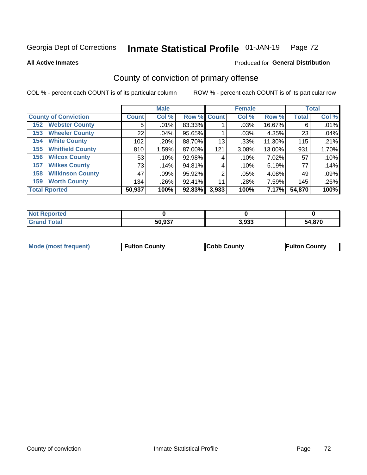#### Inmate Statistical Profile 01-JAN-19 Page 72

**All Active Inmates** 

### Produced for General Distribution

## County of conviction of primary offense

COL % - percent each COUNT is of its particular column

|                                |              | <b>Male</b> |             |       | <b>Female</b> |              |              | <b>Total</b> |
|--------------------------------|--------------|-------------|-------------|-------|---------------|--------------|--------------|--------------|
| <b>County of Conviction</b>    | <b>Count</b> | Col %       | Row % Count |       | Col %         | Row %        | <b>Total</b> | Col %        |
| <b>Webster County</b><br>152   | 5            | $.01\%$     | 83.33%      |       | .03%          | 16.67%       | 6            | .01%         |
| <b>Wheeler County</b><br>153   | 22           | $.04\%$     | 95.65%      |       | .03%          | 4.35%        | 23           | .04%         |
| <b>White County</b><br>154     | 102          | .20%        | 88.70%      | 13    | .33%          | 11.30%       | 115          | .21%         |
| <b>Whitfield County</b><br>155 | 810          | 1.59%       | 87.00%      | 121   | 3.08%         | 13.00%       | 931          | 1.70%        |
| <b>Wilcox County</b><br>156    | 53           | .10%        | 92.98%      | 4     | .10%          | 7.02%        | 57           | .10%         |
| <b>Wilkes County</b><br>157    | 73           | .14%        | 94.81%      | 4     | .10%          | 5.19%        | 77           | .14%         |
| <b>Wilkinson County</b><br>158 | 47           | .09%        | 95.92%      | 2     | .05%          | 4.08%        | 49           | .09%         |
| <b>Worth County</b><br>159     | 134          | .26%        | 92.41%      | 11    | .28%          | 7.59%        | 145          | .26%         |
| <b>Total Rported</b>           | 50,937       | 100%        | 92.83%      | 3,933 | 100%          | <b>7.17%</b> | 54,870       | 100%         |

| <b>Not Reported</b> |        |       |        |
|---------------------|--------|-------|--------|
| ™otai               | 50,937 | 3,933 | 54.870 |

| <b>Mode (most frequent)</b> | <b>Fulton County</b> | <b>ICobb County</b> | <b>Fulton County</b> |
|-----------------------------|----------------------|---------------------|----------------------|
|                             |                      |                     |                      |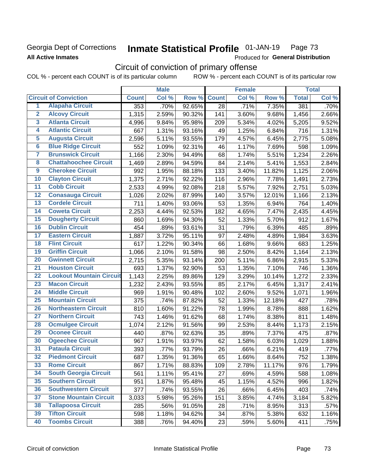## Georgia Dept of Corrections **All Active Inmates**

#### Inmate Statistical Profile 01-JAN-19 Page 73

Produced for General Distribution

# Circuit of conviction of primary offense

COL % - percent each COUNT is of its particular column ROW % - percent each COUNT is of its particular row

|                         |                                 |              | <b>Male</b> |        |              | <b>Female</b> |        |              | <b>Total</b> |
|-------------------------|---------------------------------|--------------|-------------|--------|--------------|---------------|--------|--------------|--------------|
|                         | <b>Circuit of Conviction</b>    | <b>Count</b> | Col %       | Row %  | <b>Count</b> | Col %         | Row %  | <b>Total</b> | Col %        |
| 1                       | <b>Alapaha Circuit</b>          | 353          | .70%        | 92.65% | 28           | .71%          | 7.35%  | 381          | .70%         |
| $\overline{2}$          | <b>Alcovy Circuit</b>           | 1,315        | 2.59%       | 90.32% | 141          | 3.60%         | 9.68%  | 1,456        | 2.66%        |
| $\overline{\mathbf{3}}$ | <b>Atlanta Circuit</b>          | 4,996        | 9.84%       | 95.98% | 209          | 5.34%         | 4.02%  | 5,205        | 9.52%        |
| 4                       | <b>Atlantic Circuit</b>         | 667          | 1.31%       | 93.16% | 49           | 1.25%         | 6.84%  | 716          | 1.31%        |
| 5                       | <b>Augusta Circuit</b>          | 2,596        | 5.11%       | 93.55% | 179          | 4.57%         | 6.45%  | 2,775        | 5.08%        |
| $\overline{6}$          | <b>Blue Ridge Circuit</b>       | 552          | 1.09%       | 92.31% | 46           | 1.17%         | 7.69%  | 598          | 1.09%        |
| $\overline{\mathbf{7}}$ | <b>Brunswick Circuit</b>        | 1,166        | 2.30%       | 94.49% | 68           | 1.74%         | 5.51%  | 1,234        | 2.26%        |
| $\overline{\mathbf{8}}$ | <b>Chattahoochee Circuit</b>    | 1,469        | 2.89%       | 94.59% | 84           | 2.14%         | 5.41%  | 1,553        | 2.84%        |
| $\overline{9}$          | <b>Cherokee Circuit</b>         | 992          | 1.95%       | 88.18% | 133          | 3.40%         | 11.82% | 1,125        | 2.06%        |
| 10                      | <b>Clayton Circuit</b>          | 1,375        | 2.71%       | 92.22% | 116          | 2.96%         | 7.78%  | 1,491        | 2.73%        |
| $\overline{11}$         | <b>Cobb Circuit</b>             | 2,533        | 4.99%       | 92.08% | 218          | 5.57%         | 7.92%  | 2,751        | 5.03%        |
| $\overline{12}$         | <b>Conasauga Circuit</b>        | 1,026        | 2.02%       | 87.99% | 140          | 3.57%         | 12.01% | 1,166        | 2.13%        |
| 13                      | <b>Cordele Circuit</b>          | 711          | 1.40%       | 93.06% | 53           | 1.35%         | 6.94%  | 764          | 1.40%        |
| 14                      | <b>Coweta Circuit</b>           | 2,253        | 4.44%       | 92.53% | 182          | 4.65%         | 7.47%  | 2,435        | 4.45%        |
| 15                      | <b>Dougherty Circuit</b>        | 860          | 1.69%       | 94.30% | 52           | 1.33%         | 5.70%  | 912          | 1.67%        |
| 16                      | <b>Dublin Circuit</b>           | 454          | .89%        | 93.61% | 31           | .79%          | 6.39%  | 485          | .89%         |
| 17                      | <b>Eastern Circuit</b>          | 1,887        | 3.72%       | 95.11% | 97           | 2.48%         | 4.89%  | 1,984        | 3.63%        |
| 18                      | <b>Flint Circuit</b>            | 617          | 1.22%       | 90.34% | 66           | 1.68%         | 9.66%  | 683          | 1.25%        |
| 19                      | <b>Griffin Circuit</b>          | 1,066        | 2.10%       | 91.58% | 98           | 2.50%         | 8.42%  | 1,164        | 2.13%        |
| 20                      | <b>Gwinnett Circuit</b>         | 2,715        | 5.35%       | 93.14% | 200          | 5.11%         | 6.86%  | 2,915        | 5.33%        |
| $\overline{21}$         | <b>Houston Circuit</b>          | 693          | 1.37%       | 92.90% | 53           | 1.35%         | 7.10%  | 746          | 1.36%        |
| $\overline{22}$         | <b>Lookout Mountain Circuit</b> | 1,143        | 2.25%       | 89.86% | 129          | 3.29%         | 10.14% | 1,272        | 2.33%        |
| 23                      | <b>Macon Circuit</b>            | 1,232        | 2.43%       | 93.55% | 85           | 2.17%         | 6.45%  | 1,317        | 2.41%        |
| $\overline{24}$         | <b>Middle Circuit</b>           | 969          | 1.91%       | 90.48% | 102          | 2.60%         | 9.52%  | 1,071        | 1.96%        |
| 25                      | <b>Mountain Circuit</b>         | 375          | .74%        | 87.82% | 52           | 1.33%         | 12.18% | 427          | .78%         |
| 26                      | <b>Northeastern Circuit</b>     | 810          | 1.60%       | 91.22% | 78           | 1.99%         | 8.78%  | 888          | 1.62%        |
| $\overline{27}$         | <b>Northern Circuit</b>         | 743          | 1.46%       | 91.62% | 68           | 1.74%         | 8.38%  | 811          | 1.48%        |
| 28                      | <b>Ocmulgee Circuit</b>         | 1,074        | 2.12%       | 91.56% | 99           | 2.53%         | 8.44%  | 1,173        | 2.15%        |
| 29                      | <b>Oconee Circuit</b>           | 440          | .87%        | 92.63% | 35           | .89%          | 7.37%  | 475          | .87%         |
| 30                      | <b>Ogeechee Circuit</b>         | 967          | 1.91%       | 93.97% | 62           | 1.58%         | 6.03%  | 1,029        | 1.88%        |
| $\overline{31}$         | <b>Pataula Circuit</b>          | 393          | .77%        | 93.79% | 26           | .66%          | 6.21%  | 419          | .77%         |
| 32                      | <b>Piedmont Circuit</b>         | 687          | 1.35%       | 91.36% | 65           | 1.66%         | 8.64%  | 752          | 1.38%        |
| 33                      | <b>Rome Circuit</b>             | 867          | 1.71%       | 88.83% | 109          | 2.78%         | 11.17% | 976          | 1.79%        |
| 34                      | <b>South Georgia Circuit</b>    | 561          | 1.11%       | 95.41% | 27           | .69%          | 4.59%  | 588          | 1.08%        |
| 35                      | <b>Southern Circuit</b>         | 951          | 1.87%       | 95.48% | 45           | 1.15%         | 4.52%  | 996          | 1.82%        |
| 36                      | <b>Southwestern Circuit</b>     | 377          | .74%        | 93.55% | 26           | .66%          | 6.45%  | 403          | .74%         |
| 37                      | <b>Stone Mountain Circuit</b>   | 3,033        | 5.98%       | 95.26% | 151          | 3.85%         | 4.74%  | 3,184        | 5.82%        |
| 38                      | <b>Tallapoosa Circuit</b>       | 285          | .56%        | 91.05% | 28           | .71%          | 8.95%  | 313          | .57%         |
| 39                      | <b>Tifton Circuit</b>           | 598          | 1.18%       | 94.62% | 34           | .87%          | 5.38%  | 632          | 1.16%        |
| 40                      | <b>Toombs Circuit</b>           | 388          | .76%        | 94.40% | 23           | .59%          | 5.60%  | 411          | .75%         |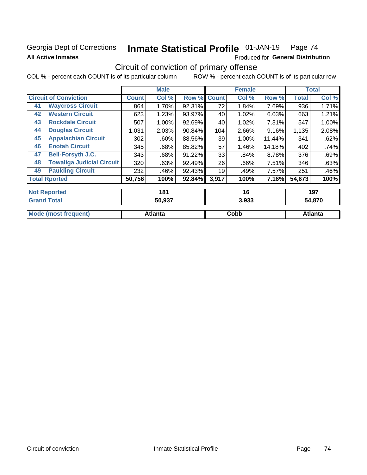## Georgia Dept of Corrections **All Active Inmates**

#### Inmate Statistical Profile 01-JAN-19 Page 74

Produced for General Distribution

# Circuit of conviction of primary offense

COL % - percent each COUNT is of its particular column ROW % - percent each COUNT is of its particular row

|    |                                  |        | <b>Male</b> |        |              | <b>Female</b> |        |              | <b>Total</b> |
|----|----------------------------------|--------|-------------|--------|--------------|---------------|--------|--------------|--------------|
|    | <b>Circuit of Conviction</b>     |        | Col %       | Row %  | <b>Count</b> | Col %         | Row %  | <b>Total</b> | Col %        |
| 41 | <b>Waycross Circuit</b>          | 864    | 1.70%       | 92.31% | 72           | 1.84%         | 7.69%  | 936          | 1.71%        |
| 42 | <b>Western Circuit</b>           | 623    | 1.23%       | 93.97% | 40           | 1.02%         | 6.03%  | 663          | 1.21%        |
| 43 | <b>Rockdale Circuit</b>          | 507    | 1.00%       | 92.69% | 40           | 1.02%         | 7.31%  | 547          | 1.00%        |
| 44 | <b>Douglas Circuit</b>           | 1,031  | 2.03%       | 90.84% | 104          | 2.66%         | 9.16%  | 1,135        | 2.08%        |
| 45 | <b>Appalachian Circuit</b>       | 302    | $.60\%$     | 88.56% | 39           | 1.00%         | 11.44% | 341          | .62%         |
| 46 | <b>Enotah Circuit</b>            | 345    | .68%        | 85.82% | 57           | 1.46%         | 14.18% | 402          | .74%         |
| 47 | <b>Bell-Forsyth J.C.</b>         | 343    | .68%        | 91.22% | 33           | .84%          | 8.78%  | 376          | .69%         |
| 48 | <b>Towaliga Judicial Circuit</b> | 320    | .63%        | 92.49% | 26           | .66%          | 7.51%  | 346          | .63%         |
| 49 | <b>Paulding Circuit</b>          | 232    | .46%        | 92.43% | 19           | .49%          | 7.57%  | 251          | .46%         |
|    | <b>Total Rported</b>             | 50,756 | 100%        | 92.84% | 3,917        | 100%          | 7.16%  | 54,673       | 100%         |
|    | <b>Not Reported</b>              |        | 181         |        |              | 16            |        |              | 197          |

| 50,937         | 3,933 | 14,870  |
|----------------|-------|---------|
| <b>Atlanta</b> | Cobb  | Atlanta |
|                |       |         |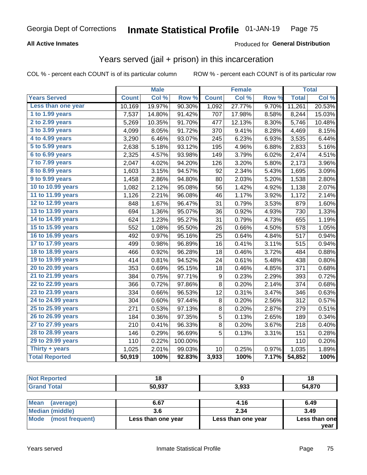### **All Active Inmates**

### Produced for **General Distribution**

## Years served (jail + prison) in this incarceration

|                              |              | <b>Male</b> |         |              | <b>Female</b> |       |              | <b>Total</b> |
|------------------------------|--------------|-------------|---------|--------------|---------------|-------|--------------|--------------|
| <b>Years Served</b>          | <b>Count</b> | Col %       | Row %   | <b>Count</b> | Col %         | Row % | <b>Total</b> | Col %        |
| Less than one year           | 10,169       | 19.97%      | 90.30%  | 1,092        | 27.77%        | 9.70% | 11,261       | 20.53%       |
| 1 to 1.99 years              | 7,537        | 14.80%      | 91.42%  | 707          | 17.98%        | 8.58% | 8,244        | 15.03%       |
| 2 to 2.99 years              | 5,269        | 10.35%      | 91.70%  | 477          | 12.13%        | 8.30% | 5,746        | 10.48%       |
| $3$ to $3.99$ years          | 4,099        | 8.05%       | 91.72%  | 370          | 9.41%         | 8.28% | 4,469        | 8.15%        |
| $\overline{4}$ to 4.99 years | 3,290        | 6.46%       | 93.07%  | 245          | 6.23%         | 6.93% | 3,535        | 6.44%        |
| $\overline{5}$ to 5.99 years | 2,638        | 5.18%       | 93.12%  | 195          | 4.96%         | 6.88% | 2,833        | 5.16%        |
| $6$ to $6.99$ years          | 2,325        | 4.57%       | 93.98%  | 149          | 3.79%         | 6.02% | 2,474        | 4.51%        |
| 7 to 7.99 years              | 2,047        | 4.02%       | 94.20%  | 126          | 3.20%         | 5.80% | 2,173        | 3.96%        |
| 8 to 8.99 years              | 1,603        | 3.15%       | 94.57%  | 92           | 2.34%         | 5.43% | 1,695        | 3.09%        |
| 9 to 9.99 years              | 1,458        | 2.86%       | 94.80%  | 80           | 2.03%         | 5.20% | 1,538        | 2.80%        |
| 10 to 10.99 years            | 1,082        | 2.12%       | 95.08%  | 56           | 1.42%         | 4.92% | 1,138        | 2.07%        |
| 11 to 11.99 years            | 1,126        | 2.21%       | 96.08%  | 46           | 1.17%         | 3.92% | 1,172        | 2.14%        |
| 12 to 12.99 years            | 848          | 1.67%       | 96.47%  | 31           | 0.79%         | 3.53% | 879          | 1.60%        |
| 13 to 13.99 years            | 694          | 1.36%       | 95.07%  | 36           | 0.92%         | 4.93% | 730          | 1.33%        |
| 14 to 14.99 years            | 624          | 1.23%       | 95.27%  | 31           | 0.79%         | 4.73% | 655          | 1.19%        |
| 15 to 15.99 years            | 552          | 1.08%       | 95.50%  | 26           | 0.66%         | 4.50% | 578          | 1.05%        |
| 16 to 16.99 years            | 492          | 0.97%       | 95.16%  | 25           | 0.64%         | 4.84% | 517          | 0.94%        |
| 17 to 17.99 years            | 499          | 0.98%       | 96.89%  | 16           | 0.41%         | 3.11% | 515          | 0.94%        |
| 18 to 18.99 years            | 466          | 0.92%       | 96.28%  | 18           | 0.46%         | 3.72% | 484          | 0.88%        |
| 19 to 19.99 years            | 414          | 0.81%       | 94.52%  | 24           | 0.61%         | 5.48% | 438          | 0.80%        |
| 20 to 20.99 years            | 353          | 0.69%       | 95.15%  | 18           | 0.46%         | 4.85% | 371          | 0.68%        |
| 21 to 21.99 years            | 384          | 0.75%       | 97.71%  | $9\,$        | 0.23%         | 2.29% | 393          | 0.72%        |
| 22 to 22.99 years            | 366          | 0.72%       | 97.86%  | 8            | 0.20%         | 2.14% | 374          | 0.68%        |
| 23 to 23.99 years            | 334          | 0.66%       | 96.53%  | 12           | 0.31%         | 3.47% | 346          | 0.63%        |
| 24 to 24.99 years            | 304          | 0.60%       | 97.44%  | 8            | 0.20%         | 2.56% | 312          | 0.57%        |
| 25 to 25.99 years            | 271          | 0.53%       | 97.13%  | 8            | 0.20%         | 2.87% | 279          | 0.51%        |
| 26 to 26.99 years            | 184          | 0.36%       | 97.35%  | 5            | 0.13%         | 2.65% | 189          | 0.34%        |
| 27 to 27.99 years            | 210          | 0.41%       | 96.33%  | 8            | 0.20%         | 3.67% | 218          | 0.40%        |
| 28 to 28.99 years            | 146          | 0.29%       | 96.69%  | 5            | 0.13%         | 3.31% | 151          | 0.28%        |
| 29 to 29.99 years            | 110          | 0.22%       | 100.00% |              |               |       | 110          | 0.20%        |
| Thirty + years               | 1,025        | 2.01%       | 99.03%  | 10           | 0.25%         | 0.97% | 1,035        | 1.89%        |
| <b>Total Reported</b>        | 50,919       | 100%        | 92.83%  | 3,933        | 100%          | 7.17% | 54,852       | 100%         |

| <b>Not</b><br><b>Reported</b> | 4 C<br>1 O |       | 18     |
|-------------------------------|------------|-------|--------|
| <b>Total</b><br>Gra           | 50,937     | 3,933 | 54,870 |
|                               |            |       |        |

| <b>Mean</b><br>(average) | 6.67               | 4.16               | 6.49          |
|--------------------------|--------------------|--------------------|---------------|
| <b>Median (middle)</b>   |                    | 2.34               | 3.49          |
| Mode (most frequent)     | Less than one year | Less than one year | Less than one |
|                          |                    |                    | year          |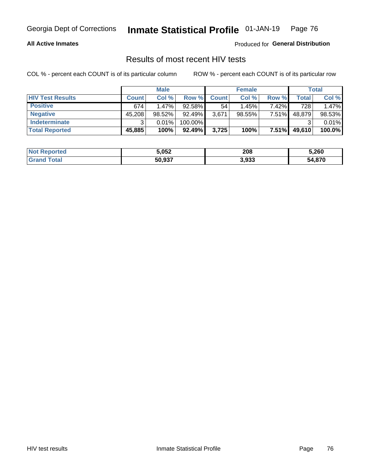#### **All Active Inmates**

Produced for **General Distribution**

## Results of most recent HIV tests

|                         | <b>Male</b>  |          |           | <b>Female</b> |           |          | Total  |        |
|-------------------------|--------------|----------|-----------|---------------|-----------|----------|--------|--------|
| <b>HIV Test Results</b> | <b>Count</b> | Col %    | Row %I    | <b>Count</b>  | Col %     | Row %    | Total  | Col %  |
| <b>Positive</b>         | 674          | $1.47\%$ | 92.58%    | 54            | 1.45%     | $7.42\%$ | 728    | 1.47%  |
| <b>Negative</b>         | 45,208       | 98.52%   | $92.49\%$ | 3,671         | $98.55\%$ | 7.51%    | 48,879 | 98.53% |
| Indeterminate           | ີ            | 0.01%    | 100.00%   |               |           |          |        | 0.01%  |
| <b>Total Reported</b>   | 45,885       | 100%     | 92.49%    | 3,725         | 100%      | $7.51\%$ | 49,610 | 100.0% |

| <b>Not Reported</b> | 5,052  | 208   | 5,260  |
|---------------------|--------|-------|--------|
| Total<br>Gran       | 50,937 | 3,933 | 54,870 |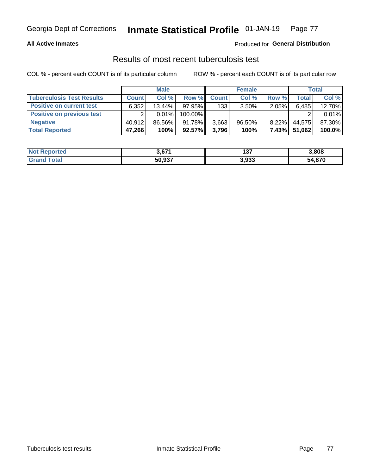### **All Active Inmates**

### Produced for **General Distribution**

## Results of most recent tuberculosis test

|                                  | <b>Male</b>  |        |           | <b>Female</b> |           |          | Total        |        |
|----------------------------------|--------------|--------|-----------|---------------|-----------|----------|--------------|--------|
| <b>Tuberculosis Test Results</b> | <b>Count</b> | Col %  | Row %     | <b>Count</b>  | Col %     | Row %    | <b>Total</b> | Col %  |
| <b>Positive on current test</b>  | 6,352        | 13.44% | $97.95\%$ | 133           | $3.50\%$  | $2.05\%$ | 6,485        | 12.70% |
| <b>Positive on previous test</b> |              | 0.01%  | 100.00%   |               |           |          |              | 0.01%  |
| <b>Negative</b>                  | 40.912       | 86.56% | 91.78%    | 3,663         | $96.50\%$ | $8.22\%$ | 44.575       | 87.30% |
| <b>Total Reported</b>            | 47,266       | 100%   | $92.57\%$ | 3,796         | 100%      | $7.43\%$ | 51,062       | 100.0% |

| <b>Not Reported</b>     | 3,671  | ោ<br>וטו | 3,808  |
|-------------------------|--------|----------|--------|
| <b>Total</b><br>' Grand | 50,937 | 3,933    | 54,870 |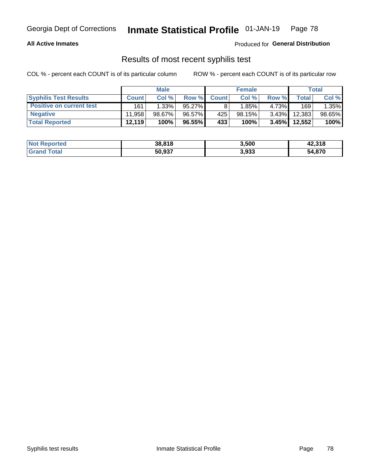### **All Active Inmates**

Produced for **General Distribution**

## Results of most recent syphilis test

|                                 | <b>Male</b>  |           |           | <b>Female</b> |          |          | Total   |        |
|---------------------------------|--------------|-----------|-----------|---------------|----------|----------|---------|--------|
| <b>Syphilis Test Results</b>    | <b>Count</b> | Col%      | Row %     | <b>Count</b>  | Col %    | Row %    | Total I | Col %  |
| <b>Positive on current test</b> | 161          | 1.33%     | $95.27\%$ |               | $1.85\%$ | 4.73%    | 169     | 1.35%  |
| <b>Negative</b>                 | 11.958       | $98.67\%$ | 96.57%    | 425           | 98.15%   | $3.43\%$ | 12,383  | 98.65% |
| <b>Total Reported</b>           | 12,119       | 100%      | 96.55%    | 433           | 100%     | $3.45\%$ | 12,552  | 100%   |

| <b>Not Reported</b> | 38,818 | 3,500 | 42,318 |
|---------------------|--------|-------|--------|
| <b>Grand Total</b>  | 50,937 | 3,933 | 54,870 |